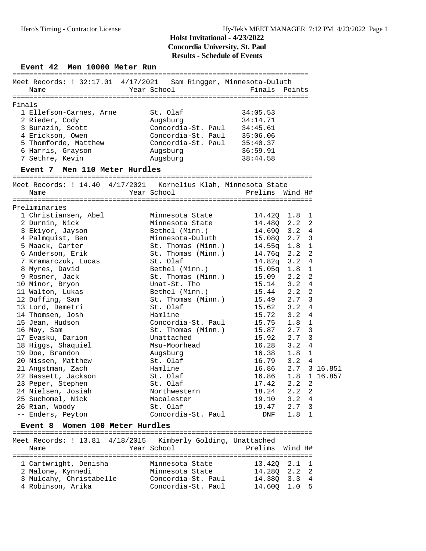| Finals | Meet Records: ! 32:17.01 4/17/2021<br>Name                                                                                                        | Sam Ringger, Minnesota-Duluth                                                                                  |                                                                                  |     |                |
|--------|---------------------------------------------------------------------------------------------------------------------------------------------------|----------------------------------------------------------------------------------------------------------------|----------------------------------------------------------------------------------|-----|----------------|
|        |                                                                                                                                                   | Year School                                                                                                    | Finals Points                                                                    |     |                |
|        |                                                                                                                                                   |                                                                                                                |                                                                                  |     |                |
|        | 1 Ellefson-Carnes, Arne<br>2 Rieder, Cody<br>3 Burazin, Scott<br>4 Erickson, Owen<br>5 Thomforde, Matthew<br>6 Harris, Grayson<br>7 Sethre, Kevin | St. Olaf<br>Augsburg<br>Concordia-St. Paul<br>Concordia-St. Paul<br>Concordia-St. Paul<br>Augsburg<br>Augsburg | 34:05.53<br>34:14.71<br>34:45.61<br>35:06.06<br>35:40.37<br>36:59.91<br>38:44.58 |     |                |
|        | Event 7 Men 110 Meter Hurdles                                                                                                                     |                                                                                                                |                                                                                  |     |                |
|        | Meet Records: ! 14.40 4/17/2021                                                                                                                   | Kornelius Klah, Minnesota State                                                                                |                                                                                  |     |                |
|        | Name                                                                                                                                              | Year School                                                                                                    | Prelims Wind H#                                                                  |     |                |
|        |                                                                                                                                                   |                                                                                                                |                                                                                  |     |                |
|        | Preliminaries                                                                                                                                     |                                                                                                                |                                                                                  |     |                |
|        | 1 Christiansen, Abel                                                                                                                              | Minnesota State                                                                                                | 14.420                                                                           | 1.8 | 1              |
|        | 2 Durnin, Nick                                                                                                                                    | Minnesota State                                                                                                | 14.48Q 2.2                                                                       |     | 2              |
|        | 3 Ekiyor, Jayson                                                                                                                                  | Bethel (Minn.)                                                                                                 | $14.69Q$ 3.2                                                                     |     | 4              |
|        | 4 Palmquist, Ben                                                                                                                                  | Minnesota-Duluth                                                                                               | 15.080 2.7                                                                       |     | 3              |
|        | 5 Maack, Carter                                                                                                                                   | St. Thomas (Minn.)                                                                                             | $14.55q$ 1.8                                                                     |     | $\mathbf{1}$   |
|        | 6 Anderson, Erik                                                                                                                                  | St. Thomas (Minn.)                                                                                             | 14.76q 2.2                                                                       |     | 2              |
|        | 7 Kramarczuk, Lucas                                                                                                                               | St. Olaf                                                                                                       | 14.82q 3.2                                                                       |     | 4              |
|        | 8 Myres, David                                                                                                                                    | Bethel (Minn.)                                                                                                 | $15.05q$ $1.8$                                                                   |     | 1              |
|        | 9 Rosner, Jack                                                                                                                                    | St. Thomas (Minn.)                                                                                             | 15.09                                                                            | 2.2 | 2              |
|        | 10 Minor, Bryon                                                                                                                                   | Unat-St. Tho                                                                                                   | 15.14                                                                            | 3.2 | 4              |
|        | 11 Walton, Lukas                                                                                                                                  | Bethel (Minn.)                                                                                                 | 15.44                                                                            | 2.2 | $\overline{2}$ |
|        | 12 Duffing, Sam                                                                                                                                   | St. Thomas (Minn.)                                                                                             | 15.49                                                                            | 2.7 | 3              |
|        | 13 Lord, Demetri                                                                                                                                  | St. Olaf                                                                                                       | 15.62                                                                            | 3.2 | 4              |
|        | 14 Thomsen, Josh                                                                                                                                  | Hamline                                                                                                        | 15.72                                                                            | 3.2 | 4              |
|        | 15 Jean, Hudson                                                                                                                                   | Concordia-St. Paul                                                                                             | 15.75                                                                            | 1.8 | 1              |
|        | 16 May, Sam                                                                                                                                       | St. Thomas (Minn.)                                                                                             | 15.87                                                                            | 2.7 | 3              |
|        | 17 Evasku, Darion                                                                                                                                 | Unattached                                                                                                     | 15.92                                                                            | 2.7 | 3              |
|        | 18 Higgs, Shaquiel                                                                                                                                | Msu-Moorhead                                                                                                   | 16.28                                                                            | 3.2 | 4              |
|        | 19 Doe, Brandon                                                                                                                                   | Augsburg                                                                                                       | 16.38                                                                            | 1.8 | $\mathbf{1}$   |
|        | 20 Nissen, Matthew                                                                                                                                | St. Olaf                                                                                                       | 16.79                                                                            | 3.2 | 4              |
|        | 21 Angstman, Zach                                                                                                                                 | Hamline                                                                                                        | 16.86                                                                            | 2.7 | 3 16.851       |
|        | 22 Bassett, Jackson                                                                                                                               | St. Olaf                                                                                                       | 16.86                                                                            | 1.8 | 1 16.857       |
|        | 23 Peper, Stephen                                                                                                                                 | St. Olaf                                                                                                       | 17.42                                                                            | 2.2 | 2              |
|        | 24 Nielsen, Josiah                                                                                                                                | Northwestern                                                                                                   | 18.24 2.2                                                                        |     | 2              |
|        | 25 Suchomel, Nick                                                                                                                                 | Macalester                                                                                                     | 19.10                                                                            | 3.2 | 4              |
|        | 26 Rian, Woody                                                                                                                                    | St. Olaf                                                                                                       | 19.47                                                                            | 2.7 | 3              |
|        |                                                                                                                                                   |                                                                                                                |                                                                                  |     |                |

#### **Event 8 Women 100 Meter Hurdles** ========================================================================

| Meet Records: ! 13.81 4/18/2015 Kimberly Golding, Unattached<br>Name | Year School        | Prelims Wind H# |  |
|----------------------------------------------------------------------|--------------------|-----------------|--|
| 1 Cartwright, Denisha                                                | Minnesota State    | 13.420 2.1 1    |  |
| 2 Malone, Kynnedi                                                    | Minnesota State    | 14.280 2.2 2    |  |
| 3 Mulcahy, Christabelle                                              | Concordia-St. Paul | 14.380 3.3 4    |  |
| 4 Robinson, Arika                                                    | Concordia-St. Paul | 14.600 1.0 5    |  |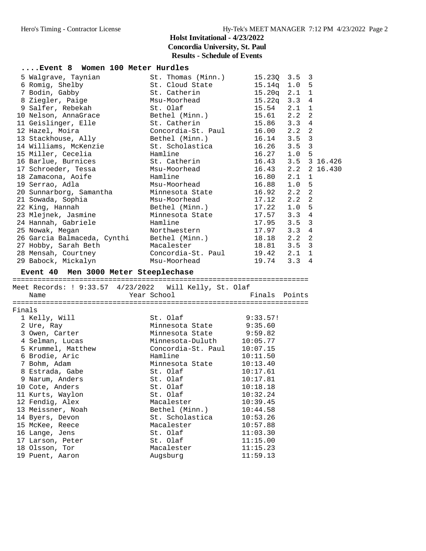| Event 8 Women 100 Meter Hurdles                        |                    |                    |                       |  |
|--------------------------------------------------------|--------------------|--------------------|-----------------------|--|
| 5 Walgrave, Taynian                                    | St. Thomas (Minn.) | 15.23Q 3.5         | 3                     |  |
| 6 Romig, Shelby                                        | St. Cloud State    | $15.14q$ $1.0$     | 5                     |  |
| 7 Bodin, Gabby                                         | St. Catherin       | $15.20q$ $2.1$     | $\mathbf 1$           |  |
| 8 Ziegler, Paige                                       | Msu-Moorhead       | $15.22q$ $3.3$     | $\overline{4}$        |  |
| 9 Salfer, Rebekah                                      | St. Olaf           | $15.54$ $2.1$      | $\mathbf 1$           |  |
| 10 Nelson, AnnaGrace                                   | Bethel (Minn.)     | 15.61 2.2          | 2                     |  |
| 11 Geislinger, Elle                                    | St. Catherin       | 15.86 3.3          | 4                     |  |
| 12 Hazel, Moira                                        | Concordia-St. Paul | 16.00 2.2          | 2                     |  |
| 13 Stackhouse, Ally                                    | Bethel (Minn.)     | 16.14 3.5          | 3                     |  |
| 14 Williams, McKenzie                                  | St. Scholastica    | 16.26              | 3<br>3.5              |  |
| 15 Miller, Cecelia                                     | Hamline            | $16.27$ $1.0$      | 5                     |  |
| 16 Barlue, Burnices                                    | St. Catherin       | 16.43 3.5 3 16.426 |                       |  |
| 17 Schroeder, Tessa                                    | Msu-Moorhead       | 16.43 2.2 2 16.430 |                       |  |
| 18 Zamacona, Aoife                                     | Hamline            | 16.80              | 2.1<br>1              |  |
| 19 Serrao, Adla                                        | Msu-Moorhead       | 16.88              | 1.0<br>5              |  |
| 20 Sunnarborg, Samantha                                | Minnesota State    | 16.92              | $\overline{2}$<br>2.2 |  |
| 21 Sowada, Sophia                                      | Msu-Moorhead       | $17.12$ $2.2$      | $\overline{2}$        |  |
| 22 King, Hannah                                        | Bethel (Minn.)     | 17.22 1.0          | 5                     |  |
| 23 Mlejnek, Jasmine                                    | Minnesota State    | $17.57$ 3.3        | 4                     |  |
| 24 Hannah, Gabriele                                    | Hamline            | 17.95 3.5          | 3                     |  |
| 25 Nowak, Megan                                        | Northwestern       | $17.97$ 3.3        | $\overline{4}$        |  |
| 26 Garcia Balmaceda, Cynthi                            | Bethel (Minn.)     | 18.18 2.2          | $\overline{2}$        |  |
| 27 Hobby, Sarah Beth                                   | Macalester         | 18.81 3.5          | 3                     |  |
| 28 Mensah, Courtney                                    | Concordia-St. Paul | 19.42 2.1          | 1                     |  |
| 29 Babock, Mickalyn                                    | Msu-Moorhead       | 19.74 3.3          | 4                     |  |
|                                                        |                    |                    |                       |  |
| Event 40 Men 3000 Meter Steeplechase                   |                    |                    |                       |  |
|                                                        |                    |                    |                       |  |
| Meet Records: ! 9:33.57 4/23/2022 Will Kelly, St. Olaf |                    |                    |                       |  |
| Name                                                   | Year School        | Finals Points      |                       |  |
|                                                        |                    |                    |                       |  |
| Finals                                                 |                    |                    |                       |  |
| 1 Kelly, Will                                          | St. Olaf           | 9:33.57!           |                       |  |
| 2 Ure, Ray                                             | Minnesota State    | 9:35.60            |                       |  |
| 3 Owen, Carter                                         | Minnesota State    | 9:59.82            |                       |  |
| 4 Selman, Lucas                                        | Minnesota-Duluth   | 10:05.77           |                       |  |
| 5 Krummel, Matthew                                     | Concordia-St. Paul | 10:07.15           |                       |  |
| 6 Brodie, Aric                                         | Hamline            | 10:11.50           |                       |  |
| 7 Bohm, Adam                                           | Minnesota State    | 10:13.40           |                       |  |
| 8 Estrada, Gabe                                        | St. Olaf           | 10:17.61           |                       |  |
| 9 Narum, Anders                                        | St. Olaf           | 10:17.81           |                       |  |
| 10 Cote, Anders                                        | St. Olaf           | 10:18.18           |                       |  |
| 11 Kurts, Waylon                                       | St. Olaf           | 10:32.24           |                       |  |
| 12 Fendig, Alex                                        | Macalester         | 10:39.45           |                       |  |
| 13 Meissner, Noah                                      | Bethel (Minn.)     | 10:44.58           |                       |  |
| 14 Byers, Devon                                        | St. Scholastica    | 10:53.26           |                       |  |
| 15 McKee, Reece                                        | Macalester         | 10:57.88           |                       |  |
| 16 Lange, Jens                                         | St. Olaf           | 11:03.30           |                       |  |
| 17 Larson, Peter                                       | St. Olaf           | 11:15.00           |                       |  |
| 18 Olsson, Tor                                         | Macalester         | 11:15.23           |                       |  |
| 19 Puent, Aaron                                        | Augsburg           | 11:59.13           |                       |  |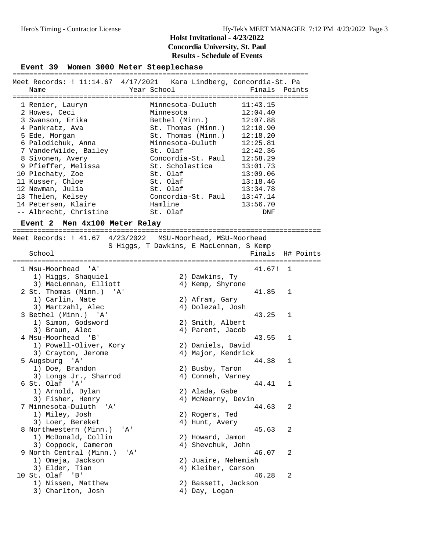**Event 39 Women 3000 Meter Steeplechase** =======================================================================

|                        | Meet Records: ! 11:14.67    4/17/2021    Kara Lindberg, Concordia-St. Pa |               |
|------------------------|--------------------------------------------------------------------------|---------------|
| Name                   | Year School                                                              | Finals Points |
|                        |                                                                          |               |
| 1 Renier, Lauryn       | Minnesota-Duluth                                                         | 11:43.15      |
| 2 Howes, Ceci          | Minnesota                                                                | 12:04.40      |
| 3 Swanson, Erika       | Bethel (Minn.)                                                           | 12:07.88      |
| 4 Pankratz, Ava        | St. Thomas (Minn.)                                                       | 12:10.90      |
| 5 Ede, Morgan          | St. Thomas (Minn.)                                                       | 12:18.20      |
| 6 Palodichuk, Anna     | Minnesota-Duluth                                                         | 12:25.81      |
| 7 VanderWilde, Bailey  | St. Olaf                                                                 | 12:42.36      |
| 8 Sivonen, Avery       | Concordia-St. Paul                                                       | 12:58.29      |
| 9 Pfieffer, Melissa    | St. Scholastica                                                          | 13:01.73      |
| 10 Plechaty, Zoe       | St. Olaf                                                                 | 13:09.06      |
| 11 Kusser, Chloe       | St. Olaf                                                                 | 13:18.46      |
| 12 Newman, Julia       | St. Olaf                                                                 | 13:34.78      |
| 13 Thelen, Kelsey      | Concordia-St. Paul                                                       | 13:47.14      |
| 14 Petersen, Klaire    | Hamline                                                                  | 13:56.70      |
| -- Albrecht, Christine | St. Olaf                                                                 | DNF           |

#### **Event 2 Men 4x100 Meter Relay**

========================================================================== Meet Records: ! 41.67 4/23/2022 MSU-Moorhead, MSU-Moorhead S Higgs, T Dawkins, E MacLennan, S Kemp<br>Finals H# Points School Finals H# Points ========================================================================== 1 Msu-Moorhead 'A' 41.67! 1 1) Higgs, Shaquiel 2) Dawkins, Ty 3) MacLennan, Elliott (4) Kemp, Shyrone 2 St. Thomas (Minn.) 'A' 41.85 1 1) Carlin, Nate 2) Afram, Gary 3) Martzahl, Alec 4) Dolezal, Josh 3 Bethel (Minn.) 'A' 43.25 1 1) Simon, Godsword 2) Smith, Albert 3) Braun, Alec (4) Parent, Jacob 4 Msu-Moorhead 'B' 43.55 1 1) Powell-Oliver, Kory 2) Daniels, David 3) Crayton, Jerome (4) Major, Kendrick 5 Augsburg 'A' 44.38 1 1) Doe, Brandon 2) Busby, Taron 3) Longs Jr., Sharrod (4) Conneh, Varney 6 St. Olaf 'A' 44.41 1 1) Arnold, Dylan 2) Alada, Gabe 3) Fisher, Henry 1988 (4) McNearny, Devin 7 Minnesota-Duluth 'A' 44.63 2 1) Miley, Josh 2) Rogers, Ted 3) Loer, Bereket (4) Hunt, Avery 8 Northwestern (Minn.) 'A' 45.63 2 1) McDonald, Collin 2) Howard, Jamon 3) Coppock, Cameron (4) Shevchuk, John 9 North Central (Minn.) 'A' 46.07 2 1) Omeja, Jackson 2) Juaire, Nehemiah 3) Elder, Tian (4) Kleiber, Carson 10 St. Olaf 'B' 46.28 2 1) Nissen, Matthew 2) Bassett, Jackson 3) Charlton, Josh (4) Day, Logan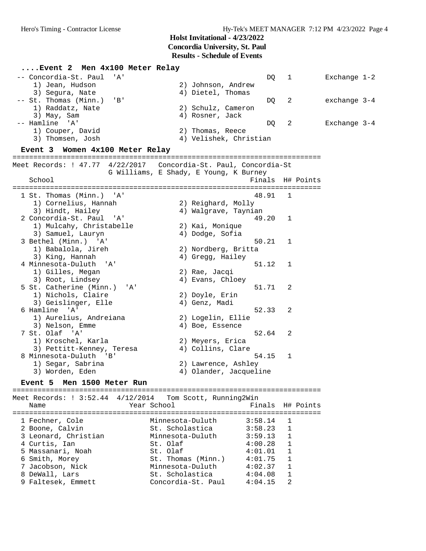#### **....Event 2 Men 4x100 Meter Relay** -- Concordia-St. Paul 'A' DQ 1 Exchange 1-2 1) Jean, Hudson 2) Johnson, Andrew 3) Segura, Nate 4) Dietel, Thomas -- St. Thomas (Minn.) 'B' DQ 2 exchange 3-4 1) Raddatz, Nate 2) Schulz, Cameron 3) May, Sam (3) May, Sam (3) May, Sam (4) Rosner, Jack -- Hamline 'A' DQ 2 Exchange 3-4 1) Couper, David 2) Thomas, Reece 3) Thomsen, Josh 4) Velishek, Christian **Event 3 Women 4x100 Meter Relay** ========================================================================== Meet Records: ! 47.77 4/22/2017 Concordia-St. Paul, Concordia-St G Williams, E Shady, E Young, K Burney School Finals H# Points ========================================================================== 1 St. Thomas (Minn.) 'A' 48.91 1 1) Cornelius, Hannah 2) Reighard, Molly 3) Hindt, Hailey 4) Walgrave, Taynian 2 Concordia-St. Paul 'A' 49.20 1 1) Mulcahy, Christabelle 2) Kai, Monique 3) Samuel, Lauryn 4) Dodge, Sofia 3 Bethel (Minn.) 'A' 50.21 1 1) Babalola, Jireh 2) Nordberg, Britta 3) King, Hannah 4) Gregg, Hailey 4 Minnesota-Duluth 'A' 51.12 1 1) Gilles, Megan 2) Rae, Jacqi 3) Root, Lindsey (4) Evans, Chloey 5 St. Catherine (Minn.) 'A' 51.71 2 1) Nichols, Claire 2) Doyle, Erin 3) Geislinger, Elle (4) Genz, Madi 6 Hamline 'A' 52.33 2 1) Aurelius, Andreiana 2) Logelin, Ellie 3) Nelson, Emme  $4)$  Boe, Essence 7 St. Olaf 'A' 52.64 2 1) Kroschel, Karla 2) Meyers, Erica 3) Pettitt-Kenney, Teresa (4) Collins, Clare 8 Minnesota-Duluth 'B' 54.15 1 1) Segar, Sabrina 2) Lawrence, Ashley 3) Worden, Eden 1986 (1998) Morden, Eden 1998 (1998) Morden, Jacqueline **Event 5 Men 1500 Meter Run** ==========================================================================

Meet Records: ! 3:52.44 4/12/2014 Tom Scott, Running2Win Name Year School Finals H# Points ========================================================================== 1 Fechner, Cole Minnesota-Duluth 3:58.14 1 2 Boone, Calvin St. Scholastica 3:58.23 1 3 Leonard, Christian Minnesota-Duluth 3:59.13 1 4 Curtis, Ian St. Olaf 4:00.28 1 5 Massanari, Noah St. Olaf 4:01.01 1 6 Smith, Morey St. Thomas (Minn.) 4:01.75 1 7 Jacobson, Nick Minnesota-Duluth 4:02.37 1 8 DeWall, Lars St. Scholastica 4:04.08 1 9 Faltesek, Emmett Concordia-St. Paul 4:04.15 2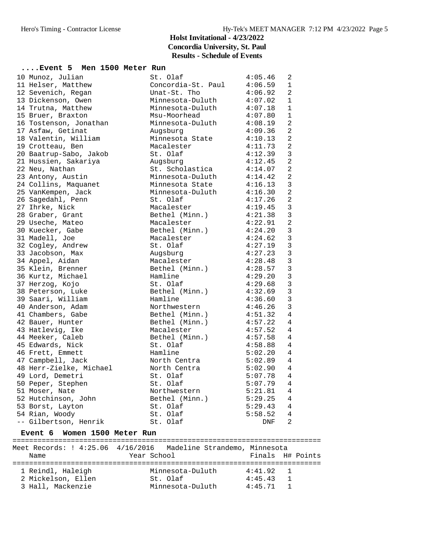| Event 5 Men 1500 Meter Run |                        |            |                |
|----------------------------|------------------------|------------|----------------|
| 10 Munoz, Julian           | St. Olaf               | 4:05.46    | 2              |
| 11 Helser, Matthew         | Concordia-St. Paul     | 4:06.59    | 1              |
| 12 Sevenich, Regan         | Unat-St. Tho           | 4:06.92    | 2              |
| 13 Dickenson, Owen         | Minnesota-Duluth       | 4:07.02    | $\mathbf{1}$   |
| 14 Trutna, Matthew         | Minnesota-Duluth       | 4:07.18    | $\mathbf{1}$   |
| 15 Bruer, Braxton          | Msu-Moorhead           | $4:07$ .80 | $\mathbf{1}$   |
| 16 Tostenson, Jonathan     | Minnesota-Duluth       | 4:08.19    | $\overline{2}$ |
| 17 Asfaw, Getinat          | Augsburg               | 4:09.36    | $\overline{a}$ |
| 18 Valentin, William       | Minnesota State        | 4:10.13    | $\overline{2}$ |
| 19 Crotteau, Ben           | Macalester             | 4:11.73    | $\overline{a}$ |
| 20 Baatrup-Sabo, Jakob     | St. Olaf               | 4:12.39    | $\mathbf{3}$   |
| 21 Hussien, Sakariya       | Augsburg               | 4:12.45    | $\overline{2}$ |
| 22 Neu, Nathan             | St. Scholastica        | 4:14.07    | $\overline{2}$ |
| 23 Antony, Austin          | Minnesota-Duluth       | 4:14.42    | $\overline{a}$ |
| 24 Collins, Maquanet       | Minnesota State        | 4:16.13    | $\mathbf{3}$   |
| 25 VanKempen, Jack         | Minnesota-Duluth       | 4:16.30    | $\overline{a}$ |
| 26 Sagedahl, Penn          | St. Olaf               | 4:17.26    | $\overline{2}$ |
| 27 Ihrke, Nick             | Macalester             | 4:19.45    | $\overline{3}$ |
| 28 Graber, Grant           | Bethel (Minn.) 4:21.38 |            | $\mathbf{3}$   |
| 29 Useche, Mateo           | Macalester             | 4:22.91    | $\overline{2}$ |
| 30 Kuecker, Gabe           | Bethel (Minn.)         | 4:24.20    | $\mathbf{3}$   |
| 31 Madell, Joe             | Macalester             | 4:24.62    | $\mathbf{3}$   |
| 32 Cogley, Andrew          | St. Olaf               | 4:27.19    | $\mathbf{3}$   |
| 33 Jacobson, Max           | Augsburg               | 4:27.23    | $\mathbf{3}$   |
| 34 Appel, Aidan            | Macalester             | 4:28.48    | $\overline{3}$ |
| 35 Klein, Brenner          | Bethel (Minn.)         | 4:28.57    | $\overline{3}$ |
| 36 Kurtz, Michael          | Hamline                | 4:29.20    | $\mathbf{3}$   |
| 37 Herzog, Kojo            | St. Olaf               | 4:29.68    | $\mathbf{3}$   |
| 38 Peterson, Luke          | Bethel (Minn.)         | 4:32.69    | $\mathbf{3}$   |
| 39 Saari, William          | Hamline                | 4:36.60    | $\overline{3}$ |
| 40 Anderson, Adam          | Northwestern           | 4:46.26    | $\mathbf{3}$   |
| 41 Chambers, Gabe          | Bethel (Minn.)         | 4:51.32    | 4              |
| 42 Bauer, Hunter           | Bethel (Minn.)         | 4:57.22    | 4              |
| 43 Hatlevig, Ike           | Macalester             | 4:57.52    | 4              |
| 44 Meeker, Caleb           | Bethel (Minn.)         | 4:57.58    | $\overline{4}$ |
| 45 Edwards, Nick           | St. Olaf               | 4:58.88    | $\overline{4}$ |
| 46 Frett, Emmett           | Hamline                | 5:02.20    | $\overline{4}$ |
| 47 Campbell, Jack          | North Centra           | 5:02.89    | $\overline{4}$ |
| 48 Herr-Zielke, Michael    | North Centra           | 5:02.90    | $\overline{4}$ |
| 49 Lord, Demetri           | St. Olaf               | 5:07.78    | 4              |
| 50 Peper, Stephen          | St. Olaf               | 5:07.79    | 4              |
| 51 Moser, Nate             | Northwestern           | 5:21.81    | $\overline{4}$ |
| 52 Hutchinson, John        | Bethel (Minn.)         | 5:29.25    | 4              |
| 53 Borst, Layton           | St. Olaf               | 5:29.43    | $\overline{4}$ |
| 54 Rian, Woody             | St. Olaf               | 5:58.52    | $\overline{4}$ |
| -- Gilbertson, Henrik      | St. Olaf               | <b>DNF</b> | 2              |

#### **Event 6 Women 1500 Meter Run**

========================================================================== Meet Records: ! 4:25.06 4/16/2016 Madeline Strandemo, Minnesota<br>Name Mame Tear School Finals H# Year School **Finals** H# Points ========================================================================== 1 Reindl, Haleigh Minnesota-Duluth 4:41.92 1 2 Mickelson, Ellen St. Olaf 4:45.43 1 3 Hall, Mackenzie Minnesota-Duluth 4:45.71 1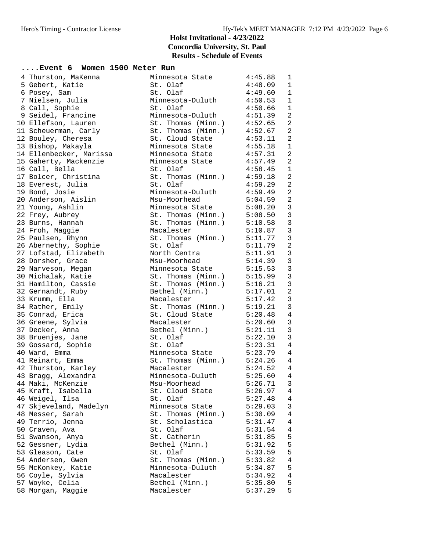| Event 6 Women 1500 Meter Run          |                                                      |                                        |
|---------------------------------------|------------------------------------------------------|----------------------------------------|
| 4 Thurston, MaKenna                   | Minnesota State 4:45.88                              | $\mathbf{1}$                           |
| 5 Gebert, Katie                       | St. Olaf                                             | 4:48.09<br>$\mathbf{1}$                |
| 6 Posey, Sam                          | St. Olaf                                             | 4:49.60<br>$\mathbf{1}$                |
| 7 Nielsen, Julia                      | Minnesota-Duluth 4:50.53                             | $\mathbf{1}$                           |
| 8 Call, Sophie                        | St. Olaf                                             | $\mathbf{1}$<br>4:50.66                |
| 9 Seidel, Francine                    | Minnesota-Duluth 4:51.39                             | 2                                      |
| 10 Ellefson, Lauren                   | St. Thomas $(Minn.)$ 4:52.65                         | 2                                      |
| 11 Scheuerman, Carly                  | St. Thomas (Minn.) $4:52.67$                         | 2                                      |
| 12 Bouley, Cheresa                    | St. Cloud State                                      | 4:53.11<br>2                           |
| 13 Bishop, Makayla                    | Minnesota State 4:55.18                              | $\mathbf{1}$                           |
| 14 Ellenbecker, Marissa               | Minnesota State 4:57.31                              | 2                                      |
| 15 Gaherty, Mackenzie                 | Minnesota State 4:57.49                              | 2                                      |
| 16 Call, Bella                        | St. Olaf                                             | $\mathbf{1}$<br>4:58.45                |
| 17 Bolcer, Christina                  | St. Thomas (Minn.) $4:59.18$                         | 2                                      |
| 18 Everest, Julia                     | St. Olaf                                             | $\overline{a}$<br>4:59.29              |
| 19 Bond, Josie                        | Minnesota-Duluth                                     | 4:59.49<br>2                           |
| 20 Anderson, Aislin                   | Msu-Moorhead 5:04.59                                 | $\overline{c}$                         |
| 21 Young, Ashlin                      | Minnesota State 5:08.20                              | $\mathbf{3}$                           |
| 22 Frey, Aubrey                       | St. Thomas $(Minn.)$ $5:08.50$                       | $\mathbf{3}$                           |
| 23 Burns, Hannah                      | St. Thomas (Minn.)                                   | $\overline{3}$<br>5:10.58              |
| 24 Froh, Maggie                       | Macalester                                           | $\overline{3}$<br>5:10.87              |
| 25 Paulsen, Rhynn                     | St. Thomas (Minn.) $5:11.77$                         | $\mathbf{3}$                           |
| 26 Abernethy, Sophie                  | St. Olaf                                             | $\overline{2}$<br>5:11.79              |
| 27 Lofstad, Elizabeth                 | North Centra 5:11.91                                 | $\mathbf{3}$                           |
| 28 Dorsher, Grace                     | Msu-Moorhead                                         | $\mathbf{3}$<br>5:14.39                |
| 29 Narveson, Megan                    | Minnesota State                                      | $\overline{3}$<br>5:15.53<br>5:15.99   |
| 30 Michalak, Katie                    | St. Thomas (Minn.)                                   | $\overline{3}$                         |
| 31 Hamilton, Cassie                   | St. Thomas (Minn.) $5:16.21$                         | $\overline{3}$                         |
| 32 Gernandt, Ruby                     | Bethel (Minn.) 5:17.01                               | $\overline{c}$                         |
| 33 Krumm, Ella                        | Macalester                                           | $\mathbf{3}$<br>5:17.42                |
| 34 Rather, Emily                      | St. Thomas $(Minn.)$ 5:19.21                         | $\mathbf{3}$                           |
| 35 Conrad, Erica                      | St. Cloud State                                      | $\overline{4}$<br>$5:20.48$<br>5:20.48 |
| 36 Greene, Sylvia                     | Macalester                                           | $\mathbf{3}$                           |
| 37 Decker, Anna                       | Bethel (Minn.) $5:21.11$                             | $\mathbf{3}$                           |
| 38 Bruenjes, Jane                     | St. Olaf                                             | $\mathbf{3}$<br>5:22.10                |
| 39 Gossard, Sophie                    | St. Olaf                                             | 5:23.31 4                              |
| 40 Ward, Emma                         | Minnesota State 5:23.79                              | $\overline{4}$                         |
| 41 Reinart, Emma                      | St. Thomas (Minn.) 5:24.26 4<br>Macalester 5:24.52 4 |                                        |
| 42 Thurston, Karley                   |                                                      |                                        |
| 43 Bragg, Alexandra                   | Minnesota-Duluth                                     | 5:25.60 4                              |
| 44 Maki, McKenzie                     | Msu-Moorhead                                         | 5:26.71<br>3                           |
| 45 Kraft, Isabella                    | St. Cloud State                                      | 5:26.97<br>4                           |
| 46 Weigel, Ilsa                       | St. Olaf                                             | 4<br>5:27.48                           |
| 47 Skjeveland, Madelyn                | Minnesota State                                      | $\mathsf{3}$<br>5:29.03<br>4           |
| 48 Messer, Sarah                      | St. Thomas (Minn.)                                   | 5:30.09                                |
| 49 Terrio, Jenna                      | St. Scholastica<br>St. Olaf                          | 5:31.47<br>4<br>5:31.54                |
| 50 Craven, Ava                        | St. Catherin                                         | 4<br>5                                 |
| 51 Swanson, Anya                      |                                                      | 5:31.85<br>5                           |
| 52 Gessner, Lydia<br>53 Gleason, Cate | Bethel (Minn.)<br>St. Olaf                           | 5:31.92<br>$\mathsf S$<br>5:33.59      |
| 54 Andersen, Gwen                     | St. Thomas (Minn.)                                   | 4<br>5:33.82                           |
| 55 McKonkey, Katie                    | Minnesota-Duluth                                     | 5<br>5:34.87                           |
| 56 Coyle, Sylvia                      | Macalester                                           | 5:34.92<br>4                           |
| 57 Woyke, Celia                       | Bethel (Minn.)                                       | 5<br>5:35.80                           |
| 58 Morgan, Maggie                     | Macalester                                           | 5<br>5:37.29                           |
|                                       |                                                      |                                        |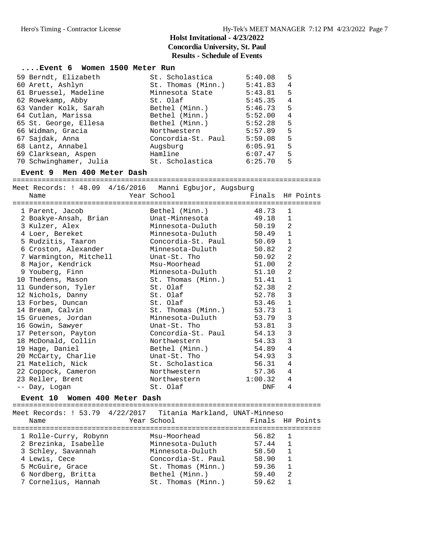| Event 6 Women 1500 Meter Run                                   |                                             |                  |                |  |
|----------------------------------------------------------------|---------------------------------------------|------------------|----------------|--|
| 59 Berndt, Elizabeth                                           | St. Scholastica                             | 5:40.08          | 5              |  |
| 60 Arett, Ashlyn                                               | St. Thomas (Minn.)                          | 5:41.83          | 4              |  |
|                                                                |                                             | 5:43.81          | 5              |  |
| 61 Bruessel, Madeline                                          | Minnesota State                             |                  |                |  |
| 62 Rowekamp, Abby                                              | St. Olaf                                    | 5:45.35          | 4              |  |
| 63 Vander Kolk, Sarah                                          | Bethel (Minn.) 5:46.73                      |                  | 5              |  |
| 64 Cutlan, Marissa                                             | Bethel (Minn.) 5:52.00                      |                  | $\overline{4}$ |  |
| 65 St. George, Ellesa                                          | Bethel (Minn.)                              | 5:52.28          | 5              |  |
| 66 Widman, Gracia                                              | Northwestern                                | 5:57.89          | 5              |  |
| 67 Sajdak, Anna                                                | Not chwebeer.<br>Concordia-St. Paul 5:59.08 |                  | 5              |  |
| 68 Lantz, Annabel                                              |                                             | 6:05.91          | 5              |  |
| 69 Clarksean, Aspen                                            | Augsburg<br>Hamline                         | 6:07.47          | 5              |  |
| 70 Schwinghamer, Julia bt. Scholastica 6:25.70                 |                                             |                  | 5              |  |
| Event 9 Men 400 Meter Dash                                     |                                             |                  |                |  |
|                                                                |                                             |                  |                |  |
| Meet Records: ! 48.09 4/16/2016 Manni Egbujor, Augsburg        |                                             |                  |                |  |
| Name                                                           | Year School                                 | Finals H# Points |                |  |
|                                                                |                                             |                  |                |  |
| 1 Parent, Jacob                                                |                                             |                  | 1              |  |
|                                                                |                                             |                  | 1              |  |
| 3 Kulzer, Alex                                                 | Minnesota-Duluth                            | $50.19$ 2        |                |  |
| 4 Loer, Bereket                                                | Minnesota-Duluth 50.49                      |                  | $\mathbf{1}$   |  |
| 5 Rudzitis, Taaron                                             | Concordia-St. Paul 50.69                    |                  | $\mathbf{1}$   |  |
|                                                                |                                             |                  | 2              |  |
| 6 Croston, Alexander                                           | Minnesota-Duluth                            | 50.82            |                |  |
| 7 Warmington, Mitchell                                         | Unat-St. Tho                                | 50.92            | $\overline{2}$ |  |
| 8 Major, Kendrick                                              | Msu-Moorhead                                | 51.00            | $\overline{a}$ |  |
| 9 Youberg, Finn                                                | Minnesota-Duluth                            | 51.10            | 2              |  |
| 10 Thedens, Mason                                              | St. Thomas (Minn.) 51.41                    |                  | $\mathbf 1$    |  |
| 11 Gunderson, Tyler                                            | St. Olaf                                    | 52.38            | $\overline{2}$ |  |
| 12 Nichols, Danny                                              | St. Olaf                                    | 52.78            | 3              |  |
| 13 Forbes, Duncan                                              | St. Olaf                                    | 53.46            | $\mathbf{1}$   |  |
| 14 Bream, Calvin                                               | St. Thomas (Minn.)                          | 53.73            | $\mathbf 1$    |  |
| 15 Gruenes, Jordan                                             | Minnesota-Duluth                            | 53.79            | $\overline{3}$ |  |
| 16 Gowin, Sawyer                                               | Unat-St. Tho                                | 53.81            | $\mathsf 3$    |  |
|                                                                |                                             |                  | $\mathsf 3$    |  |
| 17 Peterson, Payton                                            | Concordia-St. Paul 54.13                    |                  |                |  |
| 18 McDonald, Collin                                            | Northwestern                                | 54.33            | $\overline{3}$ |  |
| 19 Hage, Daniel                                                | Bethel (Minn.)                              | 54.89 4          |                |  |
| 20 McCarty, Charlie                                            | Unat-St. Tho                                | 54.93            | $\mathbf{3}$   |  |
| 21 Matelich, Nick                                              | St. Scholastica                             | 56.31            | $\overline{4}$ |  |
| 22 Coppock, Cameron                                            | Northwestern                                | 57.36            | 4              |  |
| 23 Reller, Brent                                               | Northwestern                                | 1:00.32 4        |                |  |
| -- Day, Logan                                                  | St. Olaf                                    | DNF 4            |                |  |
| Event 10 Women 400 Meter Dash                                  |                                             |                  |                |  |
|                                                                |                                             |                  |                |  |
| Meet Records: ! 53.79 4/22/2017 Titania Markland, UNAT-Minneso |                                             |                  |                |  |
| Name                                                           | Year School                                 | Finals H# Points |                |  |
|                                                                |                                             |                  |                |  |
| 1 Rolle-Curry, Robynn                                          | Msu-Moorhead                                | 56.82            | 1              |  |
| 2 Brezinka, Isabelle                                           | Minnesota-Duluth                            | 57.44            | 1              |  |
| 3 Schley, Savannah                                             | Minnesota-Duluth                            | 58.50            | 1              |  |
| 4 Lewis, Cece                                                  | Concordia-St. Paul 58.90                    |                  | 1              |  |
| 5 McGuire, Grace                                               | St. Thomas (Minn.) 59.36                    |                  | 1              |  |
| 6 Nordberg, Britta                                             | Bethel (Minn.)                              | 59.40            | 2              |  |
| 7 Cornelius, Hannah                                            | St. Thomas (Minn.) 59.62                    |                  | 1              |  |
|                                                                |                                             |                  |                |  |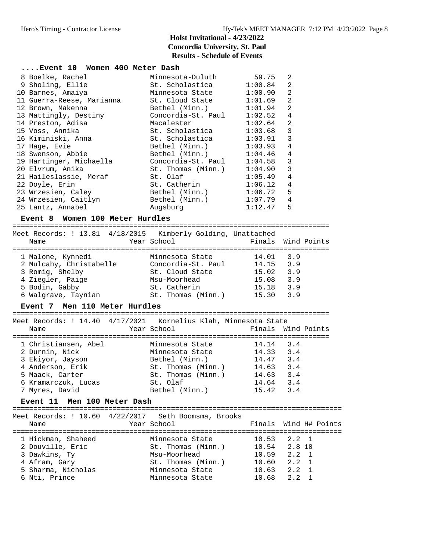| Event 10 Women 400 Meter Dash                                                                                                                                                                                                  |                                                    |                    |                |                       |
|--------------------------------------------------------------------------------------------------------------------------------------------------------------------------------------------------------------------------------|----------------------------------------------------|--------------------|----------------|-----------------------|
| 8 Boelke, Rachel                                                                                                                                                                                                               | Minnesota-Duluth 59.75                             |                    | 2              |                       |
| 9 Sholing, Ellie                                                                                                                                                                                                               | St. Scholastica 1:00.84                            |                    | $\overline{a}$ |                       |
| 10 Barnes, Amaiya                                                                                                                                                                                                              | Minnesota State 1:00.90                            |                    | $\overline{2}$ |                       |
| 11 Guerra-Reese, Marianna                                                                                                                                                                                                      | St. Cloud State 1:01.69                            |                    | $\overline{2}$ |                       |
| 12 Brown, Makenna                                                                                                                                                                                                              | Bethel (Minn.) $1:01.94$                           |                    | $\overline{2}$ |                       |
|                                                                                                                                                                                                                                | Concordia-St. Paul 1:02.52                         |                    | 4              |                       |
| 13 Mattingly, Destiny<br>14 Preston, Adisa<br>15 Voss, Annika                                                                                                                                                                  | Macalester                                         | 1:02.64            | $\overline{a}$ |                       |
|                                                                                                                                                                                                                                | St. Scholastica 1:03.68                            |                    | $\mathbf{3}$   |                       |
| 16 Kiminiski, Anna (b. 1888). Scholastica (b. 1891).<br>16 Kiminiski, Anna (b. 1888). Scholastica (b. 1891).                                                                                                                   |                                                    |                    | 3              |                       |
| 17 Hage, Evie                                                                                                                                                                                                                  | Bethel (Minn.) 1:03.93                             |                    | 4              |                       |
| 18 Swenson, Abbie                                                                                                                                                                                                              | Bethel (Minn.) 1:04.46                             |                    | 4              |                       |
|                                                                                                                                                                                                                                |                                                    |                    | $\overline{3}$ |                       |
| 19 Hartinger, Michaella Concordia-St. Paul 1:04.58                                                                                                                                                                             |                                                    |                    |                |                       |
| 20 Elvrum, Anika                                                                                                                                                                                                               | St. Thomas (Minn.) 1:04.90 3<br>St. Olaf 1:05.49 4 |                    |                |                       |
| 21 Haileslassie, Meraf                                                                                                                                                                                                         | St. Catherin 1:06.12 4                             |                    |                |                       |
| 22 Doyle, Erin                                                                                                                                                                                                                 |                                                    |                    |                |                       |
| 23 Wrzesien, Caley                                                                                                                                                                                                             | Bethel (Minn.) 1:06.72                             |                    | 5              |                       |
| 24 Wrzesien, Caitlyn Bethel (Minn.) 1:07.79 4                                                                                                                                                                                  |                                                    |                    |                |                       |
| 25 Lantz, Annabel                                                                                                                                                                                                              | Augsburg                                           | $1:12.47$ 5        |                |                       |
| Event 8 Women 100 Meter Hurdles                                                                                                                                                                                                |                                                    |                    |                |                       |
|                                                                                                                                                                                                                                |                                                    |                    |                |                       |
| Meet Records: ! 13.81 4/18/2015 Kimberly Golding, Unattached                                                                                                                                                                   |                                                    |                    |                |                       |
| Name                                                                                                                                                                                                                           | Year School                                        | Finals Wind Points |                |                       |
| 1 Malone, Kynnedi                                                                                                                                                                                                              | Minnesota State                                    | 14.01 3.9          |                |                       |
|                                                                                                                                                                                                                                |                                                    |                    |                |                       |
| 2 Mulcahy, Christabelle Concordia-St. Paul 14.15 3.9<br>3 Romig, Shelby St. Cloud State 15.02 3.9                                                                                                                              |                                                    |                    |                |                       |
| 4 Ziegler, Paige Msu-Moorhead 15.08 3.9                                                                                                                                                                                        |                                                    |                    |                |                       |
| 5 Bodin, Gabby                                                                                                                                                                                                                 |                                                    |                    |                |                       |
| 6 Walgrave, Taynian St. Thomas (Minn.) 15.30 3.9                                                                                                                                                                               | St. Catherin                                       | 15.18 3.9          |                |                       |
|                                                                                                                                                                                                                                |                                                    |                    |                |                       |
| Event 7 Men 110 Meter Hurdles                                                                                                                                                                                                  |                                                    |                    |                |                       |
| Meet Records: ! 14.40 4/17/2021 Kornelius Klah, Minnesota State                                                                                                                                                                |                                                    |                    |                |                       |
| Name and the state of the state of the state of the state of the state of the state of the state of the state of the state of the state of the state of the state of the state of the state of the state of the state of the s | Year School                                        | Finals Wind Points |                |                       |
|                                                                                                                                                                                                                                |                                                    |                    |                |                       |
| 1 Christiansen, Abel                  Minnesota State                 14.14    3.4<br>2 Durnin, Nick                         Minnesota State                14.33    3.4                                                       |                                                    |                    |                |                       |
|                                                                                                                                                                                                                                |                                                    |                    |                |                       |
| 3 Ekiyor, Jayson Bethel (Minn.) 14.47 3.4                                                                                                                                                                                      |                                                    |                    |                |                       |
| 4 Anderson, Erik                                                                                                                                                                                                               | St. Thomas (Minn.) 14.63 3.4                       |                    |                |                       |
| 5 Maack, Carter                                                                                                                                                                                                                | St. Thomas (Minn.)                                 | 14.63 3.4          |                |                       |
| 6 Kramarczuk, Lucas                                                                                                                                                                                                            | St. Olaf                                           | 14.64 3.4          |                |                       |
| 7 Myres, David                                                                                                                                                                                                                 | Bethel (Minn.)                                     | $15.42 \t3.4$      |                |                       |
| Event 11 Men 100 Meter Dash                                                                                                                                                                                                    |                                                    |                    |                |                       |
|                                                                                                                                                                                                                                |                                                    |                    |                |                       |
| Meet Records: ! 10.60 4/22/2017 Seth Boomsma, Brooks                                                                                                                                                                           |                                                    |                    |                |                       |
| Name                                                                                                                                                                                                                           | Year School                                        |                    |                | Finals Wind H# Points |
|                                                                                                                                                                                                                                |                                                    |                    |                |                       |
| 1 Hickman, Shaheed                                                                                                                                                                                                             | Minnesota State                                    | 10.53              | $2 \cdot 2$    | 1                     |
| 2 Douville, Eric                                                                                                                                                                                                               | St. Thomas (Minn.)                                 | 10.54              | 2.8 10         |                       |
| 3 Dawkins, Ty                                                                                                                                                                                                                  | Msu-Moorhead                                       | 10.59              | 2.2            | 1                     |
| 4 Afram, Gary                                                                                                                                                                                                                  | St. Thomas (Minn.)                                 | 10.60              | 2.2            | 1                     |
| 5 Sharma, Nicholas                                                                                                                                                                                                             | Minnesota State                                    | 10.63              | 2.2            | 1                     |
| 6 Nti, Prince                                                                                                                                                                                                                  | Minnesota State                                    | 10.68              | 2.2            | 1                     |
|                                                                                                                                                                                                                                |                                                    |                    |                |                       |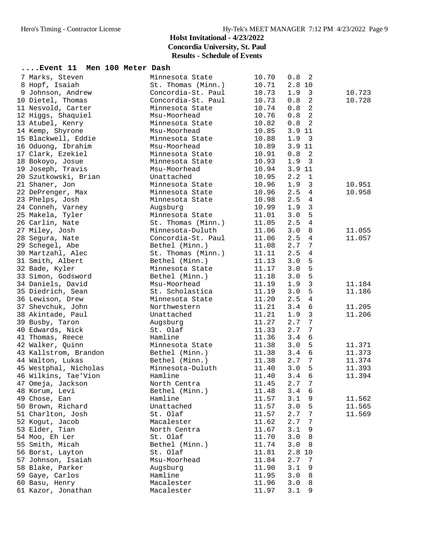# **Holst Invitational - 4/23/2022 Concordia University, St. Paul**

**Results - Schedule of Events**

| Event 11 Men 100 Meter Dash |                    |       |                                |        |
|-----------------------------|--------------------|-------|--------------------------------|--------|
| 7 Marks, Steven             | Minnesota State    | 10.70 | 0.8<br>2                       |        |
| 8 Hopf, Isaiah              | St. Thomas (Minn.) | 10.71 | 2.8 10                         |        |
| 9 Johnson, Andrew           | Concordia-St. Paul | 10.73 | $\overline{\mathbf{3}}$<br>1.9 | 10.723 |
| 10 Dietel, Thomas           | Concordia-St. Paul | 10.73 | $\overline{2}$<br>0.8          | 10.728 |
| 11 Nesvold, Carter          | Minnesota State    | 10.74 | $\overline{c}$<br>0.8          |        |
| 12 Higgs, Shaquiel          | Msu-Moorhead       | 10.76 | 2<br>0.8                       |        |
| 13 Atubel, Kenry            | Minnesota State    | 10.82 | 2<br>0.8                       |        |
| 14 Kemp, Shyrone            | Msu-Moorhead       | 10.85 | 3.9 11                         |        |
| 15 Blackwell, Eddie         | Minnesota State    | 10.88 | $\overline{\mathbf{3}}$<br>1.9 |        |
| 16 Oduong, Ibrahim          | Msu-Moorhead       | 10.89 | 3.911                          |        |
| 17 Clark, Ezekiel           | Minnesota State    | 10.91 | $\overline{2}$<br>0.8          |        |
| 18 Bokoyo, Josue            | Minnesota State    | 10.93 | 1.9<br>$\overline{\mathbf{3}}$ |        |
| 19 Joseph, Travis           | Msu-Moorhead       | 10.94 | 3.9 11                         |        |
| 20 Szutkowski, Brian        | Unattached         | 10.95 | 2.2<br>1                       |        |
| 21 Shaner, Jon              | Minnesota State    | 10.96 | 3<br>1.9                       | 10.951 |
| 22 DePrenger, Max           | Minnesota State    | 10.96 | $\overline{4}$<br>2.5          | 10.958 |
| 23 Phelps, Josh             | Minnesota State    | 10.98 | 2.5<br>4                       |        |
| 24 Conneh, Varney           | Augsburg           | 10.99 | 3<br>1.9                       |        |
| 25 Makela, Tyler            | Minnesota State    | 11.01 | 5<br>3.0                       |        |
| 26 Carlin, Nate             | St. Thomas (Minn.) | 11.05 | $\overline{4}$<br>2.5          |        |
| 27 Miley, Josh              | Minnesota-Duluth   | 11.06 | 8<br>3.0                       | 11.055 |
| 28 Segura, Nate             | Concordia-St. Paul | 11.06 | 2.5<br>4                       | 11.057 |
| 29 Schegel, Abe             | Bethel (Minn.)     | 11.08 | 2.7<br>7                       |        |
| 30 Martzahl, Alec           | St. Thomas (Minn.) | 11.11 | 2.5<br>4                       |        |
| 31 Smith, Albert            | Bethel (Minn.)     | 11.13 | 5<br>3.0                       |        |
| 32 Bade, Kyler              | Minnesota State    | 11.17 | 5<br>3.0                       |        |
| 33 Simon, Godsword          | Bethel (Minn.)     | 11.18 | 5<br>3.0                       |        |
| 34 Daniels, David           | Msu-Moorhead       | 11.19 | $\mathbf{3}$<br>1.9            | 11.184 |
| 35 Diedrich, Sean           | St. Scholastica    | 11.19 | 3.0<br>5                       | 11.186 |
| 36 Lewison, Drew            | Minnesota State    | 11.20 | 2.5<br>4                       |        |
| 37 Shevchuk, John           | Northwestern       | 11.21 | 6<br>3.4                       | 11.205 |
| 38 Akintade, Paul           | Unattached         | 11.21 | 3<br>1.9                       | 11.206 |
| 39 Busby, Taron             | Augsburg           | 11.27 | 2.7<br>$\overline{7}$          |        |
| 40 Edwards, Nick            | St. Olaf           | 11.33 | 2.7<br>$\overline{7}$          |        |
| 41 Thomas, Reece            | Hamline            | 11.36 | 3.4<br>6                       |        |
| 42 Walker, Quinn            | Minnesota State    | 11.38 | 3.0<br>5                       | 11.371 |
| 43 Kallstrom, Brandon       | Bethel (Minn.)     | 11.38 | 6<br>3.4                       | 11.373 |
| 44 Walton, Lukas            | Bethel (Minn.)     | 11.38 | $\overline{7}$<br>2.7          | 11.374 |
| 45 Westphal, Nicholas       | Minnesota-Duluth   | 11.40 | 5<br>3.0                       | 11.393 |
| 46 Wilkins, Tae'Vion        | Hamline            |       | $11.40$ $3.4$ 6                | 11.394 |
| 47 Omeja, Jackson           | North Centra       | 11.45 | 7<br>2.7                       |        |
| 48 Korum, Levi              | Bethel (Minn.)     | 11.48 | 3.4<br>6                       |        |
| 49 Chose, Ean               | Hamline            | 11.57 | 3.1<br>9                       | 11.562 |
| 50 Brown, Richard           | Unattached         | 11.57 | 5<br>3.0                       | 11.565 |
| 51 Charlton, Josh           | St. Olaf           | 11.57 | 2.7<br>7                       | 11.569 |
| 52 Kogut, Jacob             | Macalester         | 11.62 | 2.7<br>7                       |        |
| 53 Elder, Tian              | North Centra       | 11.67 | 3.1<br>9                       |        |
| 54 Moo, Eh Ler              | St. Olaf           | 11.70 | 3.0<br>8                       |        |
| 55 Smith, Micah             | Bethel (Minn.)     | 11.74 | 3.0<br>8                       |        |
| 56 Borst, Layton            | St. Olaf           | 11.81 | 2.8 10                         |        |
| 57 Johnson, Isaiah          | Msu-Moorhead       | 11.84 | 2.7<br>7                       |        |
| 58 Blake, Parker            | Augsburg           | 11.90 | 9<br>3.1                       |        |
| 59 Gaye, Carlos             | Hamline            | 11.95 | 3.0<br>8                       |        |
| 60 Basu, Henry              | Macalester         | 11.96 | 3.0<br>8                       |        |
| 61 Kazor, Jonathan          | Macalester         | 11.97 | 3.1<br>9                       |        |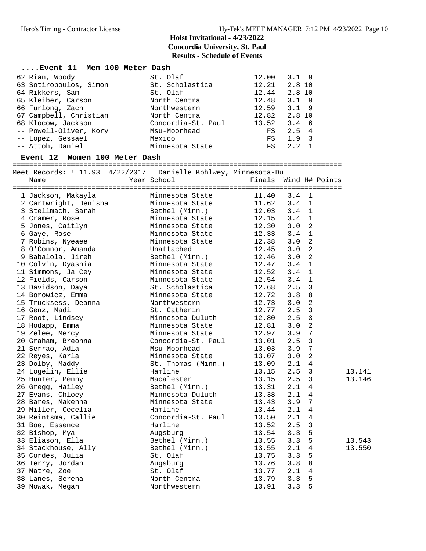| Event 11 Men 100 Meter Dash |                    |       |                                |
|-----------------------------|--------------------|-------|--------------------------------|
| 62 Rian, Woody              | St. Olaf           | 12.00 | $3.1 \quad 9$                  |
| 63 Sotiropoulos, Simon      | St. Scholastica    | 12.21 | 2.8 10                         |
| 64 Rikkers, Sam             | St. Olaf           | 12.44 | $2.8$ 10                       |
| 65 Kleiber, Carson          | North Centra       | 12.48 | $3.1$ 9                        |
| 66 Furlong, Zach            | Northwestern       | 12.59 | $3.1$ 9                        |
| 67 Campbell, Christian      | North Centra       | 12.82 | $2.8$ 10                       |
| 68 Klocow, Jackson          | Concordia-St. Paul | 13.52 | $3.4\quad 6$                   |
| -- Powell-Oliver, Kory      | Msu-Moorhead       | FS    | $2.5 \quad 4$                  |
| -- Lopez, Gessael           | Mexico             | FS    | $\overline{\mathbf{3}}$<br>1.9 |
| -- Attoh, Daniel            | Minnesota State    | FS    | 2.2                            |
|                             |                    |       |                                |

#### **Event 12 Women 100 Meter Dash**

===============================================================================

Meet Records: ! 11.93 4/22/2017 Danielle Kohlwey, Minnesota-Du

| Name                  | Year School        | Finals | Wind H# Points        |        |
|-----------------------|--------------------|--------|-----------------------|--------|
|                       |                    |        |                       |        |
| 1 Jackson, Makayla    | Minnesota State    | 11.40  | 3.4<br>1              |        |
| 2 Cartwright, Denisha | Minnesota State    | 11.62  | 3.4<br>$\mathbf 1$    |        |
| 3 Stellmach, Sarah    | Bethel (Minn.)     | 12.03  | $\mathbf{1}$<br>3.4   |        |
| 4 Cramer, Rose        | Minnesota State    | 12.15  | $\mathbf{1}$<br>3.4   |        |
| 5 Jones, Caitlyn      | Minnesota State    | 12.30  | $\overline{a}$<br>3.0 |        |
| 6 Gaye, Rose          | Minnesota State    | 12.33  | $\mathbf{1}$<br>3.4   |        |
| 7 Robins, Nyeaee      | Minnesota State    | 12.38  | 3.0<br>$\overline{a}$ |        |
| 8 O'Connor, Amanda    | Unattached         | 12.45  | 2<br>3.0              |        |
| 9 Babalola, Jireh     | Bethel (Minn.)     | 12.46  | $\overline{2}$<br>3.0 |        |
| 10 Colvin, Dyashia    | Minnesota State    | 12.47  | $\mathbf{1}$<br>3.4   |        |
| 11 Simmons, Ja'Cey    | Minnesota State    | 12.52  | $\mathbf{1}$<br>3.4   |        |
| 12 Fields, Carson     | Minnesota State    | 12.54  | $\mathbf{1}$<br>3.4   |        |
| 13 Davidson, Daya     | St. Scholastica    | 12.68  | 2.5<br>3              |        |
| 14 Borowicz, Emma     | Minnesota State    | 12.72  | $\,8\,$<br>3.8        |        |
| 15 Trucksess, Deanna  | Northwestern       | 12.73  | $\overline{2}$<br>3.0 |        |
| 16 Genz, Madi         | St. Catherin       | 12.77  | $\mathbf{3}$<br>2.5   |        |
| 17 Root, Lindsey      | Minnesota-Duluth   | 12.80  | $\mathbf{3}$<br>2.5   |        |
| 18 Hodapp, Emma       | Minnesota State    | 12.81  | $\overline{a}$<br>3.0 |        |
| 19 Zelee, Mercy       | Minnesota State    | 12.97  | $\overline{7}$<br>3.9 |        |
| 20 Graham, Breonna    | Concordia-St. Paul | 13.01  | $\mathbf{3}$<br>2.5   |        |
| 21 Serrao, Adla       | Msu-Moorhead       | 13.03  | $7\phantom{.}$<br>3.9 |        |
| 22 Reyes, Karla       | Minnesota State    | 13.07  | $\overline{a}$<br>3.0 |        |
| 23 Dolby, Maddy       | St. Thomas (Minn.) | 13.09  | 2.1<br>$\overline{4}$ |        |
| 24 Logelin, Ellie     | Hamline            | 13.15  | 2.5<br>3              | 13.141 |
| 25 Hunter, Penny      | Macalester         | 13.15  | 3<br>2.5              | 13.146 |
| 26 Gregg, Hailey      | Bethel (Minn.)     | 13.31  | 4<br>2.1              |        |
| 27 Evans, Chloey      | Minnesota-Duluth   | 13.38  | $\overline{4}$<br>2.1 |        |
| 28 Bares, Makenna     | Minnesota State    | 13.43  | $\overline{7}$<br>3.9 |        |
| 29 Miller, Cecelia    | Hamline            | 13.44  | 2.1<br>4              |        |
| 30 Reintsma, Callie   | Concordia-St. Paul | 13.50  | 2.1<br>4              |        |
| 31 Boe, Essence       | Hamline            | 13.52  | 2.5<br>3              |        |
| 32 Bishop, Mya        | Augsburg           | 13.54  | 5<br>3.3              |        |
| 33 Eliason, Ella      | Bethel (Minn.)     | 13.55  | 5<br>3.3              | 13.543 |
| 34 Stackhouse, Ally   | Bethel (Minn.)     | 13.55  | 4<br>2.1              | 13.550 |
| 35 Cordes, Julia      | St. Olaf           | 13.75  | 5<br>3.3              |        |
| 36 Terry, Jordan      | Augsburg           | 13.76  | 8<br>3.8              |        |
| 37 Matre, Zoe         | St. Olaf           | 13.77  | 2.1<br>$\overline{4}$ |        |
| 38 Lanes, Serena      | North Centra       | 13.79  | 5<br>3.3              |        |
| 39 Nowak, Megan       | Northwestern       | 13.91  | 5<br>3.3              |        |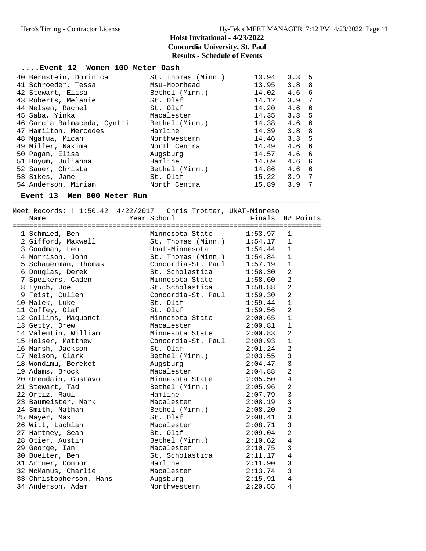#### **....Event 12 Women 100 Meter Dash** 40 Bernstein, Dominica St. Thomas (Minn.) 13.94 3.3 5 41 Schroeder, Tessa Msu-Moorhead 13.95 3.8 8 42 Stewart, Elisa Bethel (Minn.) 14.02 4.6 6 43 Roberts, Melanie St. Olaf 14.12 3.9 7 44 Nelsen, Rachel St. Olaf 14.20 4.6 6 45 Saba, Yinka Macalester 14.35 3.3 5 46 Garcia Balmaceda, Cynthi Bethel (Minn.) 14.38 4.6 6 47 Hamilton, Mercedes Hamline 14.39 3.8 8 48 Ngafua, Micah Northwestern 14.46 3.3 5 49 Miller, Nakima North Centra 14.49 4.6 6 50 Pagan, Elisa Augsburg 14.57 4.6 6 51 Boyum, Julianna Hamline 14.69 4.6 6 52 Sauer, Christa Bethel (Minn.) 14.86 4.6 6 53 Sikes, Jane St. Olaf 15.22 3.9 7 54 Anderson, Miriam North Centra 15.89 3.9 7

#### **Event 13 Men 800 Meter Run**

==========================================================================

| Meet Records: ! 1:50.42 4/22/2017 Chris Trotter, UNAT-Minneso<br>Name                                                     |                 | Finals H# Points                                                                |                         |  |
|---------------------------------------------------------------------------------------------------------------------------|-----------------|---------------------------------------------------------------------------------|-------------------------|--|
|                                                                                                                           | Year School     |                                                                                 |                         |  |
| 1 Schmied, Ben                                                                                                            |                 |                                                                                 | 1                       |  |
|                                                                                                                           |                 | Minnesota State 1:53.97<br>St. Thomas (Minn.) 1:54.17<br>Unat-Minnesota 1:54.44 | 1                       |  |
| 2 Gifford, Maxwell<br>3 Goodman, Leo                                                                                      |                 |                                                                                 | $\mathbf{1}$            |  |
| 4 Morrison, John St. Thomas (Minn.) 1:54.84                                                                               |                 |                                                                                 | $\mathbf{1}$            |  |
| 5 Schauerman, Thomas Concordia-St. Paul 1:57.19                                                                           |                 |                                                                                 | $\mathbf{1}$            |  |
| 6 Douglas, Derek                                                                                                          |                 | St. Scholastica 1:58.30                                                         | $\overline{a}$          |  |
| 7 Speikers, Caden Minnesota State                                                                                         |                 | 1:58.60                                                                         | $\overline{2}$          |  |
| 8 Lynch, Joe                                                                                                              |                 | St. Scholastica 1:58.88                                                         | $\overline{2}$          |  |
| 9 Feist, Cullen Concordia-St. Paul 1:59.30                                                                                |                 |                                                                                 | $\overline{a}$          |  |
| 10 Malek, Luke                                                                                                            | St. Olaf        | 1:59.44                                                                         | $\mathbf{1}$            |  |
| 11 Coffey, Olaf                                                                                                           | St. Olaf        | 1:59.56                                                                         | $\overline{2}$          |  |
| 12 Collins, Maquanet Minnesota State 2:00.65                                                                              |                 |                                                                                 | $\mathbf{1}$            |  |
| 13 Getty, Drew                                                                                                            | Macalester      | 2:00.81                                                                         | $\mathbf{1}$            |  |
| 14 Valentin, William             Minnesota State           2:00.83                                                        |                 |                                                                                 | 2                       |  |
| 15 Helser, Matthew                                                                                                        |                 | Concordia-St. Paul 2:00.93                                                      | $\mathbf{1}$            |  |
| 16 Marsh, Jackson                                                                                                         | St. Olaf        | 2:01.24                                                                         | $\overline{c}$          |  |
| 17 Nelson, Clark                                                                                                          |                 | Bethel (Minn.) 2:03.55 3                                                        |                         |  |
| 18 Wondimu, Bereket and Augsburg                                                                                          |                 | 2:04.47                                                                         | $\mathbf{3}$            |  |
| 19 Adams, Brock                                                                                                           |                 | Macalester 2:04.88                                                              | $\overline{2}$          |  |
| 20 Orendain, Gustavo       Minnesota State       2:05.50   4                                                              |                 |                                                                                 |                         |  |
| 21 Stewart, Tad                                                                                                           |                 | Bethel (Minn.) 2:05.96 2                                                        |                         |  |
| 22 Ortiz, Raul                                                                                                            | Hamline         | $2:07.79$ 3                                                                     |                         |  |
|                                                                                                                           |                 |                                                                                 |                         |  |
|                                                                                                                           |                 |                                                                                 |                         |  |
| 23 Baumeister, Mark Macalester 2:08.19 3<br>24 Smith, Nathan Bethel (Minn.) 2:08.20 2<br>25 Mayer, Max St. Olaf 2:08.41 3 |                 |                                                                                 |                         |  |
| 26 Witt, Lachlan                                                                                                          |                 | Macalester 2:08.71<br>St. Olaf 2:09.04                                          | $\overline{\mathbf{3}}$ |  |
| 27 Hartney, Sean                                                                                                          |                 |                                                                                 | $\overline{2}$          |  |
| 28 Otier, Austin                                                                                                          | Bethel (Minn.)  | 2:10.62                                                                         | $\overline{4}$          |  |
| 29 George, Ian                                                                                                            | Macalester      | 2:10.75                                                                         | $\overline{3}$          |  |
| 30 Boelter, Ben                                                                                                           | St. Scholastica | 2:11.17                                                                         | $\overline{4}$          |  |
| 31 Artner, Connor                                                                                                         | Hamline         | 2:11.90                                                                         | $\overline{\mathbf{3}}$ |  |
| 32 McManus, Charlie<br>33 Christopherson, Hans Morthwestern                                                               |                 | $2:13.74$ 3<br>$2:15.91$ 4                                                      |                         |  |
|                                                                                                                           |                 |                                                                                 |                         |  |
|                                                                                                                           |                 | 2:20.55                                                                         | $\overline{4}$          |  |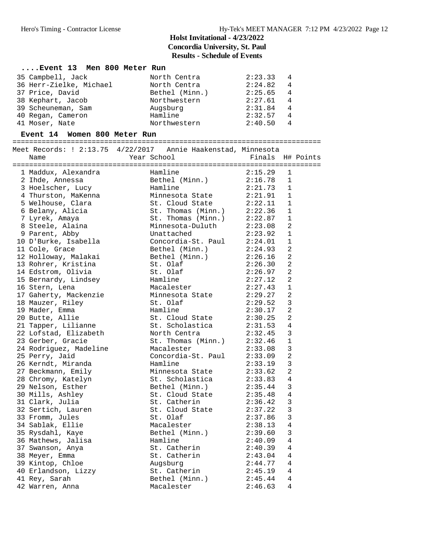#### **....Event 13 Men 800 Meter Run**

| 35 Campbell, Jack       | North Centra   | 2:23.33 |   |
|-------------------------|----------------|---------|---|
| 36 Herr-Zielke, Michael | North Centra   | 2:24.82 | 4 |
| 37 Price, David         | Bethel (Minn.) | 2:25.65 | 4 |
| 38 Kephart, Jacob       | Northwestern   | 2:27.61 | 4 |
| 39 Scheuneman, Sam      | Augsburg       | 2:31.84 | 4 |
| 40 Regan, Cameron       | Hamline        | 2:32.57 | 4 |
| 41 Moser, Nate          | Northwestern   | 2:40.50 | 4 |

#### **Event 14 Women 800 Meter Run**

==========================================================================

| Meet Records: ! 2:13.75 4/22/2017 Annie Haakenstad, Minnesota |                                    |                                                          |                    |                |  |
|---------------------------------------------------------------|------------------------------------|----------------------------------------------------------|--------------------|----------------|--|
| Name                                                          | Year School                        |                                                          | Finals H# Points   |                |  |
|                                                               |                                    |                                                          |                    |                |  |
| 1 Maddux, Alexandra<br>2 Inde, Annessa                        | Hamline                            |                                                          | 2:15.29            | 1              |  |
|                                                               |                                    | Bethel (Minn.) 2:16.78                                   |                    | $\mathbf{1}$   |  |
| 3 Hoelscher, Lucy<br>4 Thurston, MaKenna                      |                                    |                                                          | 2:21.73<br>2:21.91 | $\mathbf{1}$   |  |
|                                                               |                                    | Hamline<br>Minnesota State                               |                    | $\overline{1}$ |  |
| 5 Welhouse, Clara                                             |                                    | St. Cloud State 2:22.11                                  |                    | $\mathbf{1}$   |  |
| 6 Belany, Alicia                                              |                                    | St. Thomas (Minn.) 2:22.36<br>St. Thomas (Minn.) 2:22.87 |                    | $\mathbf{1}$   |  |
| 7 Lyrek, Amaya                                                |                                    |                                                          |                    | 1              |  |
| 8 Steele, Alaina                                              |                                    | Minnesota-Duluth 2:23.08                                 |                    | 2              |  |
|                                                               | Unattached                         |                                                          | 2:23.92            | $\mathbf{1}$   |  |
| 9 Parent, Abby<br>10 D'Burke, Isabella                        |                                    | Concordia-St. Paul 2:24.01                               |                    | $\mathbf{1}$   |  |
| 11 Cole, Grace                                                |                                    | Bethel (Minn.) 2:24.93                                   |                    | $\overline{a}$ |  |
| 12 Holloway, Malakai                                          |                                    | Bethel (Minn.) 2:26.16<br>St. Olaf 2:26.30               |                    | $\overline{2}$ |  |
| 13 Rohrer, Kristina                                           |                                    |                                                          |                    | $\overline{2}$ |  |
| 14 Edstrom, Olivia                                            | St. Olaf                           |                                                          | 2:26.97            | $\overline{2}$ |  |
| 15 Bernardy, Lindsey                                          | Hamline                            |                                                          |                    | $\overline{a}$ |  |
| 16 Stern, Lena                                                | Macalester                         |                                                          | 2:27.12<br>2:27.43 | $\mathbf{1}$   |  |
| 17 Gaherty, Mackenzie                                         |                                    | Minnesota State 2:29.27                                  |                    | 2              |  |
| 18 Mauzer, Riley                                              |                                    |                                                          |                    | $\mathbf{3}$   |  |
| 19 Mader, Emma                                                | St. Olaf<br>Hamline                |                                                          | 2:29.52<br>2:30.17 | $\overline{a}$ |  |
| 20 Butte, Allie                                               |                                    | St. Cloud State 2:30.25                                  |                    | 2              |  |
| 21 Tapper, Lilianne                                           | St. Scholastica                    |                                                          |                    | 4              |  |
| 22 Lofstad, Elizabeth                                         | North Centra                       |                                                          | 2:31.53<br>2:32.45 | $\mathbf{3}$   |  |
| 23 Gerber, Gracie                                             |                                    | St. Thomas (Minn.) $2:32.46$                             |                    | $\mathbf{1}$   |  |
| 24 Rodriguez, Madeline                                        | Macalester                         |                                                          | 2:33.08            | $\overline{3}$ |  |
| 25 Perry, Jaid                                                |                                    | Concordia-St. Paul 2:33.09                               |                    | $\overline{2}$ |  |
| 26 Kerndt, Miranda                                            | Hamline                            |                                                          | 2:33.19            | $\mathbf{3}$   |  |
| 27 Beckmann, Emily                                            |                                    |                                                          |                    | $\overline{2}$ |  |
|                                                               | Minnesota State<br>St. Scholastica |                                                          | 2:33.62<br>2:33.83 | 4              |  |
| 27 Beckmann, Emily<br>28 Chromy, Katelyn<br>29 Nelson, Esther |                                    | Bethel (Minn.) 2:35.44                                   |                    | $\mathbf{3}$   |  |
| 30 Mills, Ashley                                              |                                    | St. Cloud State $2:35.48$                                |                    | $\overline{4}$ |  |
| 31 Clark, Julia                                               | St. Catherin                       |                                                          | 2:36.42            | $\mathbf{3}$   |  |
| 32 Sertich, Lauren                                            |                                    | St. Cloud State 2:37.22                                  |                    | $\mathbf{3}$   |  |
| 33 Fromm, Jules                                               | St. Olaf                           |                                                          |                    | $\overline{3}$ |  |
| 34 Sablak, Ellie                                              | Macalester                         |                                                          | 2:37.86<br>2:38.13 | $\overline{4}$ |  |
| 35 Rysdahl, Kaye                                              |                                    | Bethel (Minn.) 2:39.60                                   |                    | $\mathbf{3}$   |  |
| 36 Mathews, Jalisa                                            |                                    |                                                          |                    | 4              |  |
| 37 Swanson, Anya                                              | Hamline<br>St. Catherin            |                                                          | 2:40.09<br>2:40.39 | $\overline{4}$ |  |
| 38 Meyer, Emma                                                |                                    | St. Catherin 2:43.04                                     |                    | 4              |  |
| 39 Kintop, Chloe                                              | Augsburg<br>St. Cathe              |                                                          |                    | 4              |  |
| 40 Erlandson, Lizzy<br>41 Pev Sarah                           | St. Catherin                       |                                                          | 2:44.77<br>2:45.19 | $\overline{4}$ |  |
| 41 Rey, Sarah                                                 |                                    | Bethel (Minn.) 2:45.44                                   |                    | 4              |  |
| 42 Warren, Anna                                               |                                    | Macalester                                               | 2:46.63            | $\overline{4}$ |  |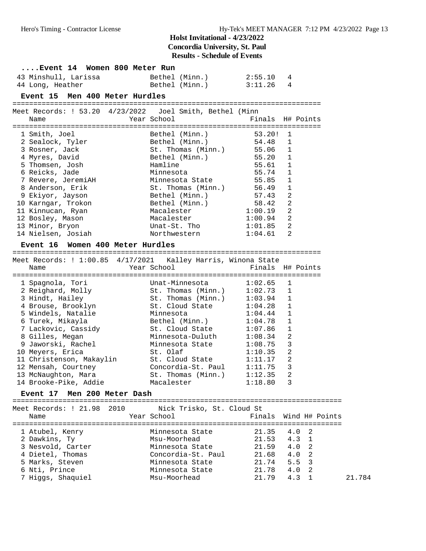| 43 Minshull, Larissa<br>Bethel (Minn.)<br>2:55.10<br>4<br>Bethel (Minn.)<br>3:11.26<br>4<br>44 Long, Heather<br>Event 15 Men 400 Meter Hurdles<br>Meet Records: ! 53.20 4/23/2022 Joel Smith, Bethel (Minn<br>Year School<br>Finals H# Points<br>Name<br>Bethel (Minn.)<br>1 Smith, Joel<br>53.20!<br>1<br>54.48<br>$\mathbf 1$<br>2 Sealock, Tyler<br>Bethel (Minn.)<br>55.06<br>3 Rosner, Jack<br>1<br>St. Thomas (Minn.)<br>4 Myres, David<br>Bethel (Minn.)<br>55.20<br>1<br>5 Thomsen, Josh<br>Hamline<br>55.61<br>1<br>55.74<br>1<br>6 Reicks, Jade<br>Minnesota<br>55.85<br>$\mathbf 1$<br>7 Revere, JeremiAH<br>Minnesota State<br>$\mathbf{1}$<br>56.49<br>8 Anderson, Erik<br>St. Thomas (Minn.)<br>2<br>9 Ekiyor, Jayson<br>Bethel (Minn.)<br>57.43<br>58.42<br>2<br>10 Karngar, Trokon<br>Bethel (Minn.)<br>1:00.19<br>2<br>11 Kinnucan, Ryan<br>Macalester<br>2<br>12 Bosley, Mason<br>Macalester<br>1:00.94<br>2<br>13 Minor, Bryon<br>Unat-St. Tho<br>1:01.85<br>2<br>14 Nielsen, Josiah<br>Northwestern<br>1:04.61<br>Event 16 Women 400 Meter Hurdles<br>Meet Records: ! 1:00.85 4/17/2021 Kalley Harris, Winona State<br>Year School<br>Finals H# Points<br>Name<br>1 Spagnola, Tori<br>1:02.65<br>Unat-Minnesota<br>1<br>2 Reighard, Molly<br>1:02.73<br>1<br>St. Thomas (Minn.)<br>3 Hindt, Hailey<br>1<br>St. Thomas (Minn.)<br>1:03.94<br>1<br>4 Brouse, Brooklyn<br>St. Cloud State<br>1:04.28<br>1<br>5 Windels, Natalie<br>Minnesota<br>1:04.44<br>6 Turek, Mikayla<br>Bethel (Minn.)<br>1:04.78<br>$\mathbf 1$<br>7 Lackovic, Cassidy<br>$\mathbf 1$<br>St. Cloud State<br>1:07.86<br>1:08.34<br>2<br>8 Gilles, Megan<br>Minnesota-Duluth<br>3<br>9 Jaworski, Rachel<br>Minnesota State<br>1:08.75<br>2<br>10 Meyers, Erica<br>St. Olaf<br>1:10.35<br>2<br>11 Christenson, Makaylin<br>St. Cloud State<br>1:11.17<br>3<br>12 Mensah, Courtney<br>Concordia-St. Paul<br>1:11.75<br>2<br>13 McNaughton, Mara<br>St. Thomas (Minn.)<br>1:12.35<br>14 Brooke-Pike, Addie<br>3<br>Macalester<br>1:18.80<br>Event 17 Men 200 Meter Dash<br>=================================<br>Meet Records: ! 21.98<br>2010<br>Nick Trisko, St. Cloud St<br>Year School<br>Finals<br>Wind H# Points<br>Name<br>=========<br>Minnesota State<br>21.35<br>4.0<br>1 Atubel, Kenry<br>2<br>21.53<br>4.3<br>2 Dawkins, Ty<br>Msu-Moorhead<br>1<br>2<br>Minnesota State<br>21.59<br>4.0<br>3 Nesvold, Carter |                                  | Event 14  Women 800 Meter Run |       |   |  |
|--------------------------------------------------------------------------------------------------------------------------------------------------------------------------------------------------------------------------------------------------------------------------------------------------------------------------------------------------------------------------------------------------------------------------------------------------------------------------------------------------------------------------------------------------------------------------------------------------------------------------------------------------------------------------------------------------------------------------------------------------------------------------------------------------------------------------------------------------------------------------------------------------------------------------------------------------------------------------------------------------------------------------------------------------------------------------------------------------------------------------------------------------------------------------------------------------------------------------------------------------------------------------------------------------------------------------------------------------------------------------------------------------------------------------------------------------------------------------------------------------------------------------------------------------------------------------------------------------------------------------------------------------------------------------------------------------------------------------------------------------------------------------------------------------------------------------------------------------------------------------------------------------------------------------------------------------------------------------------------------------------------------------------------------------------------------------------------------------------------------------------------------------------------------------------------------------------------------------------------------------------------------------------------------------------------------------------------------------------------------------------------------------------------|----------------------------------|-------------------------------|-------|---|--|
|                                                                                                                                                                                                                                                                                                                                                                                                                                                                                                                                                                                                                                                                                                                                                                                                                                                                                                                                                                                                                                                                                                                                                                                                                                                                                                                                                                                                                                                                                                                                                                                                                                                                                                                                                                                                                                                                                                                                                                                                                                                                                                                                                                                                                                                                                                                                                                                                              |                                  |                               |       |   |  |
|                                                                                                                                                                                                                                                                                                                                                                                                                                                                                                                                                                                                                                                                                                                                                                                                                                                                                                                                                                                                                                                                                                                                                                                                                                                                                                                                                                                                                                                                                                                                                                                                                                                                                                                                                                                                                                                                                                                                                                                                                                                                                                                                                                                                                                                                                                                                                                                                              |                                  |                               |       |   |  |
|                                                                                                                                                                                                                                                                                                                                                                                                                                                                                                                                                                                                                                                                                                                                                                                                                                                                                                                                                                                                                                                                                                                                                                                                                                                                                                                                                                                                                                                                                                                                                                                                                                                                                                                                                                                                                                                                                                                                                                                                                                                                                                                                                                                                                                                                                                                                                                                                              |                                  |                               |       |   |  |
|                                                                                                                                                                                                                                                                                                                                                                                                                                                                                                                                                                                                                                                                                                                                                                                                                                                                                                                                                                                                                                                                                                                                                                                                                                                                                                                                                                                                                                                                                                                                                                                                                                                                                                                                                                                                                                                                                                                                                                                                                                                                                                                                                                                                                                                                                                                                                                                                              |                                  |                               |       |   |  |
|                                                                                                                                                                                                                                                                                                                                                                                                                                                                                                                                                                                                                                                                                                                                                                                                                                                                                                                                                                                                                                                                                                                                                                                                                                                                                                                                                                                                                                                                                                                                                                                                                                                                                                                                                                                                                                                                                                                                                                                                                                                                                                                                                                                                                                                                                                                                                                                                              |                                  |                               |       |   |  |
|                                                                                                                                                                                                                                                                                                                                                                                                                                                                                                                                                                                                                                                                                                                                                                                                                                                                                                                                                                                                                                                                                                                                                                                                                                                                                                                                                                                                                                                                                                                                                                                                                                                                                                                                                                                                                                                                                                                                                                                                                                                                                                                                                                                                                                                                                                                                                                                                              |                                  |                               |       |   |  |
|                                                                                                                                                                                                                                                                                                                                                                                                                                                                                                                                                                                                                                                                                                                                                                                                                                                                                                                                                                                                                                                                                                                                                                                                                                                                                                                                                                                                                                                                                                                                                                                                                                                                                                                                                                                                                                                                                                                                                                                                                                                                                                                                                                                                                                                                                                                                                                                                              |                                  |                               |       |   |  |
|                                                                                                                                                                                                                                                                                                                                                                                                                                                                                                                                                                                                                                                                                                                                                                                                                                                                                                                                                                                                                                                                                                                                                                                                                                                                                                                                                                                                                                                                                                                                                                                                                                                                                                                                                                                                                                                                                                                                                                                                                                                                                                                                                                                                                                                                                                                                                                                                              |                                  |                               |       |   |  |
|                                                                                                                                                                                                                                                                                                                                                                                                                                                                                                                                                                                                                                                                                                                                                                                                                                                                                                                                                                                                                                                                                                                                                                                                                                                                                                                                                                                                                                                                                                                                                                                                                                                                                                                                                                                                                                                                                                                                                                                                                                                                                                                                                                                                                                                                                                                                                                                                              |                                  |                               |       |   |  |
|                                                                                                                                                                                                                                                                                                                                                                                                                                                                                                                                                                                                                                                                                                                                                                                                                                                                                                                                                                                                                                                                                                                                                                                                                                                                                                                                                                                                                                                                                                                                                                                                                                                                                                                                                                                                                                                                                                                                                                                                                                                                                                                                                                                                                                                                                                                                                                                                              |                                  |                               |       |   |  |
|                                                                                                                                                                                                                                                                                                                                                                                                                                                                                                                                                                                                                                                                                                                                                                                                                                                                                                                                                                                                                                                                                                                                                                                                                                                                                                                                                                                                                                                                                                                                                                                                                                                                                                                                                                                                                                                                                                                                                                                                                                                                                                                                                                                                                                                                                                                                                                                                              |                                  |                               |       |   |  |
|                                                                                                                                                                                                                                                                                                                                                                                                                                                                                                                                                                                                                                                                                                                                                                                                                                                                                                                                                                                                                                                                                                                                                                                                                                                                                                                                                                                                                                                                                                                                                                                                                                                                                                                                                                                                                                                                                                                                                                                                                                                                                                                                                                                                                                                                                                                                                                                                              |                                  |                               |       |   |  |
|                                                                                                                                                                                                                                                                                                                                                                                                                                                                                                                                                                                                                                                                                                                                                                                                                                                                                                                                                                                                                                                                                                                                                                                                                                                                                                                                                                                                                                                                                                                                                                                                                                                                                                                                                                                                                                                                                                                                                                                                                                                                                                                                                                                                                                                                                                                                                                                                              |                                  |                               |       |   |  |
|                                                                                                                                                                                                                                                                                                                                                                                                                                                                                                                                                                                                                                                                                                                                                                                                                                                                                                                                                                                                                                                                                                                                                                                                                                                                                                                                                                                                                                                                                                                                                                                                                                                                                                                                                                                                                                                                                                                                                                                                                                                                                                                                                                                                                                                                                                                                                                                                              |                                  |                               |       |   |  |
|                                                                                                                                                                                                                                                                                                                                                                                                                                                                                                                                                                                                                                                                                                                                                                                                                                                                                                                                                                                                                                                                                                                                                                                                                                                                                                                                                                                                                                                                                                                                                                                                                                                                                                                                                                                                                                                                                                                                                                                                                                                                                                                                                                                                                                                                                                                                                                                                              |                                  |                               |       |   |  |
|                                                                                                                                                                                                                                                                                                                                                                                                                                                                                                                                                                                                                                                                                                                                                                                                                                                                                                                                                                                                                                                                                                                                                                                                                                                                                                                                                                                                                                                                                                                                                                                                                                                                                                                                                                                                                                                                                                                                                                                                                                                                                                                                                                                                                                                                                                                                                                                                              |                                  |                               |       |   |  |
|                                                                                                                                                                                                                                                                                                                                                                                                                                                                                                                                                                                                                                                                                                                                                                                                                                                                                                                                                                                                                                                                                                                                                                                                                                                                                                                                                                                                                                                                                                                                                                                                                                                                                                                                                                                                                                                                                                                                                                                                                                                                                                                                                                                                                                                                                                                                                                                                              |                                  |                               |       |   |  |
|                                                                                                                                                                                                                                                                                                                                                                                                                                                                                                                                                                                                                                                                                                                                                                                                                                                                                                                                                                                                                                                                                                                                                                                                                                                                                                                                                                                                                                                                                                                                                                                                                                                                                                                                                                                                                                                                                                                                                                                                                                                                                                                                                                                                                                                                                                                                                                                                              |                                  |                               |       |   |  |
|                                                                                                                                                                                                                                                                                                                                                                                                                                                                                                                                                                                                                                                                                                                                                                                                                                                                                                                                                                                                                                                                                                                                                                                                                                                                                                                                                                                                                                                                                                                                                                                                                                                                                                                                                                                                                                                                                                                                                                                                                                                                                                                                                                                                                                                                                                                                                                                                              |                                  |                               |       |   |  |
|                                                                                                                                                                                                                                                                                                                                                                                                                                                                                                                                                                                                                                                                                                                                                                                                                                                                                                                                                                                                                                                                                                                                                                                                                                                                                                                                                                                                                                                                                                                                                                                                                                                                                                                                                                                                                                                                                                                                                                                                                                                                                                                                                                                                                                                                                                                                                                                                              |                                  |                               |       |   |  |
|                                                                                                                                                                                                                                                                                                                                                                                                                                                                                                                                                                                                                                                                                                                                                                                                                                                                                                                                                                                                                                                                                                                                                                                                                                                                                                                                                                                                                                                                                                                                                                                                                                                                                                                                                                                                                                                                                                                                                                                                                                                                                                                                                                                                                                                                                                                                                                                                              |                                  |                               |       |   |  |
|                                                                                                                                                                                                                                                                                                                                                                                                                                                                                                                                                                                                                                                                                                                                                                                                                                                                                                                                                                                                                                                                                                                                                                                                                                                                                                                                                                                                                                                                                                                                                                                                                                                                                                                                                                                                                                                                                                                                                                                                                                                                                                                                                                                                                                                                                                                                                                                                              |                                  |                               |       |   |  |
|                                                                                                                                                                                                                                                                                                                                                                                                                                                                                                                                                                                                                                                                                                                                                                                                                                                                                                                                                                                                                                                                                                                                                                                                                                                                                                                                                                                                                                                                                                                                                                                                                                                                                                                                                                                                                                                                                                                                                                                                                                                                                                                                                                                                                                                                                                                                                                                                              |                                  |                               |       |   |  |
|                                                                                                                                                                                                                                                                                                                                                                                                                                                                                                                                                                                                                                                                                                                                                                                                                                                                                                                                                                                                                                                                                                                                                                                                                                                                                                                                                                                                                                                                                                                                                                                                                                                                                                                                                                                                                                                                                                                                                                                                                                                                                                                                                                                                                                                                                                                                                                                                              |                                  |                               |       |   |  |
|                                                                                                                                                                                                                                                                                                                                                                                                                                                                                                                                                                                                                                                                                                                                                                                                                                                                                                                                                                                                                                                                                                                                                                                                                                                                                                                                                                                                                                                                                                                                                                                                                                                                                                                                                                                                                                                                                                                                                                                                                                                                                                                                                                                                                                                                                                                                                                                                              |                                  |                               |       |   |  |
|                                                                                                                                                                                                                                                                                                                                                                                                                                                                                                                                                                                                                                                                                                                                                                                                                                                                                                                                                                                                                                                                                                                                                                                                                                                                                                                                                                                                                                                                                                                                                                                                                                                                                                                                                                                                                                                                                                                                                                                                                                                                                                                                                                                                                                                                                                                                                                                                              |                                  |                               |       |   |  |
|                                                                                                                                                                                                                                                                                                                                                                                                                                                                                                                                                                                                                                                                                                                                                                                                                                                                                                                                                                                                                                                                                                                                                                                                                                                                                                                                                                                                                                                                                                                                                                                                                                                                                                                                                                                                                                                                                                                                                                                                                                                                                                                                                                                                                                                                                                                                                                                                              |                                  |                               |       |   |  |
|                                                                                                                                                                                                                                                                                                                                                                                                                                                                                                                                                                                                                                                                                                                                                                                                                                                                                                                                                                                                                                                                                                                                                                                                                                                                                                                                                                                                                                                                                                                                                                                                                                                                                                                                                                                                                                                                                                                                                                                                                                                                                                                                                                                                                                                                                                                                                                                                              |                                  |                               |       |   |  |
|                                                                                                                                                                                                                                                                                                                                                                                                                                                                                                                                                                                                                                                                                                                                                                                                                                                                                                                                                                                                                                                                                                                                                                                                                                                                                                                                                                                                                                                                                                                                                                                                                                                                                                                                                                                                                                                                                                                                                                                                                                                                                                                                                                                                                                                                                                                                                                                                              |                                  |                               |       |   |  |
|                                                                                                                                                                                                                                                                                                                                                                                                                                                                                                                                                                                                                                                                                                                                                                                                                                                                                                                                                                                                                                                                                                                                                                                                                                                                                                                                                                                                                                                                                                                                                                                                                                                                                                                                                                                                                                                                                                                                                                                                                                                                                                                                                                                                                                                                                                                                                                                                              |                                  |                               |       |   |  |
|                                                                                                                                                                                                                                                                                                                                                                                                                                                                                                                                                                                                                                                                                                                                                                                                                                                                                                                                                                                                                                                                                                                                                                                                                                                                                                                                                                                                                                                                                                                                                                                                                                                                                                                                                                                                                                                                                                                                                                                                                                                                                                                                                                                                                                                                                                                                                                                                              |                                  |                               |       |   |  |
|                                                                                                                                                                                                                                                                                                                                                                                                                                                                                                                                                                                                                                                                                                                                                                                                                                                                                                                                                                                                                                                                                                                                                                                                                                                                                                                                                                                                                                                                                                                                                                                                                                                                                                                                                                                                                                                                                                                                                                                                                                                                                                                                                                                                                                                                                                                                                                                                              |                                  |                               |       |   |  |
|                                                                                                                                                                                                                                                                                                                                                                                                                                                                                                                                                                                                                                                                                                                                                                                                                                                                                                                                                                                                                                                                                                                                                                                                                                                                                                                                                                                                                                                                                                                                                                                                                                                                                                                                                                                                                                                                                                                                                                                                                                                                                                                                                                                                                                                                                                                                                                                                              |                                  |                               |       |   |  |
|                                                                                                                                                                                                                                                                                                                                                                                                                                                                                                                                                                                                                                                                                                                                                                                                                                                                                                                                                                                                                                                                                                                                                                                                                                                                                                                                                                                                                                                                                                                                                                                                                                                                                                                                                                                                                                                                                                                                                                                                                                                                                                                                                                                                                                                                                                                                                                                                              |                                  |                               |       |   |  |
|                                                                                                                                                                                                                                                                                                                                                                                                                                                                                                                                                                                                                                                                                                                                                                                                                                                                                                                                                                                                                                                                                                                                                                                                                                                                                                                                                                                                                                                                                                                                                                                                                                                                                                                                                                                                                                                                                                                                                                                                                                                                                                                                                                                                                                                                                                                                                                                                              |                                  |                               |       |   |  |
|                                                                                                                                                                                                                                                                                                                                                                                                                                                                                                                                                                                                                                                                                                                                                                                                                                                                                                                                                                                                                                                                                                                                                                                                                                                                                                                                                                                                                                                                                                                                                                                                                                                                                                                                                                                                                                                                                                                                                                                                                                                                                                                                                                                                                                                                                                                                                                                                              |                                  |                               |       |   |  |
|                                                                                                                                                                                                                                                                                                                                                                                                                                                                                                                                                                                                                                                                                                                                                                                                                                                                                                                                                                                                                                                                                                                                                                                                                                                                                                                                                                                                                                                                                                                                                                                                                                                                                                                                                                                                                                                                                                                                                                                                                                                                                                                                                                                                                                                                                                                                                                                                              |                                  |                               |       |   |  |
|                                                                                                                                                                                                                                                                                                                                                                                                                                                                                                                                                                                                                                                                                                                                                                                                                                                                                                                                                                                                                                                                                                                                                                                                                                                                                                                                                                                                                                                                                                                                                                                                                                                                                                                                                                                                                                                                                                                                                                                                                                                                                                                                                                                                                                                                                                                                                                                                              |                                  |                               |       |   |  |
|                                                                                                                                                                                                                                                                                                                                                                                                                                                                                                                                                                                                                                                                                                                                                                                                                                                                                                                                                                                                                                                                                                                                                                                                                                                                                                                                                                                                                                                                                                                                                                                                                                                                                                                                                                                                                                                                                                                                                                                                                                                                                                                                                                                                                                                                                                                                                                                                              |                                  |                               |       |   |  |
|                                                                                                                                                                                                                                                                                                                                                                                                                                                                                                                                                                                                                                                                                                                                                                                                                                                                                                                                                                                                                                                                                                                                                                                                                                                                                                                                                                                                                                                                                                                                                                                                                                                                                                                                                                                                                                                                                                                                                                                                                                                                                                                                                                                                                                                                                                                                                                                                              |                                  |                               |       |   |  |
|                                                                                                                                                                                                                                                                                                                                                                                                                                                                                                                                                                                                                                                                                                                                                                                                                                                                                                                                                                                                                                                                                                                                                                                                                                                                                                                                                                                                                                                                                                                                                                                                                                                                                                                                                                                                                                                                                                                                                                                                                                                                                                                                                                                                                                                                                                                                                                                                              |                                  |                               |       |   |  |
|                                                                                                                                                                                                                                                                                                                                                                                                                                                                                                                                                                                                                                                                                                                                                                                                                                                                                                                                                                                                                                                                                                                                                                                                                                                                                                                                                                                                                                                                                                                                                                                                                                                                                                                                                                                                                                                                                                                                                                                                                                                                                                                                                                                                                                                                                                                                                                                                              |                                  |                               |       |   |  |
|                                                                                                                                                                                                                                                                                                                                                                                                                                                                                                                                                                                                                                                                                                                                                                                                                                                                                                                                                                                                                                                                                                                                                                                                                                                                                                                                                                                                                                                                                                                                                                                                                                                                                                                                                                                                                                                                                                                                                                                                                                                                                                                                                                                                                                                                                                                                                                                                              |                                  |                               |       |   |  |
|                                                                                                                                                                                                                                                                                                                                                                                                                                                                                                                                                                                                                                                                                                                                                                                                                                                                                                                                                                                                                                                                                                                                                                                                                                                                                                                                                                                                                                                                                                                                                                                                                                                                                                                                                                                                                                                                                                                                                                                                                                                                                                                                                                                                                                                                                                                                                                                                              |                                  |                               |       |   |  |
|                                                                                                                                                                                                                                                                                                                                                                                                                                                                                                                                                                                                                                                                                                                                                                                                                                                                                                                                                                                                                                                                                                                                                                                                                                                                                                                                                                                                                                                                                                                                                                                                                                                                                                                                                                                                                                                                                                                                                                                                                                                                                                                                                                                                                                                                                                                                                                                                              |                                  |                               |       |   |  |
|                                                                                                                                                                                                                                                                                                                                                                                                                                                                                                                                                                                                                                                                                                                                                                                                                                                                                                                                                                                                                                                                                                                                                                                                                                                                                                                                                                                                                                                                                                                                                                                                                                                                                                                                                                                                                                                                                                                                                                                                                                                                                                                                                                                                                                                                                                                                                                                                              |                                  |                               |       |   |  |
| Concordia-St. Paul<br>4.0                                                                                                                                                                                                                                                                                                                                                                                                                                                                                                                                                                                                                                                                                                                                                                                                                                                                                                                                                                                                                                                                                                                                                                                                                                                                                                                                                                                                                                                                                                                                                                                                                                                                                                                                                                                                                                                                                                                                                                                                                                                                                                                                                                                                                                                                                                                                                                                    |                                  |                               |       |   |  |
| 5.5                                                                                                                                                                                                                                                                                                                                                                                                                                                                                                                                                                                                                                                                                                                                                                                                                                                                                                                                                                                                                                                                                                                                                                                                                                                                                                                                                                                                                                                                                                                                                                                                                                                                                                                                                                                                                                                                                                                                                                                                                                                                                                                                                                                                                                                                                                                                                                                                          |                                  |                               |       |   |  |
| Minnesota State<br>21.78<br>4.0<br>2                                                                                                                                                                                                                                                                                                                                                                                                                                                                                                                                                                                                                                                                                                                                                                                                                                                                                                                                                                                                                                                                                                                                                                                                                                                                                                                                                                                                                                                                                                                                                                                                                                                                                                                                                                                                                                                                                                                                                                                                                                                                                                                                                                                                                                                                                                                                                                         | 4 Dietel, Thomas                 |                               | 21.68 | 2 |  |
| 7 Higgs, Shaquiel<br>Msu-Moorhead<br>21.79<br>1<br>21.784<br>4.3                                                                                                                                                                                                                                                                                                                                                                                                                                                                                                                                                                                                                                                                                                                                                                                                                                                                                                                                                                                                                                                                                                                                                                                                                                                                                                                                                                                                                                                                                                                                                                                                                                                                                                                                                                                                                                                                                                                                                                                                                                                                                                                                                                                                                                                                                                                                             | 5 Marks, Steven<br>6 Nti, Prince | Minnesota State               | 21.74 | 3 |  |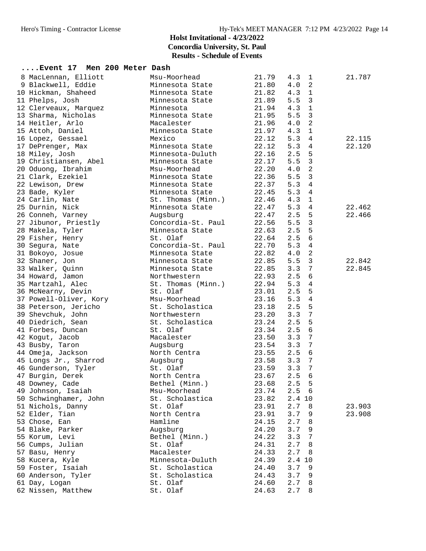# **Holst Invitational - 4/23/2022 Concordia University, St. Paul**

**Results - Schedule of Events**

| Event 17 Men 200 Meter Dash |                    |       |                         |        |
|-----------------------------|--------------------|-------|-------------------------|--------|
| 8 MacLennan, Elliott        | Msu-Moorhead       | 21.79 | 4.3<br>$\mathbf{1}$     | 21.787 |
| 9 Blackwell, Eddie          | Minnesota State    | 21.80 | $\overline{a}$<br>4.0   |        |
| 10 Hickman, Shaheed         | Minnesota State    | 21.82 | 4.3<br>1                |        |
| 11 Phelps, Josh             | Minnesota State    | 21.89 | 5.5<br>3                |        |
| 12 Clerveaux, Marquez       | Minnesota          | 21.94 | 4.3<br>1                |        |
| 13 Sharma, Nicholas         | Minnesota State    | 21.95 | 5.5<br>3                |        |
| 14 Heitler, Arlo            | Macalester         | 21.96 | 2<br>4.0                |        |
| 15 Attoh, Daniel            | Minnesota State    | 21.97 | 4.3<br>$\mathbf{1}$     |        |
| 16 Lopez, Gessael           | Mexico             | 22.12 | 5.3<br>4                | 22.115 |
| 17 DePrenger, Max           | Minnesota State    | 22.12 | 5.3<br>4                | 22.120 |
| 18 Miley, Josh              | Minnesota-Duluth   | 22.16 | 2.5<br>5                |        |
| 19 Christiansen, Abel       | Minnesota State    | 22.17 | 5.5<br>3                |        |
| 20 Oduong, Ibrahim          | Msu-Moorhead       | 22.20 | 2<br>4.0                |        |
| 21 Clark, Ezekiel           | Minnesota State    | 22.36 | 3<br>5.5                |        |
| 22 Lewison, Drew            | Minnesota State    | 22.37 | 5.3<br>$\overline{4}$   |        |
| 23 Bade, Kyler              | Minnesota State    | 22.45 | 5.3<br>4                |        |
| 24 Carlin, Nate             | St. Thomas (Minn.) | 22.46 | 4.3<br>1                |        |
| 25 Durnin, Nick             | Minnesota State    | 22.47 | 5.3<br>4                | 22.462 |
| 26 Conneh, Varney           | Augsburg           | 22.47 | 5<br>2.5                | 22.466 |
| 27 Jibunor, Priestly        | Concordia-St. Paul | 22.56 | 3<br>5.5                |        |
| 28 Makela, Tyler            | Minnesota State    | 22.63 | 5<br>2.5                |        |
| 29 Fisher, Henry            | St. Olaf           | 22.64 | 2.5<br>6                |        |
| 30 Segura, Nate             | Concordia-St. Paul | 22.70 | 5.3<br>4                |        |
| 31 Bokoyo, Josue            | Minnesota State    | 22.82 | $\overline{a}$<br>4.0   |        |
| 32 Shaner, Jon              | Minnesota State    | 22.85 | 3<br>5.5                | 22.842 |
| 33 Walker, Quinn            | Minnesota State    | 22.85 | $\overline{7}$<br>3.3   | 22.845 |
| 34 Howard, Jamon            | Northwestern       | 22.93 | 6<br>2.5                |        |
| 35 Martzahl, Alec           | St. Thomas (Minn.) | 22.94 | 5.3<br>4                |        |
| 36 McNearny, Devin          | St. Olaf           | 23.01 | 2.5<br>5                |        |
| 37 Powell-Oliver, Kory      | Msu-Moorhead       | 23.16 | 5.3<br>$\overline{4}$   |        |
| 38 Peterson, Jericho        | St. Scholastica    | 23.18 | 5<br>2.5                |        |
| 39 Shevchuk, John           | Northwestern       | 23.20 | $\overline{7}$<br>3.3   |        |
| 40 Diedrich, Sean           | St. Scholastica    | 23.24 | 5<br>2.5                |        |
| 41 Forbes, Duncan           | St. Olaf           | 23.34 | 2.5<br>6                |        |
| 42 Kogut, Jacob             | Macalester         | 23.50 | 7<br>3.3                |        |
| 43 Busby, Taron             | Augsburg           | 23.54 | 3.3<br>7                |        |
| 44 Omeja, Jackson           | North Centra       | 23.55 | 6<br>2.5                |        |
| 45 Longs Jr., Sharrod       | Augsburg           | 23.58 | $\boldsymbol{7}$<br>3.3 |        |
| 46 Gunderson, Tyler         | St. Olaf           | 23.59 | 7<br>3.3                |        |
| 47 Burgin, Derek            | North Centra       | 23.67 | 2.5<br>6                |        |
| 48 Downey, Cade             | Bethel (Minn.)     | 23.68 | $2.5\ 5$                |        |
| 49 Johnson, Isaiah          | Msu-Moorhead       | 23.74 | $2.5\quad 6$            |        |
| 50 Schwinghamer, John       | St. Scholastica    | 23.82 | 2.4 10                  |        |
| 51 Nichols, Danny           | St. Olaf           | 23.91 | 2.7<br>8                | 23.903 |
| 52 Elder, Tian              | North Centra       | 23.91 | 3.7<br>9                | 23.908 |
| 53 Chose, Ean               | Hamline            | 24.15 | 8<br>2.7                |        |
| 54 Blake, Parker            | Augsburg           | 24.20 | 3.7<br>9                |        |
| 55 Korum, Levi              | Bethel (Minn.)     | 24.22 | 3.3<br>7                |        |
| 56 Cumps, Julian            | St. Olaf           | 24.31 | 2.7<br>8                |        |
| 57 Basu, Henry              | Macalester         | 24.33 | 2.7<br>8                |        |
| 58 Kucera, Kyle             | Minnesota-Duluth   | 24.39 | 2.4 10                  |        |
| 59 Foster, Isaiah           | St. Scholastica    | 24.40 | 3.7<br>9                |        |
| 60 Anderson, Tyler          | St. Scholastica    | 24.43 | 3.7<br>9                |        |
| 61 Day, Logan               | St. Olaf           | 24.60 | 2.7<br>8                |        |
| 62 Nissen, Matthew          | St. Olaf           | 24.63 | 2.7<br>8                |        |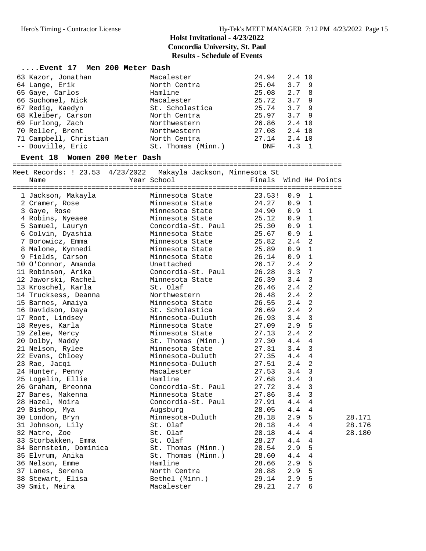| Event 17 Men 200 Meter Dash |                    |            |                  |
|-----------------------------|--------------------|------------|------------------|
| 63 Kazor, Jonathan          | Macalester         | 24.94      | 2.4 10           |
| 64 Lange, Erik              | North Centra       | 25.04      | 3.79             |
| 65 Gaye, Carlos             | Hamline            | 25.08      | 2.7 <sub>8</sub> |
| 66 Suchomel, Nick           | Macalester         | 25.72      | 3.79             |
| 67 Redig, Kaedyn            | St. Scholastica    | 25.74      | 3.79             |
| 68 Kleiber, Carson          | North Centra       | 25.97      | 3.79             |
| 69 Furlong, Zach            | Northwestern       | 26.86      | 2.4 10           |
| 70 Reller, Brent            | Northwestern       | 27.08      | 2.4 10           |
| 71 Campbell, Christian      | North Centra       | 27.14      | 2.4 10           |
| -- Douville, Eric           | St. Thomas (Minn.) | <b>DNF</b> | 4.3              |

#### **Event 18 Women 200 Meter Dash**

===============================================================================

| Meet Records: ! 23.53 4/23/2022 Makayla Jackson, Minnesota St<br>Name | Year School        | Finals Wind H# Points |     |                |        |  |
|-----------------------------------------------------------------------|--------------------|-----------------------|-----|----------------|--------|--|
|                                                                       |                    |                       |     |                |        |  |
| 1 Jackson, Makayla                                                    | Minnesota State    | 23.53!                | 0.9 | 1              |        |  |
| 2 Cramer, Rose                                                        | Minnesota State    | 24.27                 | 0.9 | 1              |        |  |
| 3 Gaye, Rose                                                          | Minnesota State    | 24.90                 | 0.9 | 1              |        |  |
| 4 Robins, Nyeaee                                                      | Minnesota State    | 25.12                 | 0.9 | 1              |        |  |
| 5 Samuel, Lauryn                                                      | Concordia-St. Paul | 25.30                 | 0.9 | $\mathbf 1$    |        |  |
| 6 Colvin, Dyashia                                                     | Minnesota State    | 25.67                 | 0.9 | $\mathbf 1$    |        |  |
| 7 Borowicz, Emma                                                      | Minnesota State    | 25.82                 | 2.4 | $\overline{a}$ |        |  |
| 8 Malone, Kynnedi                                                     | Minnesota State    | 25.89                 | 0.9 | $\mathbf 1$    |        |  |
| 9 Fields, Carson                                                      | Minnesota State    | 26.14                 | 0.9 | $\mathbf 1$    |        |  |
| 10 O'Connor, Amanda                                                   | Unattached         | 26.17                 | 2.4 | $\overline{2}$ |        |  |
| 11 Robinson, Arika                                                    | Concordia-St. Paul | 26.28                 | 3.3 | $\overline{7}$ |        |  |
| 12 Jaworski, Rachel                                                   | Minnesota State    | 26.39                 | 3.4 | $\mathbf{3}$   |        |  |
| 13 Kroschel, Karla                                                    | St. Olaf           | 26.46                 | 2.4 | $\overline{2}$ |        |  |
| 14 Trucksess, Deanna                                                  | Northwestern       | 26.48                 | 2.4 | 2              |        |  |
| 15 Barnes, Amaiya                                                     | Minnesota State    | 26.55                 | 2.4 | $\overline{a}$ |        |  |
| 16 Davidson, Daya                                                     | St. Scholastica    | 26.69                 | 2.4 | $\overline{a}$ |        |  |
| 17 Root, Lindsey                                                      | Minnesota-Duluth   | 26.93                 | 3.4 | $\mathbf{3}$   |        |  |
| 18 Reyes, Karla                                                       | Minnesota State    | 27.09                 | 2.9 | 5              |        |  |
| 19 Zelee, Mercy                                                       | Minnesota State    | 27.13                 | 2.4 | $\overline{a}$ |        |  |
| 20 Dolby, Maddy                                                       | St. Thomas (Minn.) | 27.30                 | 4.4 | 4              |        |  |
| 21 Nelson, Rylee                                                      | Minnesota State    | 27.31                 | 3.4 | 3              |        |  |
| 22 Evans, Chloey                                                      | Minnesota-Duluth   | 27.35                 | 4.4 | $\overline{4}$ |        |  |
| 23 Rae, Jacqi                                                         | Minnesota-Duluth   | 27.51                 | 2.4 | $\overline{a}$ |        |  |
| 24 Hunter, Penny                                                      | Macalester         | 27.53                 | 3.4 | 3              |        |  |
| 25 Logelin, Ellie                                                     | Hamline            | 27.68                 | 3.4 | 3              |        |  |
| 26 Graham, Breonna                                                    | Concordia-St. Paul | 27.72                 | 3.4 | $\mathbf{3}$   |        |  |
| 27 Bares, Makenna                                                     | Minnesota State    | 27.86                 | 3.4 | $\mathbf{3}$   |        |  |
| 28 Hazel, Moira                                                       | Concordia-St. Paul | 27.91                 | 4.4 | 4              |        |  |
| 29 Bishop, Mya                                                        | Augsburg           | 28.05                 | 4.4 | 4              |        |  |
| 30 London, Bryn                                                       | Minnesota-Duluth   | 28.18                 | 2.9 | 5              | 28.171 |  |
| 31 Johnson, Lily                                                      | St. Olaf           | 28.18                 | 4.4 | 4              | 28.176 |  |
| 32 Matre, Zoe                                                         | St. Olaf           | 28.18                 | 4.4 | 4              | 28.180 |  |
| 33 Storbakken, Emma                                                   | St. Olaf           | 28.27                 | 4.4 | 4              |        |  |
| 34 Bernstein, Dominica                                                | St. Thomas (Minn.) | 28.54                 | 2.9 | 5              |        |  |
| 35 Elvrum, Anika                                                      | St. Thomas (Minn.) | 28.60                 | 4.4 | 4              |        |  |
| 36 Nelson, Emme                                                       | Hamline            | 28.66                 | 2.9 | 5              |        |  |
| 37 Lanes, Serena                                                      | North Centra       | 28.88                 | 2.9 | 5              |        |  |
| 38 Stewart, Elisa                                                     | Bethel (Minn.)     | 29.14                 | 2.9 | 5              |        |  |
| 39 Smit, Meira                                                        | Macalester         | 29.21                 | 2.7 | 6              |        |  |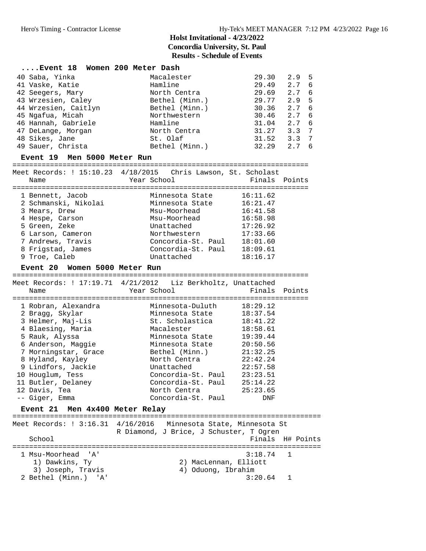| Event 18 Women 200 Meter Dash           |                |       |                  |  |
|-----------------------------------------|----------------|-------|------------------|--|
| 40 Saba, Yinka                          | Macalester     | 29.30 | 2.9 <sub>5</sub> |  |
| 41 Vaske, Katie                         | Hamline        | 29.49 | 2.76             |  |
| 42 Seegers, Mary                        | North Centra   | 29.69 | 2.7 6            |  |
| 43 Wrzesien, Caley                      | Bethel (Minn.) | 29.77 | 2.9 <sub>5</sub> |  |
| 44 Wrzesien, Caitlyn                    | Bethel (Minn.) | 30.36 | 2.76             |  |
| 45 Ngafua, Micah                        | Northwestern   | 30.46 | 2.76             |  |
| 46 Hannah, Gabriele                     | Hamline        | 31.04 | 2.7 6            |  |
| 47 DeLange, Morgan                      | North Centra   | 31.27 | $3.3 \quad 7$    |  |
| 48 Sikes, Jane                          | St. Olaf       | 31.52 | $3.3 \quad 7$    |  |
| 49 Sauer, Christa                       | Bethel (Minn.) | 32.29 | 2.7 6            |  |
| $Firstont 10$ Mon $5000$ Motor $P_{11}$ |                |       |                  |  |

#### **Event 19 Men 5000 Meter Run**

=======================================================================

| Name                                                                                                                                                         | Meet Records: ! 15:10.23 4/18/2015 Chris Lawson, St. Scholast<br>Year School                                                                 | Finals Points                                                                                |
|--------------------------------------------------------------------------------------------------------------------------------------------------------------|----------------------------------------------------------------------------------------------------------------------------------------------|----------------------------------------------------------------------------------------------|
| 1 Bennett, Jacob<br>2 Schmanski, Nikolai<br>3 Mears, Drew<br>4 Hespe, Carson<br>5 Green, Zeke<br>6 Larson, Cameron<br>7 Andrews, Travis<br>8 Frigstad, James | Minnesota State<br>Minnesota State<br>Msu-Moorhead<br>Msu-Moorhead<br>Unattached<br>Northwestern<br>Concordia-St. Paul<br>Concordia-St. Paul | 16:11.62<br>16:21.47<br>16:41.58<br>16:58.98<br>17:26.92<br>17:33.66<br>18:01.60<br>18:09.61 |
| 9 Troe, Caleb                                                                                                                                                | Unattached                                                                                                                                   | 18:16.17                                                                                     |

#### **Event 20 Women 5000 Meter Run**

======================================================================= Meet Records: ! 17:19.71 4/21/2012 Liz Berkholtz, Unattached Name Year School Finals Points ======================================================================= 1 Robran, Alexandra Minnesota-Duluth 18:29.12 2 Bragg, Skylar Minnesota State 18:37.54 3 Helmer, Maj-Lis St. Scholastica 18:41.22 4 Blaesing, Maria Macalester 18:58.61 5 Rauk, Alyssa Minnesota State 19:39.44 6 Anderson, Maggie Minnesota State 20:50.56 7 Morningstar, Grace Bethel (Minn.) 21:32.25 8 Hyland, Kayley North Centra 22:42.24 9 Lindfors, Jackie Unattached 22:57.58 10 Houglum, Tess Concordia-St. Paul 23:23.51 11 Butler, Delaney Concordia-St. Paul 25:14.22 12 Davis, Tea North Centra 25:23.65 -- Giger, Emma Concordia-St. Paul DNF

#### **Event 21 Men 4x400 Meter Relay**

|                      | Meet Records: ! 3:16.31 4/16/2016 Minnesota State, Minnesota St<br>R Diamond, J Brice, J Schuster, T Ogren |
|----------------------|------------------------------------------------------------------------------------------------------------|
| School               | Finals H# Points                                                                                           |
|                      |                                                                                                            |
| 1 Msu-Moorhead 'A'   | 3:18.74 1                                                                                                  |
| 1) Dawkins, Ty       | 2) MacLennan, Elliott                                                                                      |
| 3) Joseph, Travis    | 4) Oduong, Ibrahim                                                                                         |
| 2 Bethel (Minn.) 'A' | 3:20.64                                                                                                    |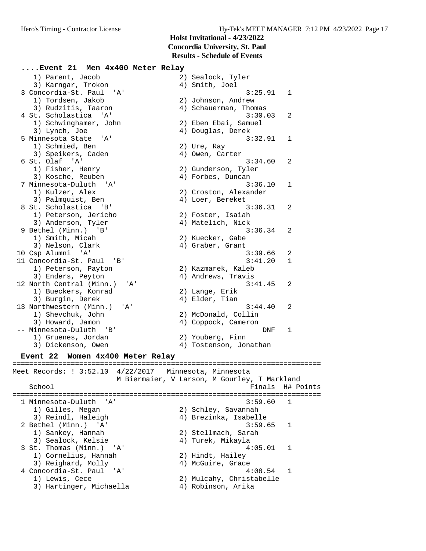#### **....Event 21 Men 4x400 Meter Relay**

 1) Parent, Jacob 2) Sealock, Tyler 3) Karngar, Trokon (4) Smith, Joel 3 Concordia-St. Paul 'A' 3:25.91 1 1) Tordsen, Jakob 2) Johnson, Andrew 3) Rudzitis, Taaron 4) Schauerman, Thomas 4 St. Scholastica 'A' 3:30.03 2 1) Schwinghamer, John 2) Eben Ebai, Samuel 3) Lynch, Joe 1986 (2008) 4) Douglas, Derek 5 Minnesota State 'A' 3:32.91 1 1) Schmied, Ben 2) Ure, Ray 3) Speikers, Caden (4) Owen, Carter 6 St. Olaf 'A' 3:34.60 2 1) Fisher, Henry 2) Gunderson, Tyler 3) Kosche, Reuben (1988) 4) Forbes, Duncan 7 Minnesota-Duluth 'A' 3:36.10 1 1) Kulzer, Alex 2) Croston, Alexander 3) Palmquist, Ben (4) Loer, Bereket 8 St. Scholastica 'B' 3:36.31 2 1) Peterson, Jericho 2) Foster, Isaiah 3) Anderson, Tyler (4) Matelich, Nick 9 Bethel (Minn.) 'B' 3:36.34 2 1) Smith, Micah 2) Kuecker, Gabe 3) Nelson, Clark (4) Graber, Grant 10 Csp Alumni 'A' 3:39.66 2 11 Concordia-St. Paul 'B' 3:41.20 1 1) Peterson, Payton 2) Kazmarek, Kaleb 3) Enders, Peyton (4) Andrews, Travis 12 North Central (Minn.) 'A' 3:41.45 2 1) Bueckers, Konrad 2) Lange, Erik 3) Burgin, Derek (4) Elder, Tian 13 Northwestern (Minn.) 'A' 3:44.40 2 1) Shevchuk, John 2) McDonald, Collin 3) Howard, Jamon 4) Coppock, Cameron -- Minnesota-Duluth 'B' DNF 1 1) Gruenes, Jordan 2) Youberg, Finn 3) Dickenson, Owen 4) Tostenson, Jonathan

#### **Event 22 Women 4x400 Meter Relay**

========================================================================== Meet Records: ! 3:52.10 4/22/2017 Minnesota, Minnesota M Biermaier, V Larson, M Gourley, T Markland School **Finals** H# Points ========================================================================== 1 Minnesota-Duluth 'A' 3:59.60 1 1) Gilles, Megan 2) Schley, Savannah 3) Reindl, Haleigh 4) Brezinka, Isabelle 2 Bethel (Minn.) 'A' 3:59.65 1 1) Sankey, Hannah 2) Stellmach, Sarah 3) Sealock, Kelsie 4) Turek, Mikayla 3 St. Thomas (Minn.) 'A' 4:05.01 1 1) Cornelius, Hannah 2) Hindt, Hailey 3) Reighard, Molly (4) McGuire, Grace 4 Concordia-St. Paul 'A' 4:08.54 1 1) Lewis, Cece 2) Mulcahy, Christabelle 3) Hartinger, Michaella 4) Robinson, Arika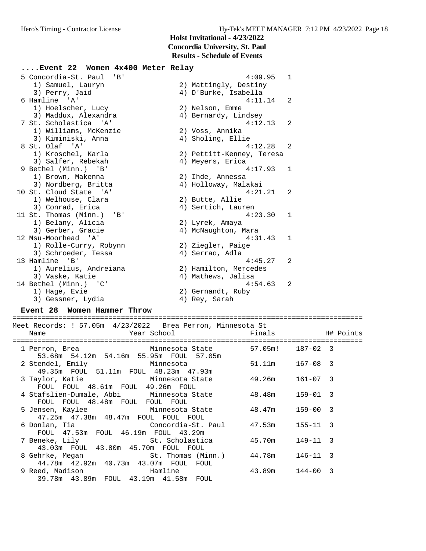**....Event 22 Women 4x400 Meter Relay** 5 Concordia-St. Paul 'B' 4:09.95 1 1) Samuel, Lauryn (2) Mattingly, Destiny<br>
3) Perry, Jaid (2) 4) D'Burke, Isabella 3) Perry, Jaid (4) D'Burke, Isabella<br>6 Hamline 'A' (4:11. 4:11.14 2<br>2) Nelson, Emme<br>4) Bernardy, Lindsey 1) Hoelscher, Lucy 3) Maddux, Alexandra (1993)<br>
3 Maddux, Alexandra (1994) Bernardy, Lindsey<br>
3 St. Scholastica (1994) 7 St. Scholastica 'A' 4:12.13 2 1) Williams, McKenzie 2) Voss, Annika 3) Kiminiski, Anna 4) Sholing, Ellie 8 St. Olaf 'A' 4:12.28 2 1) Kroschel, Karla 2) Pettitt-Kenney, Teresa 3) Salfer, Rebekah (4) Meyers, Erica 9 Bethel (Minn.) 'B' 4:17.93 1 1) Brown, Makenna 2) Ihde, Annessa 3) Nordberg, Britta 4) Holloway, Malakai 10 St. Cloud State 'A' 4:21.21 2 1) Welhouse, Clara (2) Butte, Allie 3) Conrad, Erica 4) Sertich, Lauren 11 St. Thomas (Minn.) 'B' 4:23.30 1 1) Belany, Alicia 2) Lyrek, Amaya 3) Gerber, Gracie 4) McNaughton, Mara 12 Msu-Moorhead 'A' 4:31.43 1 1) Rolle-Curry, Robynn 2) Ziegler, Paige 3) Schroeder, Tessa (4) Serrao, Adla 13 Hamline 'B' 4:45.27 2 1) Aurelius, Andreiana 2) Hamilton, Mercedes 3) Vaske, Katie 1988 (4) Mathews, Jalisa 14 Bethel (Minn.) 'C' 4:54.63 2 1) Hage, Evie 2) Gernandt, Ruby 3) Gessner, Lydia 4) Rey, Sarah

#### **Event 28 Women Hammer Throw** ====================================================================================

Meet Records: ! 57.05m 4/23/2022 Brea Perron, Minnesota St Name The Year School The Finals H# Points ==================================================================================== 1 Perron, Brea Minnesota State 57.05m! 187-02 3 53.68m 54.12m 54.16m 55.95m FOUL 57.05m 2 Stendel, Emily Minnesota 51.11m 167-08 3

| Z SLENGET, EMILIY<br>wiillicouta                                                 | <u>J + . + + IIII</u> | $101 - 00 - 3$  |  |
|----------------------------------------------------------------------------------|-----------------------|-----------------|--|
| 49.35m FOUL 51.11m FOUL 48.23m 47.93m                                            |                       |                 |  |
| 3 Taylor, Katie           Minnesota State                                        | 49.26m 161-07 3       |                 |  |
| FOUL FOUL 48.61m FOUL 49.26m FOUL                                                |                       |                 |  |
| 4 Stafslien-Dumale, Abbi Minnesota State 48.48m 159-01 3                         |                       |                 |  |
| FOUL FOUL 48.48m FOUL FOUL FOUL                                                  |                       |                 |  |
| 5 Jensen, Kaylee         Minnesota State                                         | 48.47m 159-00 3       |                 |  |
| 47.25m  47.38m  48.47m  FOUL  FOUL  FOUL                                         |                       |                 |  |
| 6 Donlan, Tia               Concordia-St. Paul       47.53m     155-11   3       |                       |                 |  |
| FOUL 47.53m FOUL 46.19m FOUL 43.29m                                              |                       |                 |  |
| 7 Beneke, Lily St. Scholastica                                                   | 45.70m 149-11 3       |                 |  |
| 43.03m FOUL 43.80m 45.70m FOUL FOUL                                              |                       |                 |  |
| 8 Gehrke, Megan                   St. Thomas (Minn.)       44.78m     146-11   3 |                       |                 |  |
| 44.78m  42.92m  40.73m  43.07m  FOUL  FOUL                                       |                       |                 |  |
| 9 Reed, Madison                           Hamline                                |                       | 43.89m 144-00 3 |  |
| 39.78m  43.89m  FOUL  43.19m  41.58m  FOUL                                       |                       |                 |  |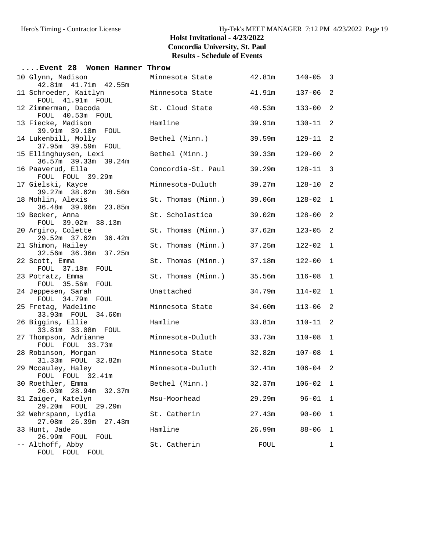| Event 28 Women Hammer Throw                   |                    |        |              |                |
|-----------------------------------------------|--------------------|--------|--------------|----------------|
| 10 Glynn, Madison<br>42.81m  41.71m  42.55m   | Minnesota State    | 42.81m | $140 - 05$ 3 |                |
| 11 Schroeder, Kaitlyn<br>FOUL 41.91m FOUL     | Minnesota State    | 41.91m | $137 - 06$   | $\overline{2}$ |
| 12 Zimmerman, Dacoda<br>FOUL 40.53m FOUL      | St. Cloud State    | 40.53m | $133 - 00$   | $\overline{2}$ |
| 13 Fiecke, Madison<br>39.91m 39.18m FOUL      | Hamline            | 39.91m | $130 - 11$   | $\overline{2}$ |
| 14 Lukenbill, Molly<br>37.95m 39.59m FOUL     | Bethel (Minn.)     | 39.59m | 129-11       | $\overline{2}$ |
| 15 Ellinghuysen, Lexi<br>36.57m 39.33m 39.24m | Bethel (Minn.)     | 39.33m | $129 - 00$   | $\overline{2}$ |
| 16 Paaverud, Ella<br>FOUL FOUL 39.29m         | Concordia-St. Paul | 39.29m | $128 - 11$ 3 |                |
| 17 Gielski, Kayce<br>39.27m 38.62m 38.56m     | Minnesota-Duluth   | 39.27m | $128 - 10$   | $\overline{2}$ |
| 18 Mohlin, Alexis<br>36.48m 39.06m 23.85m     | St. Thomas (Minn.) | 39.06m | $128 - 02$   | $\mathbf{1}$   |
| 19 Becker, Anna<br>FOUL 39.02m 38.13m         | St. Scholastica    | 39.02m | $128 - 00$   | $\overline{2}$ |
| 20 Argiro, Colette<br>29.52m 37.62m 36.42m    | St. Thomas (Minn.) | 37.62m | $123 - 05$   | $\overline{c}$ |
| 21 Shimon, Hailey<br>32.56m 36.36m 37.25m     | St. Thomas (Minn.) | 37.25m | 122-02       | $\mathbf{1}$   |
| 22 Scott, Emma<br>FOUL 37.18m FOUL            | St. Thomas (Minn.) | 37.18m | $122 - 00$   | $\mathbf 1$    |
| 23 Potratz, Emma<br>FOUL 35.56m FOUL          | St. Thomas (Minn.) | 35.56m | $116 - 08$   | $\mathbf 1$    |
| 24 Jeppesen, Sarah<br>FOUL 34.79m FOUL        | Unattached         | 34.79m | $114 - 02$   | $1\,$          |
| 25 Fretag, Madeline<br>33.93m FOUL 34.60m     | Minnesota State    | 34.60m | $113 - 06$   | $\overline{2}$ |
| 26 Biggins, Ellie<br>33.81m 33.08m FOUL       | Hamline            | 33.81m | $110 - 11$   | $\overline{2}$ |
| 27 Thompson, Adrianne<br>FOUL FOUL 33.73m     | Minnesota-Duluth   | 33.73m | $110 - 08$   | $\mathbf{1}$   |
| 28 Robinson, Morgan<br>31.33m FOUL 32.82m     | Minnesota State    | 32.82m | $107 - 08$   | $\mathbf 1$    |
| 29 Mccauley, Haley<br>FOUL FOUL 32.41m        | Minnesota-Duluth   | 32.41m | $106 - 04$ 2 |                |
| 30 Roethler, Emma<br>26.03m 28.94m 32.37m     | Bethel (Minn.)     | 32.37m | $106 - 02$ 1 |                |
| 31 Zaiger, Katelyn<br>29.20m FOUL 29.29m      | Msu-Moorhead       | 29.29m | $96 - 01$    | $\mathbf{1}$   |
| 32 Wehrspann, Lydia<br>27.08m  26.39m  27.43m | St. Catherin       | 27.43m | $90 - 00$    | $\mathbf 1$    |
| 33 Hunt, Jade<br>26.99m FOUL FOUL             | Hamline            | 26.99m | $88 - 06$    | 1              |
| -- Althoff, Abby<br>FOUL FOUL FOUL            | St. Catherin       | FOUL   |              | $1\,$          |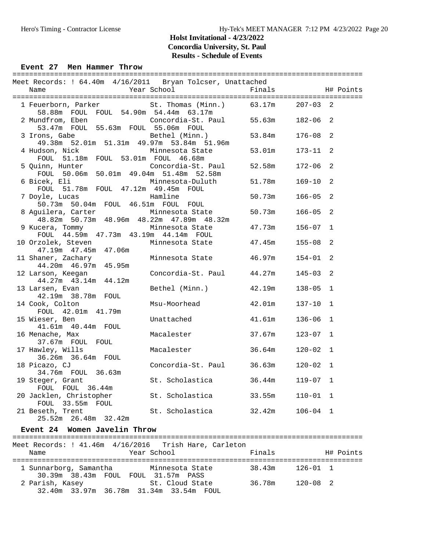#### Event 27 Men Hammer Throw

| Meet Records: ! 64.40m  4/16/2011  Bryan Tolcser, Unattached<br>Name | Year School               | Finals |              |               | H# Points |
|----------------------------------------------------------------------|---------------------------|--------|--------------|---------------|-----------|
|                                                                      |                           |        |              |               |           |
| 1 Feuerborn, Parker<br>58.88m FOUL FOUL 54.90m 54.44m 63.17m         | St. Thomas (Minn.) 63.17m |        | $207 - 03$   | $\mathcal{L}$ |           |
| 2 Mundfrom, Eben<br>53.47m FOUL 55.63m FOUL 55.06m FOUL              | Concordia-St. Paul 55.63m |        | 182-06       | 2             |           |
| 3 Irons, Gabe<br>49.38m 52.01m 51.31m 49.97m 53.84m 51.96m           | Bethel (Minn.)            | 53.84m | $176 - 08$   | 2             |           |
| 4 Hudson, Nick<br>FOUL 51.18m FOUL 53.01m FOUL 46.68m                | Minnesota State           | 53.01m | 173-11       | 2             |           |
| 5 Quinn, Hunter<br>FOUL 50.06m 50.01m 49.04m 51.48m 52.58m           | Concordia-St. Paul 52.58m |        | 172-06       | 2             |           |
| 6 Bicek, Eli<br>FOUL 51.78m FOUL 47.12m 49.45m FOUL                  | Minnesota-Duluth 51.78m   |        | 169-10       | 2             |           |
| 7 Doyle, Lucas<br>50.73m 50.04m FOUL 46.51m FOUL FOUL                | Hamline                   | 50.73m | $166 - 05$   | 2             |           |
| 8 Aguilera, Carter<br>48.82m 50.73m 48.96m 48.22m 47.89m 48.32m      | Minnesota State           | 50.73m | 166-05       | 2             |           |
| 9 Kucera, Tommy<br>FOUL 44.59m 47.73m 43.19m 44.14m FOUL             | Minnesota State           | 47.73m | 156-07       | $\mathbf{1}$  |           |
| 10 Orzolek, Steven<br>47.19m  47.45m  47.06m                         | Minnesota State 47.45m    |        | $155 - 08$   | 2             |           |
| 11 Shaner, Zachary<br>44.20m  46.97m  45.95m                         | Minnesota State 46.97m    |        | $154 - 01$   | 2             |           |
| 12 Larson, Keegan<br>44.27m  43.14m  44.12m                          | Concordia-St. Paul 44.27m |        | $145 - 03$   | 2             |           |
| 13 Larsen, Evan<br>42.19m 38.78m FOUL                                | Bethel (Minn.) 42.19m     |        | $138 - 05$   | $\mathbf{1}$  |           |
| 14 Cook, Colton<br>FOUL 42.01m 41.79m                                | Msu-Moorhead              | 42.01m | $137 - 10$   | $\mathbf{1}$  |           |
| 15 Wieser, Ben<br>41.61m  40.44m  FOUL                               | Unattached                | 41.61m | $136 - 06$   | $\mathbf{1}$  |           |
| 16 Menache, Max<br>37.67m FOUL FOUL                                  | Macalester                | 37.67m | $123 - 07$   | $\mathbf{1}$  |           |
| 17 Hawley, Wills<br>36.26m 36.64m FOUL                               | Macalester<br>36.64m      |        | $120 - 02$   | $\mathbf 1$   |           |
| 18 Picazo, CJ<br>34.76m FOUL 36.63m                                  | Concordia-St. Paul 36.63m |        | $120 - 02$   | $\mathbf{1}$  |           |
| 19 Steger, Grant<br>FOUL FOUL 36.44m                                 | St. Scholastica 36.44m    |        | $119 - 07$ 1 |               |           |
| 20 Jacklen, Christopher St. Scholastica 33.55m<br>FOUL 33.55m FOUL   |                           |        | 110-01       | 1             |           |
| 21 Beseth, Trent<br>25.52m 26.48m 32.42m                             | St. Scholastica           | 32.42m | $106 - 04$   | $\mathbf{1}$  |           |

#### **Event 24 Women Javelin Throw**

#### ==================================================================================== Meet Records: !  $41.46m$   $4/16/2016$  Trish Hare, Carleton<br>Year School Name Year School Finals H# Points ==================================================================================== 1 Sunnarborg, Samantha Minnesota State 38.43m 126-01 1 30.39m 38.43m FOUL FOUL 31.57m PASS 2 FOUL 31.57m PASS<br>2 St. Cloud State 36.78m 120-08 32.40m 33.97m 36.78m 31.34m 33.54m FOUL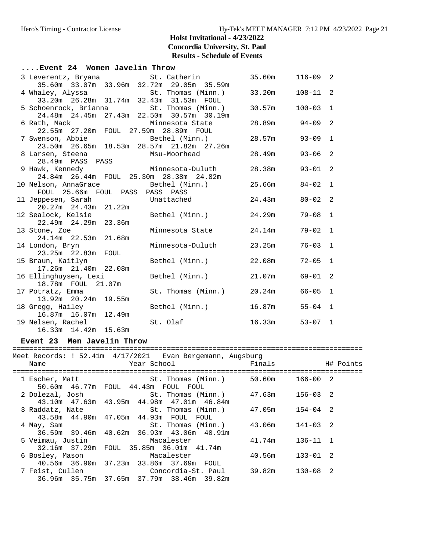| Event 24 Women Javelin Throw                                                             |                                   |                    |              |              |
|------------------------------------------------------------------------------------------|-----------------------------------|--------------------|--------------|--------------|
| 3 Leverentz, Bryana (St. Catherin 35.60m 116-09 2                                        |                                   |                    |              |              |
| 35.60m 33.07m 33.96m 32.72m 29.05m 35.59m                                                |                                   |                    |              |              |
|                                                                                          |                                   |                    | $108 - 11$ 2 |              |
| 4 Whaley, Alyssa St. Thomas (Minn.) 33.20m<br>33.20m 26.28m 31.74m 32.43m 31.53m FOUL    |                                   |                    |              |              |
| 5 Schoenrock, Brianna St. Thomas (Minn.) 30.57m                                          |                                   |                    | $100 - 03$ 1 |              |
| 24.48m  24.45m  27.43m  22.50m  30.57m  30.19m                                           |                                   |                    |              |              |
| 6 Rath, Mack                                                                             | Minnesota State                   | $28.89m$ 94-09     |              | 2            |
| 22.55m  27.20m  FOUL  27.59m  28.89m  FOUL                                               |                                   |                    |              |              |
| 7 Swenson, Abbie (Minn.)                                                                 |                                   | $28.57m$ 93-09     |              | $\mathbf{1}$ |
| 23.50m  26.65m  18.53m  28.57m  21.82m  27.26m                                           |                                   |                    |              |              |
| 8 Larsen, Steena Msu-Moorhead                                                            |                                   | 28.49m 93-06       |              | 2            |
| 28.49m PASS PASS<br>9 Hawk, Kennedy                             Minnesota-Duluth         |                                   |                    |              |              |
|                                                                                          |                                   | 28.38m 93-01       |              | 2            |
| 24.84m  26.44m  FOUL  25.30m  28.38m  24.82m                                             |                                   |                    |              |              |
| 10 Nelson, AnnaGrace and Bethel (Minn.) 25.66m 84-02 1                                   |                                   |                    |              |              |
| FOUL 25.66m FOUL PASS PASS PASS                                                          |                                   |                    |              |              |
|                                                                                          |                                   | $24.43m$ $80-02$   |              | 2            |
| 11 Jeppesen, Sarah Unattached<br>20.27m 24.43m 21.22m Unattached<br>20.27m 24.43m 21.22m |                                   |                    |              |              |
| 12 Sealock, Kelsie (Minn.)                                                               |                                   | 24.29m             | $79 - 08$    | $\mathbf{1}$ |
| 22.49m 24.29m 23.36m                                                                     |                                   |                    |              |              |
| 13 Stone, Zoe                                                                            | Minnesota State 24.14m            |                    | $79 - 02$    | $\mathbf{1}$ |
| 24.14m 22.53m 21.68m                                                                     |                                   |                    |              |              |
| 14 London, Bryn                                                                          | Minnesota-Duluth 23.25m           |                    | $76 - 03$    | $\mathbf{1}$ |
|                                                                                          |                                   |                    |              |              |
| 15 Braun, Kaitlyn                                                                        | Bethel (Minn.) 22.08m             |                    | $72 - 05$    | 1            |
| 17.26m 21.40m 22.08m                                                                     |                                   |                    |              |              |
| 16 Ellinghuysen, Lexi                                                                    | Bethel (Minn.) 21.07m 69-01       |                    |              | 2            |
| 18.78m  FOUL  21.07m                                                                     | St. Thomas (Minn.) 20.24m 66-05 1 |                    |              |              |
| 17 Potratz, Emma<br>13.92m 20.24m 19.55m                                                 |                                   |                    |              |              |
|                                                                                          |                                   | $16.87m$ $55-04$ 1 |              |              |
| 18 Gregg, Hailey<br>16.87m 16.07m 12.49m                                                 | Bethel (Minn.)                    |                    |              |              |
| 19 Nelsen, Rachel                                                                        | St. Olaf                          | $16.33m$ $53-07$ 1 |              |              |
| 16.33m  14.42m  15.63m                                                                   |                                   |                    |              |              |
|                                                                                          |                                   |                    |              |              |

#### **Event 23 Men Javelin Throw**

#### ====================================================================================

|            | Meet Records: ! 52.41m                                4/17/2021  Evan Bergemann, Augsburg |        |              |  |
|------------|-------------------------------------------------------------------------------------------|--------|--------------|--|
| Name       |                                                                                           |        |              |  |
|            |                                                                                           |        |              |  |
|            | 50.60m 46.77m FOUL 44.43m FOUL FOUL                                                       |        |              |  |
|            |                                                                                           |        |              |  |
|            | 2 Dolezal, Josh                       St. Thomas (Minn.)         47.63m                   |        | 156-03 2     |  |
|            | 43.10m  47.63m  43.95m  44.98m  47.01m  46.84m                                            |        |              |  |
|            |                                                                                           |        |              |  |
|            | 43.58m  44.90m  47.05m  44.93m  FOUL  FOUL                                                |        |              |  |
| 4 May, Sam | St. Thomas (Minn.) 43.06m                                                                 |        | 141-03 2     |  |
|            | 36.59m 39.46m 40.62m 36.93m 43.06m 40.91m                                                 |        |              |  |
|            | 5 Veimau, Justin               Macalester                                                 | 41.74m | 136-11 1     |  |
|            | 32.16m 37.29m FOUL 35.85m 36.01m 41.74m                                                   |        |              |  |
|            | 6 Bosley, Mason             Macalester                                                    | 40.56m | $133 - 01$ 2 |  |
|            | 40.56m 36.90m 37.23m 33.86m 37.69m FOUL                                                   |        |              |  |
|            | 7 Feist, Cullen                     Concordia-St. Paul       39.82m                       |        | 130-08 2     |  |
|            | 36.96m 35.75m 37.65m 37.79m 38.46m 39.82m                                                 |        |              |  |
|            |                                                                                           |        |              |  |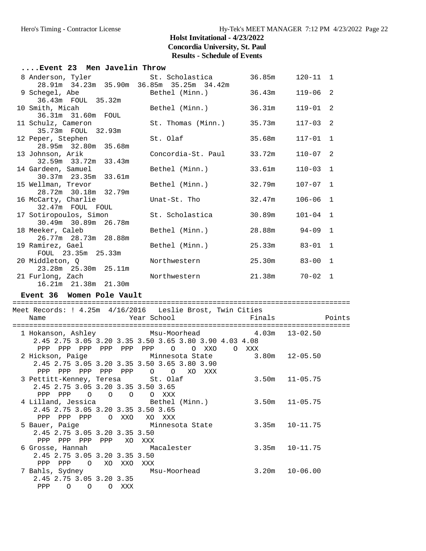| Event 23 Men Javelin Throw                                                                     |                                |                |              |  |
|------------------------------------------------------------------------------------------------|--------------------------------|----------------|--------------|--|
| 8 Anderson, Tyler 5t. Scholastica 36.85m 120-11 1<br>28.91m 34.23m 35.90m 36.85m 35.25m 34.42m |                                |                |              |  |
| 9 Schegel, Abe                                                                                 | Bethel (Minn.) 36.43m 119-06 2 |                |              |  |
| 36.43m  FOUL  35.32m                                                                           |                                |                |              |  |
| 10 Smith, Micah<br>36.31m 31.60m FOUL                                                          | Bethel (Minn.) 36.31m          |                | $119 - 01$ 2 |  |
| 11 Schulz, Cameron                                                                             | St. Thomas (Minn.) 35.73m      |                | $117 - 03$ 2 |  |
| 35.73m FOUL 32.93m                                                                             |                                |                |              |  |
| 12 Peper, Stephen                                                                              | St. Olaf                       | 35.68m         | $117 - 01$ 1 |  |
| 28.95m 32.80m 35.68m                                                                           |                                |                |              |  |
| 13 Johnson, Arik                                                                               | Concordia-St. Paul 33.72m      |                | $110 - 07$ 2 |  |
| 32.59m 33.72m 33.43m                                                                           |                                |                |              |  |
| 14 Gardeen, Samuel                                                                             | Bethel (Minn.) 33.61m          |                | $110 - 03$ 1 |  |
| 30.37m 23.35m 33.61m                                                                           |                                |                |              |  |
| 15 Wellman, Trevor                                                                             | Bethel (Minn.)                 | 32.79m         | $107 - 07$ 1 |  |
| 28.72m 30.18m 32.79m                                                                           |                                |                |              |  |
| 16 McCarty, Charlie                                                                            | Unat-St. Tho                   | 32.47m         | $106 - 06$ 1 |  |
| 32.47m FOUL FOUL                                                                               |                                |                |              |  |
| 17 Sotiropoulos, Simon St. Scholastica                                                         |                                | 30.89m         | $101 - 04$ 1 |  |
| 30.49m 30.89m 26.78m                                                                           |                                |                |              |  |
| 18 Meeker, Caleb                                                                               | Bethel (Minn.)                 | 28.88m 94-09 1 |              |  |
| 26.77m 28.73m 28.88m                                                                           |                                |                |              |  |
| 19 Ramirez, Gael                                                                               | Bethel (Minn.)                 | 25.33m         | $83 - 01$ 1  |  |
| FOUL 23.35m 25.33m                                                                             |                                |                |              |  |
| 20 Middleton, O                                                                                | Northwestern 25.30m            |                | $83 - 00$ 1  |  |
|                                                                                                |                                |                |              |  |
| 21 Furlong, Zach                                                                               | Northwestern 21.38m            |                | $70 - 02$ 1  |  |
| 16.21m  21.38m  21.30m                                                                         |                                |                |              |  |
| Event 36 Women Pole Vault                                                                      |                                |                |              |  |
| Meet Records: ! 4.25m 4/16/2016 Leslie Brost, Twin Cities                                      |                                |                |              |  |
|                                                                                                |                                |                |              |  |

| Name                                                                                        |          |                |                                         |            | Year School |          |          |     |          | Finals       |                                                | Points |
|---------------------------------------------------------------------------------------------|----------|----------------|-----------------------------------------|------------|-------------|----------|----------|-----|----------|--------------|------------------------------------------------|--------|
| 2.45 2.75 3.05 3.20 3.35 3.50 3.65 3.80 3.90 4.03 4.08                                      |          |                |                                         |            |             |          |          |     |          |              | 1 Hokanson, Ashley Msu-Moorhead 4.03m 13-02.50 |        |
| PPP PPP                                                                                     |          | PPP            |                                         | PPP PPP    | PPP         | $\Omega$ | $\Omega$ | XXO | $\Omega$ | XXX<br>3.80m | 12-05.50                                       |        |
| 2.45 2.75 3.05 3.20 3.35 3.50 3.65 3.80 3.90<br>PPP PPP                                     |          | PPP            | PPP PPP                                 |            |             | $O$ 0    | XO       | XXX |          |              |                                                |        |
| 3 Pettitt-Kenney, Teresa St. Olaf<br>2.45 2.75 3.05 3.20 3.35 3.50 3.65<br>PPP PPP          |          |                | $\begin{matrix} 0 & 0 & 0 \end{matrix}$ |            |             | O XXX    |          |     |          |              | $3.50m$ $11-05.75$                             |        |
| 4 Lilland, Jessica                     Bethel (Minn.)<br>2.45 2.75 3.05 3.20 3.35 3.50 3.65 |          |                |                                         |            |             |          |          |     |          |              | $3.50m$ $11-05.75$                             |        |
| PPP PPP<br>5 Bauer, Paige Minnesota State                                                   |          | PPP            |                                         | O XXO      |             | XO XXX   |          |     |          |              | $3.35m$ $10-11.75$                             |        |
| 2.45 2.75 3.05 3.20 3.35 3.50<br>PPP PPP                                                    |          |                |                                         | PPP PPP XO | XXX         |          |          |     |          |              |                                                |        |
| 6 Grosse, Hannah Macalester<br>2.45 2.75 3.05 3.20 3.35 3.50<br>PPP                         | PPP      | $\overline{O}$ |                                         | XO XXO     | XXX         |          |          |     |          |              | $3.35m$ $10-11.75$                             |        |
| 7 Bahls, Sydney                         Msu-Moorhead<br>2.45 2.75 3.05 3.20 3.35            |          |                |                                         |            |             |          |          |     |          |              | $3.20m$ $10-06.00$                             |        |
| PPP                                                                                         | $\Omega$ | $\Omega$       | $\Omega$                                | XXX        |             |          |          |     |          |              |                                                |        |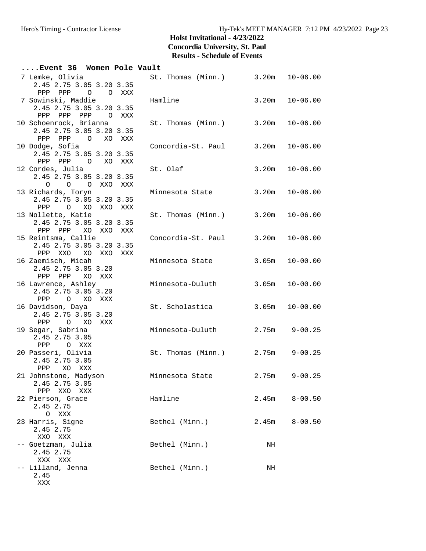| Event 36 Women Pole Vault                                             |        |                                   |       |                    |
|-----------------------------------------------------------------------|--------|-----------------------------------|-------|--------------------|
| 7 Lemke, Olivia<br>2.45 2.75 3.05 3.20 3.35                           |        | St. Thomas (Minn.) 3.20m 10-06.00 |       |                    |
| PPP PPP 0 0 XXX<br>7 Sowinski, Maddie<br>2.45 2.75 3.05 3.20 3.35     |        | Hamline                           |       | $3.20m$ $10-06.00$ |
| PPP PPP<br>PPP<br>10 Schoenrock, Brianna                              | O XXX  | St. Thomas (Minn.) 3.20m          |       | $10 - 06.00$       |
| 2.45 2.75 3.05 3.20 3.35<br>PPP PPP 0 XO XXX                          |        |                                   |       |                    |
| 10 Dodge, Sofia<br>2.45 2.75 3.05 3.20 3.35<br>PPP PPP 0              | XO XXX | Concordia-St. Paul 3.20m          |       | $10 - 06.00$       |
| 12 Cordes, Julia<br>2.45 2.75 3.05 3.20 3.35                          |        | St. Olaf                          |       | $3.20m$ $10-06.00$ |
| O O O XXO XXX<br>13 Richards, Toryn<br>2.45 2.75 3.05 3.20 3.35       |        | Minnesota State                   | 3.20m | $10 - 06.00$       |
| O XO XXO XXX<br>PPP<br>13 Nollette, Katie<br>2.45 2.75 3.05 3.20 3.35 |        | St. Thomas (Minn.) 3.20m          |       | $10 - 06.00$       |
| PPP PPP XO XXO XXX<br>15 Reintsma, Callie<br>2.45 2.75 3.05 3.20 3.35 |        | Concordia-St. Paul 3.20m          |       | $10 - 06.00$       |
| PPP XXO XO XXO XXX<br>16 Zaemisch, Micah<br>2.45 2.75 3.05 3.20       |        | Minnesota State                   | 3.05m | $10 - 00.00$       |
| PPP PPP XO XXX<br>16 Lawrence, Ashley<br>2.45 2.75 3.05 3.20          |        | Minnesota-Duluth                  | 3.05m | $10 - 00.00$       |
| PPP<br>O XO XXX<br>16 Davidson, Daya<br>2.45 2.75 3.05 3.20           |        | St. Scholastica                   | 3.05m | $10 - 00.00$       |
| PPP O XO XXX<br>19 Segar, Sabrina<br>2.45 2.75 3.05                   |        | Minnesota-Duluth                  | 2.75m | $9 - 00.25$        |
| PPP<br>O XXX<br>20 Passeri, Olivia<br>2.45 2.75 3.05                  |        | St. Thomas (Minn.) 2.75m          |       | $9 - 00.25$        |
| PPP<br>XO XXX<br>21 Johnstone, Madyson<br>2.45 2.75 3.05              |        | Minnesota State                   | 2.75m | $9 - 00.25$        |
| PPP XXO XXX<br>22 Pierson, Grace<br>2.45 2.75                         |        | Hamline                           | 2.45m | $8 - 00.50$        |
| O XXX<br>23 Harris, Signe<br>2.45 2.75                                |        | Bethel (Minn.)                    | 2.45m | $8 - 00.50$        |
| XXO XXX<br>-- Goetzman, Julia<br>2.45 2.75                            |        | Bethel (Minn.)                    | NH    |                    |
| XXX XXX<br>-- Lilland, Jenna<br>2.45                                  |        | Bethel (Minn.)                    | NH    |                    |
| XXX                                                                   |        |                                   |       |                    |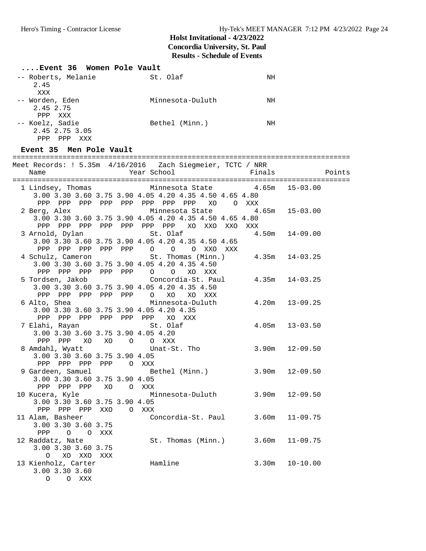| Event 36 Women Pole Vault |                  |    |
|---------------------------|------------------|----|
| -- Roberts, Melanie       | St. Olaf         | ΝH |
| 2.45                      |                  |    |
| XXX                       |                  |    |
| -- Worden, Eden           | Minnesota-Duluth | ΝH |
| 2.45 2.75                 |                  |    |
| PPP XXX                   |                  |    |
| -- Koelz, Sadie           | Bethel (Minn.)   | ΝH |
| 2.45 2.75 3.05            |                  |    |
| PPP<br>PPP<br>XXX         |                  |    |

### **Event 35 Men Pole Vault**

| Name                                                 | Meet Records: ! 5.35m  4/16/2016  Zach Siegmeier, TCTC / NRR<br>Year School     |                    | Finals Points      |
|------------------------------------------------------|---------------------------------------------------------------------------------|--------------------|--------------------|
|                                                      | 1 Lindsey, Thomas Minnesota State                                               | $4.65m$ $15-03.00$ |                    |
|                                                      | 3.00 3.30 3.60 3.75 3.90 4.05 4.20 4.35 4.50 4.65 4.80                          |                    |                    |
|                                                      | PPP PPP PPP PPP PPP PPP PPP PPP XO OXXX                                         |                    |                    |
| 2 Berg, Alex                                         | Minnesota State $4.65m$ 15-03.00                                                |                    |                    |
|                                                      | 3.00 3.30 3.60 3.75 3.90 4.05 4.20 4.35 4.50 4.65 4.80                          |                    |                    |
|                                                      |                                                                                 |                    |                    |
|                                                      |                                                                                 |                    | $4.50m$ $14-09.00$ |
|                                                      | 3.00 3.30 3.60 3.75 3.90 4.05 4.20 4.35 4.50 4.65                               |                    |                    |
|                                                      | PPP PPP PPP PPP PPP 0 0 0 XXO XXX                                               |                    |                    |
|                                                      | 4 Schulz, Cameron 5t. Thomas (Minn.) 4.35m 14-03.25                             |                    |                    |
|                                                      | 3.00 3.30 3.60 3.75 3.90 4.05 4.20 4.35 4.50                                    |                    |                    |
|                                                      |                                                                                 |                    |                    |
|                                                      |                                                                                 |                    |                    |
|                                                      | 3.00 3.30 3.60 3.75 3.90 4.05 4.20 4.35 4.50                                    |                    |                    |
|                                                      | PPP PPP PPP PPP PPP $O$ XO XO XXX                                               |                    |                    |
|                                                      | 6 Alto, Shea             Minnesota-Duluth       4.20m   13-09.25                |                    |                    |
|                                                      | 3.00 3.30 3.60 3.75 3.90 4.05 4.20 4.35                                         |                    |                    |
|                                                      | PPP PPP PPP PPP PPP PPP XO XXX                                                  |                    |                    |
| 7 Elahi, Rayan                                       | St. Olaf                                                                        |                    | $4.05m$ $13-03.50$ |
| 3.00 3.30 3.60 3.75 3.90 4.05 4.20                   |                                                                                 |                    |                    |
| PPP PPP XO XO O O XXX                                |                                                                                 |                    |                    |
|                                                      | 8 Amdahl, Wyatt                     Unat-St. Tho               3.90m   12-09.50 |                    |                    |
| 3.00 3.30 3.60 3.75 3.90 4.05                        |                                                                                 |                    |                    |
| PPP PPP PPP PPP O XXX                                |                                                                                 |                    |                    |
|                                                      | 9 Gardeen, Samuel Bethel (Minn.) 3.90m 12-09.50                                 |                    |                    |
| 3.00 3.30 3.60 3.75 3.90 4.05<br>PPP PPP PPP XO OXXX |                                                                                 |                    |                    |
| 10 Kucera, Kyle                                      | Minnesota-Duluth 3.90m 12-09.50                                                 |                    |                    |
| 3.00 3.30 3.60 3.75 3.90 4.05                        |                                                                                 |                    |                    |
| PPP PPP PPP XXO O XXX                                |                                                                                 |                    |                    |
|                                                      | Concordia-St. Paul 3.60m 11-09.75                                               |                    |                    |
| 11 Alam, Basheer<br>3.00 3.30 3.60 3.75              |                                                                                 |                    |                    |
| PPP 0 0 XXX                                          |                                                                                 |                    |                    |
|                                                      | 12 Raddatz, Nate St. Thomas (Minn.) 3.60m 11-09.75                              |                    |                    |
| 3.00 3.30 3.60 3.75                                  |                                                                                 |                    |                    |
| O XO XXO XXX                                         |                                                                                 |                    |                    |
| 13 Kienholz, Carter                                  | Hamline                                                                         |                    | $3.30m$ $10-10.00$ |
| 3.00 3.30 3.60                                       |                                                                                 |                    |                    |
| $\circ$<br>O XXX                                     |                                                                                 |                    |                    |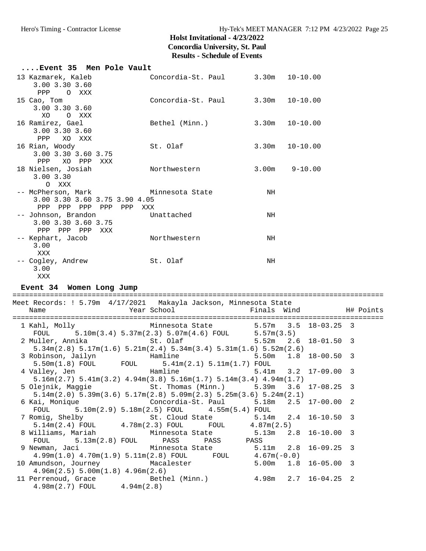| Event 35 Men Pole Vault                                             |                                                                                                       |                          |                       |           |
|---------------------------------------------------------------------|-------------------------------------------------------------------------------------------------------|--------------------------|-----------------------|-----------|
| 13 Kazmarek, Kaleb                                                  | Concordia-St. Paul 3.30m                                                                              |                          | $10 - 10.00$          |           |
| 3.00 3.30 3.60                                                      |                                                                                                       |                          |                       |           |
| ${\tt PPP}$<br>O XXX                                                |                                                                                                       |                          |                       |           |
| 15 Cao, Tom                                                         | Concordia-St. Paul 3.30m                                                                              |                          | $10 - 10.00$          |           |
| 3.00 3.30 3.60                                                      |                                                                                                       |                          |                       |           |
| XO<br>O XXX                                                         |                                                                                                       |                          |                       |           |
| 16 Ramirez, Gael                                                    | Bethel (Minn.)                                                                                        | 3.30m                    | $10 - 10.00$          |           |
| 3.00 3.30 3.60                                                      |                                                                                                       |                          |                       |           |
| XO XXX<br>PPP                                                       |                                                                                                       |                          |                       |           |
| 16 Rian, Woody                                                      | St. Olaf                                                                                              | 3.30m                    | $10 - 10.00$          |           |
| 3.00 3.30 3.60 3.75                                                 |                                                                                                       |                          |                       |           |
| PPP<br>XO PPP XXX                                                   |                                                                                                       |                          |                       |           |
| 18 Nielsen, Josiah                                                  | Northwestern                                                                                          | $3.00m$ $9-10.00$        |                       |           |
| 3.00 3.30                                                           |                                                                                                       |                          |                       |           |
| O XXX                                                               |                                                                                                       |                          |                       |           |
| -- McPherson, Mark Minnesota State<br>3.00 3.30 3.60 3.75 3.90 4.05 |                                                                                                       | ΝH                       |                       |           |
| PPP PPP PPP PPP PPP XXX                                             |                                                                                                       |                          |                       |           |
| -- Johnson, Brandon                                                 | Unattached                                                                                            | NH                       |                       |           |
| 3.00 3.30 3.60 3.75                                                 |                                                                                                       |                          |                       |           |
| PPP PPP PPP XXX                                                     |                                                                                                       |                          |                       |           |
| -- Kephart, Jacob                                                   | Northwestern                                                                                          | ΝH                       |                       |           |
| 3.00                                                                |                                                                                                       |                          |                       |           |
| XXX                                                                 |                                                                                                       |                          |                       |           |
| -- Cogley, Andrew                                                   | St. Olaf                                                                                              | ΝH                       |                       |           |
| 3.00                                                                |                                                                                                       |                          |                       |           |
|                                                                     |                                                                                                       |                          |                       |           |
| XXX                                                                 |                                                                                                       |                          |                       |           |
|                                                                     |                                                                                                       |                          |                       |           |
| Event 34 Women Long Jump                                            |                                                                                                       |                          |                       |           |
| Meet Records: ! 5.79m 4/17/2021 Makayla Jackson, Minnesota State    |                                                                                                       |                          |                       |           |
| Name                                                                | Year School                                                                                           | Finals Wind              |                       | H# Points |
|                                                                     |                                                                                                       |                          |                       |           |
| 1 Kahl, Molly                                                       | Minnesota State 5.57m 3.5                                                                             |                          | $18 - 03.25$ 3        |           |
| FOUL                                                                | $5.10m(3.4) 5.37m(2.3) 5.07m(4.6) F0UL$ $5.57m(3.5)$                                                  |                          |                       |           |
| 2 Muller, Annika                                                    | St. Olaf                                                                                              | 5.52m                    | $18 - 01.50$ 3<br>2.6 |           |
|                                                                     | $5.34$ m $(2.8)$ $5.17$ m $(1.6)$ $5.21$ m $(2.4)$ $5.34$ m $(3.4)$ $5.31$ m $(1.6)$ $5.52$ m $(2.6)$ |                          |                       |           |
| 3 Robinson, Jailyn                                                  | Hamline                                                                                               | 5.50m                    | $1.8$ 18-00.50 3      |           |
| $5.50m(1.8)$ FOUL                                                   | FOUL $5.41m(2.1) 5.11m(1.7)$ FOUL                                                                     |                          |                       |           |
| 4 Valley, Jen                                                       | Hamline 5.41m 3.2 17-09.00 3                                                                          |                          |                       |           |
|                                                                     | $5.16$ m $(2.7)$ $5.41$ m $(3.2)$ $4.94$ m $(3.8)$ $5.16$ m $(1.7)$ $5.14$ m $(3.4)$ $4.94$ m $(1.7)$ |                          |                       |           |
| 5 Olejnik, Maggie                                                   | St. Thomas (Minn.)                                                                                    | 5.39m                    | 3.6<br>$17 - 08.25$   | 3         |
|                                                                     | $5.14$ m $(2.0)$ $5.39$ m $(3.6)$ $5.17$ m $(2.8)$ $5.09$ m $(2.3)$ $5.25$ m $(3.6)$ $5.24$ m $(2.1)$ |                          |                       |           |
| 6 Kai, Monique                                                      | Concordia-St. Paul                                                                                    | 5.18m                    | $17 - 00.00$<br>2.5   | 2         |
| FOUL<br>5.10m(2.9) 5.18m(2.5) FOUL<br>7 Romig, Shelby               |                                                                                                       | 4.55m(5.4) FOUL<br>5.14m | $16 - 10.50$<br>2.4   | 3         |
| $5.14m(2.4)$ FOUL                                                   | St. Cloud State<br>$4.78m(2.3)$ FOUL<br>FOUL                                                          | 4.87m(2.5)               |                       |           |
| 8 Williams, Mariah                                                  | Minnesota State                                                                                       | 5.13m                    | $16 - 10.00$<br>2.8   | 3         |
| FOUL<br>$5.13m(2.8)$ FOUL                                           | PASS<br>PASS                                                                                          | PASS                     |                       |           |
| 9 Newman, Jaci                                                      | Minnesota State                                                                                       | 5.11m                    | $16 - 09.25$<br>2.8   | - 3       |
| 4.99m(1.0) 4.70m(1.9) 5.11m(2.8) FOUL                               | FOUL                                                                                                  | $4.67m(-0.0)$            |                       |           |

 10 Amundson, Journey Macalester 5.00m 1.8 16-05.00 3 4.96m(2.5) 5.00m(1.8) 4.96m(2.6) 11 Perrenoud, Grace Bethel (Minn.) 4.98m 2.7 16-04.25 2 4.98m(2.7) FOUL 4.94m(2.8)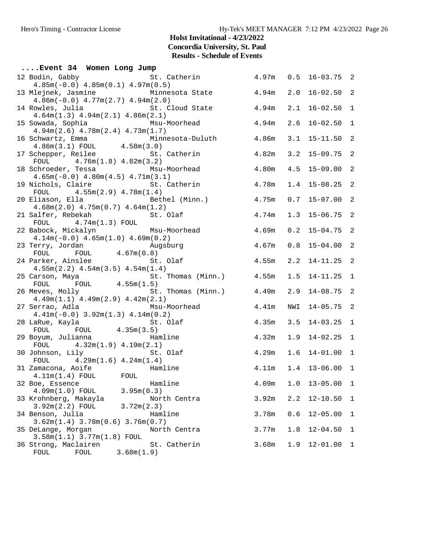| Event 34 Women Long Jump                                                                                         |                                   |       |     |                    |                |
|------------------------------------------------------------------------------------------------------------------|-----------------------------------|-------|-----|--------------------|----------------|
| 12 Bodin, Gabby<br>$4.85m(-0.0)$ $4.85m(0.1)$ $4.97m(0.5)$                                                       | St. Catherin 4.97m 0.5 16-03.75 2 |       |     |                    |                |
| 13 Mlejnek, Jasmine           Minnesota State         4.94m                                                      |                                   |       | 2.0 | $16 - 02.50$ 2     |                |
| $4.86m(-0.0)$ $4.77m(2.7)$ $4.94m(2.0)$<br>14 Rowles, Julia and St. Cloud State                                  | 4.94m                             |       | 2.1 | $16 - 02.50$ 1     |                |
| $4.64m(1.3)$ $4.94m(2.1)$ $4.86m(2.1)$<br>15 Sowada, Sophia                                                      | Msu-Moorhead<br>4.94 <sub>m</sub> |       | 2.6 | $16 - 02.50$       | $\mathbf{1}$   |
| $4.94m(2.6)$ $4.78m(2.4)$ $4.73m(1.7)$                                                                           |                                   |       | 3.1 | $15 - 11.50$ 2     |                |
| 16 Schwartz, Emma Minnesota-Duluth 4.86m<br>4.86m(3.1) FOUL 4.58m(3.0)<br>17 Schepper, Reilee St. Catherin 4.82m |                                   |       |     | $3.2$ 15-09.75     | $\overline{2}$ |
| FOUL $4.76m(1.8) 4.82m(3.2)$<br>18 Schroeder, Tessa                                                              | 4.80m<br>Msu-Moorhead             |       |     | $4.5$ 15-09.00     | $\overline{a}$ |
| $4.65m(-0.0)$ $4.80m(4.5)$ $4.71m(3.1)$<br>19 Nichols, Claire en St. Catherin                                    |                                   | 4.78m |     | $1.4$ 15-08.25 2   |                |
| FOUL $4.55m(2.9) 4.78m(1.4)$<br>20 Eliason, Ella (Minn.)                                                         |                                   | 4.75m |     | $0.7$ 15-07.00     | $\overline{2}$ |
| $4.68m(2.0)$ $4.75m(0.7)$ $4.64m(1.2)$<br>21 Salfer, Rebekah<br>St. Olaf                                         |                                   | 4.74m |     | 1.3 15-06.75 2     |                |
| $FOUL$ 4.74m(1.3) $FOUL$<br>22 Babock, Mickalyn Msu-Moorhead                                                     |                                   | 4.69m |     | $0.2$ 15-04.75 2   |                |
| $4.14m(-0.0)$ $4.65m(1.0)$ $4.69m(0.2)$                                                                          |                                   | 4.67m |     | $0.8$ 15-04.00     | $\overline{2}$ |
| 23 Terry, Jordan Mugsburg<br>FOUL FOUL 4.67m(0.8)<br>24 Parker, Ainslee St. Olaf                                 | 4.55m                             |       |     | $2.2$ 14-11.25     | $\overline{c}$ |
| $4.55m(2.2)$ $4.54m(3.5)$ $4.54m(1.4)$<br>25 Carson, Maya                                                        | St. Thomas (Minn.) 4.55m          |       |     | $1.5$ $14-11.25$   | 1              |
| FOUL FOUL $4.55m(1.5)$<br>deves, Molly $4.55m(1.5)$<br>26 Meves, Molly                                           | St. Thomas (Minn.) 4.49m          |       | 2.9 | $14 - 08.75$ 2     |                |
| $4.49m(1.1)$ $4.49m(2.9)$ $4.42m(2.1)$<br>Msu-Moorhead                                                           | 4.41m                             |       | NWI | $14 - 05.75$ 2     |                |
| 27 Serrao, Adla<br>$4.41m(-0.0)$ $3.92m(1.3)$ $4.14m(0.2)$                                                       |                                   |       |     |                    |                |
|                                                                                                                  |                                   | 4.35m |     | $3.5$ 14-03.25 1   |                |
| FOUL $4.32m(1.9) 4.19m(2.1)$                                                                                     |                                   | 4.32m |     | $1.9$ $14-02.25$ 1 |                |
| 30 Johnson, Lily<br>FOUL $4.29m(1.6) 4.24m(1.4)$                                                                 | St. Olaf                          | 4.29m |     | $1.6$ $14-01.00$   | $\mathbf{1}$   |
| 31 Zamacona, Aoife Mamline<br>$4.11m(1.4)$ FOUL FOUL                                                             |                                   | 4.11m |     | $1.4$ 13-06.00 1   |                |
| 32 Boe, Essence<br>4.09m(1.0) FOUL<br>3.95m(0.3)                                                                 | Hamline                           | 4.09m | 1.0 | $13 - 05.00$       | 1              |
| 33 Krohnberg, Makayla<br>$3.92m(2.2)$ FOUL<br>3.72m(2.3)                                                         | North Centra                      | 3.92m | 2.2 | $12 - 10.50$       | 1              |
| 34 Benson, Julia<br>$3.62m(1.4)$ $3.78m(0.6)$ $3.76m(0.7)$                                                       | Hamline                           | 3.78m | 0.6 | $12 - 05.00$       | 1              |
| 35 DeLange, Morgan<br>3.58m(1.1) 3.77m(1.8) FOUL                                                                 | North Centra                      | 3.77m | 1.8 | $12 - 04.50$       | 1              |
| 36 Strong, Maclairen<br>FOUL<br>3.68m(1.9)<br>FOUL                                                               | St. Catherin                      | 3.68m | 1.9 | $12 - 01.00$       | 1              |
|                                                                                                                  |                                   |       |     |                    |                |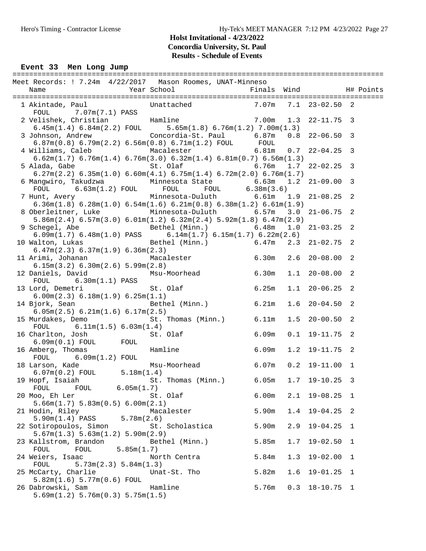#### Event 33 Men Long Jump

| Meet Records: ! 7.24m 4/22/2017 Mason Roomes, UNAT-Minneso                                                                                                                                                      |                                     |       |     |                    |                |  |
|-----------------------------------------------------------------------------------------------------------------------------------------------------------------------------------------------------------------|-------------------------------------|-------|-----|--------------------|----------------|--|
| 1 Akintade, Paul Unattached 7.07m 7.1 23-02.50 2<br>FOUL 7.07m(7.1) PASS                                                                                                                                        |                                     |       |     |                    |                |  |
| 2 Velishek, Christian Hamline 7.00m 1.3<br>$6.45m(1.4)$ $6.84m(2.2)$ FOUL $5.65m(1.8)$ $6.76m(1.2)$ $7.00m(1.3)$                                                                                                |                                     |       |     | $22 - 11.75$ 3     |                |  |
| 3 Johnson, Andrew Concordia-St. Paul 6.87m<br>$6.87m(0.8) 6.79m(2.2) 6.56m(0.8) 6.71m(1.2) F0UL$ FOUL                                                                                                           |                                     |       |     | $0.8$ 22-06.50 3   |                |  |
| 4 Williams, Caleb Macalester 6.81m 0.7 22-04.25 3<br>$6.62$ m $(1.7)$ $6.76$ m $(1.4)$ $6.76$ m $(3.0)$ $6.32$ m $(1.4)$ $6.81$ m $(0.7)$ $6.56$ m $(1.3)$                                                      |                                     |       |     |                    |                |  |
| $6.27m(2.2)$ $6.35m(1.0)$ $6.60m(4.1)$ $6.75m(1.4)$ $6.72m(2.0)$ $6.76m(1.7)$                                                                                                                                   |                                     |       |     |                    |                |  |
| 6 Mangwiro, Takudzwa $\qquad$ Minnesota State $\qquad$ 6.63m 1.2<br>${\tt FOUL} \qquad \qquad 6.63\text{m}(1.2) \text{ FOUL} \qquad \qquad {\tt FOUL} \qquad \qquad {\tt FOUL} \qquad \qquad 6.38\text{m}(3.6)$ |                                     |       |     | $21 - 09.00$ 3     |                |  |
| 7 Hunt, Avery                       Minnesota-Duluth               6.61m   1.9<br>$6.36m(1.8)$ $6.28m(1.0)$ $6.54m(1.6)$ $6.21m(0.8)$ $6.38m(1.2)$ $6.61m(1.9)$                                                 |                                     |       |     | $21 - 08.25$ 2     |                |  |
| 8 Oberleitner, Luke Minnesota-Duluth 6.57m 3.0<br>$5.86m(2.4)$ 6.57 $m(3.0)$ 6.01 $m(1.2)$ 6.32 $m(2.4)$ 5.92 $m(1.8)$ 6.47 $m(2.9)$                                                                            |                                     |       |     | $21 - 06.75$ 2     |                |  |
| 9 Schegel, Abe                           Bethel (Minn.)             6.48m<br>$6.09m(1.7) 6.48m(1.0) PASS 6.14m(1.7) 6.15m(1.7) 6.22m(2.6)$                                                                      |                                     |       | 1.0 | $21 - 03.25$ 2     |                |  |
| 10 Walton, Lukas<br>6.47m(2.3) 6.37m(1.9) 6.36m(2.3)                                                                                                                                                            | Bethel (Minn.) 6.47m 2.3 21-02.75 2 |       |     |                    |                |  |
| 11 Arimi, Johanan Macalester 6.30m<br>6.15m(3.2) 6.30m(2.6) 5.99m(2.8)                                                                                                                                          |                                     |       |     | $2.6$ $20-08.00$ 2 |                |  |
| 12 Daniels, David<br>FOUL 6.30m(1.1) PASS                                                                                                                                                                       | Msu-Moorhead 6.30m                  |       |     | $1.1$ 20-08.00 2   |                |  |
| 13 Lord, Demetri<br>6.00m(2.3) 6.18m(1.9) 6.25m(1.1)                                                                                                                                                            | St. Olaf 6.25m                      |       |     | $1.1$ 20-06.25 2   |                |  |
| 14 Bjork, Sean Bethel (Minn.) 6.21m<br>6.05m(2.5) 6.21m(1.6) 6.17m(2.5)                                                                                                                                         |                                     |       | 1.6 | $20 - 04.50$ 2     |                |  |
| 15 Murdakes, Demo<br>FOUL<br>6.11m(1.5) 6.03m(1.4)                                                                                                                                                              | St. Thomas (Minn.) 6.11m            |       | 1.5 | $20 - 00.50$ 2     |                |  |
| 16 Charlton, Josh<br>% St. Olat<br>6.09m(0.1) FOUL FOUL<br>Notary, Thomas Hamline                                                                                                                               | 6.09m<br>St. Olaf                   |       |     | $0.1$ 19-11.75 2   |                |  |
| 16 Amberg, Thomas<br>$FOUL$ 6.09m(1.2) $FOUL$                                                                                                                                                                   | 6.09m                               |       |     | $1.2$ 19-11.75 2   |                |  |
| 18 Larson, Kade<br>$6.07m(0.2)$ FOUL $5.18m(1.4)$                                                                                                                                                               | Msu-Moorhead 6.07m                  |       |     | $0.2$ 19-11.00 1   |                |  |
| 19 Hopf, Isaiah<br>FOUL<br>6.05m(1.7)<br>FOUL                                                                                                                                                                   | St. Thomas (Minn.) 6.05m            |       | 1.7 | 19-10.25           | $\overline{3}$ |  |
| 20 Moo, Eh Ler<br>5.66m(1.7) 5.83m(0.5) 6.00m(2.1)                                                                                                                                                              | St. Olaf                            | 6.00m | 2.1 | 19-08.25           | -1             |  |
| 21 Hodin, Riley<br>5.90m(1.4) PASS<br>5.78m(2.6)                                                                                                                                                                | Macalester                          | 5.90m | 1.4 | $19 - 04.25$ 2     |                |  |
| 22 Sotiropoulos, Simon<br>5.67m(1.3) 5.63m(1.2) 5.90m(2.9)                                                                                                                                                      | St. Scholastica                     | 5.90m | 2.9 | $19 - 04.25$       | 1              |  |
| 23 Kallstrom, Brandon<br>FOUL<br>FOUL<br>5.85m(1.7)                                                                                                                                                             | Bethel (Minn.)                      | 5.85m | 1.7 | $19 - 02.50$       | 1              |  |
| 24 Weiers, Isaac<br>FOUL<br>5.73m(2.3) 5.84m(1.3)                                                                                                                                                               | North Centra                        | 5.84m | 1.3 | $19 - 02.00$       | 1              |  |
| 25 McCarty, Charlie<br>5.82m(1.6) 5.77m(0.6) F0UL                                                                                                                                                               | Unat-St. Tho                        | 5.82m | 1.6 | $19 - 01.25$ 1     |                |  |
| 26 Dabrowski, Sam<br>5.69m(1.2) 5.76m(0.3) 5.75m(1.5)                                                                                                                                                           | Hamline                             | 5.76m | 0.3 | $18 - 10.75$ 1     |                |  |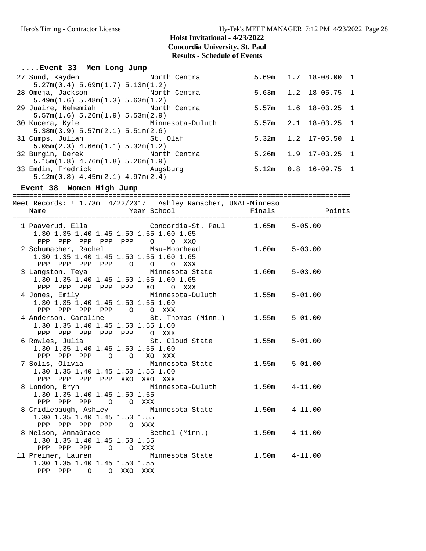| Event 33 Men Long Jump                                                                                                                     |                   |                            |                          |
|--------------------------------------------------------------------------------------------------------------------------------------------|-------------------|----------------------------|--------------------------|
| North Centra 5.69m 1.7 18-08.00 1<br>27 Sund, Kayden<br>5.27m(0.4) 5.69m(1.7) 5.13m(1.2)                                                   |                   |                            |                          |
| 28 Omeja, Jackson<br>North Centra<br>5.49m(1.6) 5.48m(1.3) 5.63m(1.2)                                                                      | 5.63m             | $1.2$ 18-05.75 1           |                          |
| 29 Juaire, Nehemiah Morth Centra<br>5.57m(1.6) 5.26m(1.9) 5.53m(2.9)                                                                       | 5.57m             | 1.6<br>$18 - 03.25$        | $\overline{\phantom{0}}$ |
| 30 Kucera, Kyle           Minnesota-Duluth         5.57m<br>5.38m(3.9) 5.57m(2.1) 5.51m(2.6)                                               |                   | 2.1<br>$18 - 03.25$        | $\mathbf{1}$             |
| 31 Cumps, Julian<br>St. Olaf<br>$5.05m(2.3)$ 4.66 $m(1.1)$ 5.32 $m(1.2)$                                                                   | 5.32m             | $1.2$ $17-05.50$           | $\mathbf{1}$             |
| 32 Burgin, Derek<br>North Centra<br>$5.15m(1.8)$ $4.76m(1.8)$ $5.26m(1.9)$                                                                 | 5.26m             | 1.9<br>17-03.25            | $\mathbf{1}$             |
| 33 Emdin, Fredrick Mugsburg<br>$5.12m(0.8)$ 4.45 $m(2.1)$ 4.97 $m(2.4)$                                                                    |                   | $5.12m$ $0.8$ $16-09.75$ 1 |                          |
| Event 38 Women High Jump                                                                                                                   |                   |                            |                          |
| Meet Records: ! 1.73m 4/22/2017 Ashley Ramacher, UNAT-Minneso<br>Year School<br>Name                                                       | Finals            | Points                     |                          |
| 1 Paaverud, Ella (Concordia-St. Paul 1.65m 5-05.00<br>1.30 1.35 1.40 1.45 1.50 1.55 1.60 1.65<br>PPP PPP PPP PPP PPP 0 0 XXO               |                   |                            |                          |
| 2 Schumacher, Rachel Msu-Moorhead 1.60m 5-03.00<br>1.30 1.35 1.40 1.45 1.50 1.55 1.60 1.65<br>PPP PPP PPP PPP 0 0 0 XXX                    |                   |                            |                          |
| 3 Langston, Teya Minnesota State<br>1.30 1.35 1.40 1.45 1.50 1.55 1.60 1.65<br>PPP PPP PPP PPP PPP XO O XXX                                | $1.60m$ $5-03.00$ |                            |                          |
| 4 Jones, Emily                       Minnesota-Duluth              1.55m<br>1.30 1.35 1.40 1.45 1.50 1.55 1.60<br>PPP PPP PPP PPP 0 0 XXX  |                   | $5 - 01.00$                |                          |
| 4 Anderson, Caroline<br>St. Thomas (Minn.) 1.55m 5-01.00<br>1.30 1.35 1.40 1.45 1.50 1.55 1.60<br>PPP PPP PPP PPP PPP 0 XXX                |                   |                            |                          |
| 6 Rowles, Julia and St. Cloud State 1.55m<br>1.30 1.35 1.40 1.45 1.50 1.55 1.60<br>PPP PPP PPP 0 0 XO XXX                                  |                   | $5 - 01.00$                |                          |
| 7 Solis, Olivia             Minnesota State         1.55m     5-01.00<br>1.30 1.35 1.40 1.45 1.50 1.55 1.60<br>PPP PPP PPP PPP XXO XXO XXX |                   |                            |                          |
| Minnesota-Duluth 1.50m<br>8 London, Bryn<br>1.30 1.35 1.40 1.45 1.50 1.55<br>PPP PPP PPP 0 0 XXX                                           |                   | $4 - 11.00$                |                          |
| 8 Cridlebaugh, Ashley Minnesota State 1.50m 4-11.00<br>1.30 1.35 1.40 1.45 1.50 1.55<br>PPP PPP PPP PPP O XXX                              |                   |                            |                          |
| 8 Nelson, AnnaGrace Bethel (Minn.) 1.50m<br>1.30 1.35 1.40 1.45 1.50 1.55<br>PPP PPP PPP 0 0 XXX                                           |                   | $4 - 11.00$                |                          |
| 11 Preiner, Lauren and Minnesota State 1.50m 4-11.00<br>1.30 1.35 1.40 1.45 1.50 1.55<br>PPP PPP 0 0 XXO XXX                               |                   |                            |                          |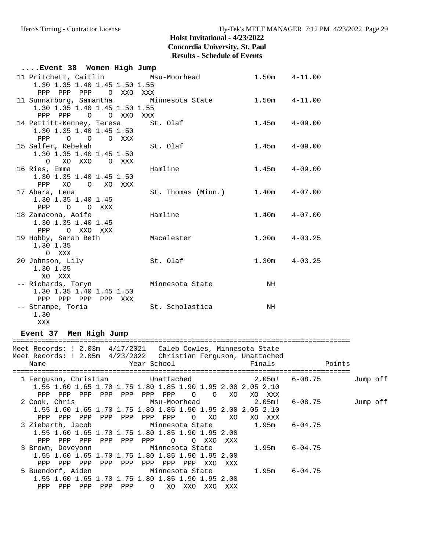| Event 38 Women High Jump                                                                                |                    |    |                   |
|---------------------------------------------------------------------------------------------------------|--------------------|----|-------------------|
| 11 Pritchett, Caitlin Msu-Moorhead<br>1.30 1.35 1.40 1.45 1.50 1.55                                     |                    |    | $1.50m$ $4-11.00$ |
| PPP PPP PPP O XXO XXX<br>11 Sunnarborg, Samantha       Minnesota State<br>1.30 1.35 1.40 1.45 1.50 1.55 |                    |    | $1.50m$ $4-11.00$ |
| PPP PPP 0 0 XXO XXX<br>14 Pettitt-Kenney, Teresa St. Olaf                                               |                    |    | $1.45m$ $4-09.00$ |
| 1.30 1.35 1.40 1.45 1.50<br>PPP 0 0 0 XXX                                                               |                    |    |                   |
| 15 Salfer, Rebekah<br>1.30 1.35 1.40 1.45 1.50                                                          | St. Olaf           |    | $1.45m$ $4-09.00$ |
| O XO XXO O XXX<br>16 Ries, Emma                                                                         | Hamline            |    | $1.45m$ $4-09.00$ |
| 1.30 1.35 1.40 1.45 1.50<br>XO O XO XXX<br><b>PPP</b>                                                   |                    |    |                   |
| 17 Abara, Lena<br>1.30 1.35 1.40 1.45                                                                   | St. Thomas (Minn.) |    | $1.40m$ $4-07.00$ |
| O O XXX<br><b>PPP</b><br>18 Zamacona, Aoife<br>1.30 1.35 1.40 1.45                                      | Hamline            |    | $1.40m$ $4-07.00$ |
| PPP O XXO XXX<br>19 Hobby, Sarah Beth                                                                   | Macalester         |    | $1.30m$ $4-03.25$ |
| 1.30 1.35<br>O XXX                                                                                      |                    |    |                   |
| 20 Johnson, Lily<br>1.30 1.35                                                                           | St. Olaf           |    | $1.30m$ $4-03.25$ |
| XO XXX<br>-- Richards, Toryn                                                                            | Minnesota State    | NH |                   |
| 1.30 1.35 1.40 1.45 1.50<br>PPP PPP PPP PPP XXX<br>-- Strampe, Toria                                    | St. Scholastica    | NH |                   |
| 1.30                                                                                                    |                    |    |                   |

XXX

**Event 37 Men High Jump**

| Meet Records: ! 2.03m    4/17/2021    Caleb Cowles, Minnesota State<br>Meet Records: ! 2.05m               4/23/2022               Christian Ferguson, Unattached<br>Name | <b>Example 19 Year School</b> School Finals |            |                     |            |                 |                 |                |            |                  |                   | Points |          |  |
|---------------------------------------------------------------------------------------------------------------------------------------------------------------------------|---------------------------------------------|------------|---------------------|------------|-----------------|-----------------|----------------|------------|------------------|-------------------|--------|----------|--|
| 1.55 1.60 1.65 1.70 1.75 1.80 1.85 1.90 1.95 2.00 2.05 2.10                                                                                                               |                                             |            |                     |            |                 |                 |                |            |                  |                   |        | Jump off |  |
| PPP<br>PPP<br>2 Cook, Chris<br>1.55 1.60 1.65 1.70 1.75 1.80 1.85 1.90 1.95 2.00 2.05 2.10                                                                                | PPP                                         | PPP        | PPP<br>Msu-Moorhead | PPP        | PPP             | $\overline{O}$  | $\overline{O}$ | XO         | XO XXX<br>2.05m! | 6-08.75           |        | Jump off |  |
| PPP<br>PPP<br>3 Ziebarth, Jacob             Minnesota State           1.95m<br>1.55 1.60 1.65 1.70 1.75 1.80 1.85 1.90 1.95 2.00                                          | PPP                                         | PPP        | PPP                 |            | PPP PPP         | $\Omega$        | XO             | XO.        | XO XXX           | $6 - 04.75$       |        |          |  |
| PPP<br>PPP<br>3 Brown, Deveyonn               Minnesota State<br>1.55 1.60 1.65 1.70 1.75 1.80 1.85 1.90 1.95 2.00<br>PPP<br>PPP                                          | PPP<br>PPP                                  | PPP<br>PPP | PPP<br>PPP          | PPP<br>PPP | $\Omega$<br>PPP | $\Omega$<br>PPP | XXO<br>XXO     | XXX<br>XXX |                  | $1.95m$ $6-04.75$ |        |          |  |
| 5 Buendorf, Aiden               Minnesota State<br>1.55 1.60 1.65 1.70 1.75 1.80 1.85 1.90 1.95 2.00<br>PPP<br>PPP                                                        | PPP                                         | PPP        | PPP                 | $\Omega$   | XO              | XXO             | XXO            | XXX        |                  | $1.95m$ 6-04.75   |        |          |  |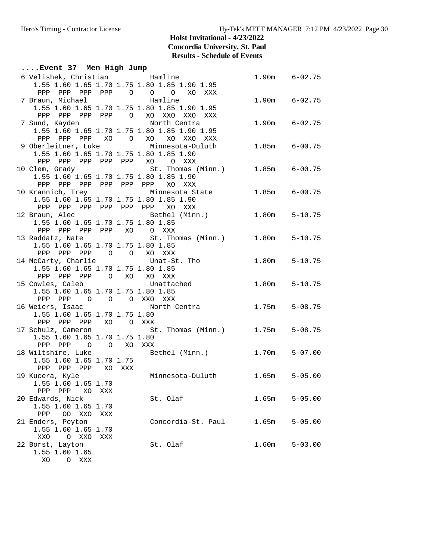**....Event 37 Men High Jump** 6 Velishek, Christian Hamline 1.90m 6-02.75 1.55 1.60 1.65 1.70 1.75 1.80 1.85 1.90 1.95 PPP PPP PPP PPP O O O XO XXX 7 Braun, Michael Hamline 1.90m 6-02.75 1.55 1.60 1.65 1.70 1.75 1.80 1.85 1.90 1.95 PPP PPP PPP PPP O XO XXO XXO XXX 7 Sund, Kayden North Centra 1.90m 6-02.75 1.55 1.60 1.65 1.70 1.75 1.80 1.85 1.90 1.95 PPP PPP PPP XO O XO XO XXO XXX 9 Oberleitner, Luke Minnesota-Duluth 1.85m 6-00.75 1.55 1.60 1.65 1.70 1.75 1.80 1.85 1.90 PPP PPP PPP PPP PPP XO O XXX 10 Clem, Grady St. Thomas (Minn.) 1.85m 6-00.75 1.55 1.60 1.65 1.70 1.75 1.80 1.85 1.90 PPP PPP PPP PPP PPP PPP XO XXX 10 Krannich, Trey Minnesota State 1.85m 6-00.75 1.55 1.60 1.65 1.70 1.75 1.80 1.85 1.90 PPP PPP PPP PPP PPP PPP XO XXX 12 Braun, Alec Bethel (Minn.) 1.80m 5-10.75 1.55 1.60 1.65 1.70 1.75 1.80 1.85 PPP PPP PPP PPP XO O XXX 13 Raddatz, Nate St. Thomas (Minn.) 1.80m 5-10.75 1.55 1.60 1.65 1.70 1.75 1.80 1.85 PPP PPP PPP O O XO XXX 14 McCarty, Charlie Unat-St. Tho 1.80m 5-10.75 1.55 1.60 1.65 1.70 1.75 1.80 1.85 PPP PPP PPP O XO XO XXX 15 Cowles, Caleb Unattached 1.80m 5-10.75 1.55 1.60 1.65 1.70 1.75 1.80 1.85 PPP PPP O O O XXO XXX 16 Weiers, Isaac 3 3 3 3 3 3 3 4 5 5 6 6 6 6 6 7 5 1.75 m 5 - 08.75 1.55 1.60 1.65 1.70 1.75 1.80 PPP PPP PPP XO O XXX<br>17 Schulz, Cameron St. St. Thomas (Minn.) 1.75m 5-08.75 1.55 1.60 1.65 1.70 1.75 1.80 PPP PPP O O XO XXX<br>18 Wiltshire, Luke Be Bethel (Minn.) 1.70m 5-07.00 1.55 1.60 1.65 1.70 1.75 PPP PPP PPP XO XXX 19 Kucera, Kyle Minnesota-Duluth 1.65m 5-05.00 1.55 1.60 1.65 1.70 PPP PPP XO XXX 20 St. Olaf 1.65m 5-05.00 1.55 1.60 1.65 1.70 PPP OO XXO XXX<br>21 Enders, Peyton 21 Enders, Peyton Concordia-St. Paul 1.65m 5-05.00 1.55 1.60 1.65 1.70 XXO O XXO XXX 22 Borst, Layton St. Olaf 1.60m 5-03.00 1.55 1.60 1.65 XO O XXX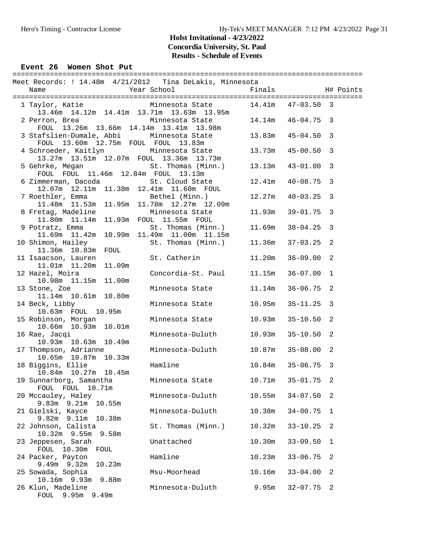| Event 26 Women Shot Put                                                                        |                    |                  |              |              |
|------------------------------------------------------------------------------------------------|--------------------|------------------|--------------|--------------|
| Meet Records: ! 14.48m  4/21/2012  Tina DeLakis, Minnesota<br>Name                             | Year School        | Finals           |              | H# Points    |
| 1 Taylor, Katie Minnesota State 14.41m 47-03.50 3<br>13.46m 14.12m 14.41m 13.71m 13.63m 13.95m |                    |                  |              |              |
| 2 Perron, Brea<br>FOUL 13.26m 13.66m 14.14m 13.41m 13.98m                                      | Minnesota State    | 14.14m  46-04.75 |              | 3            |
| 3 Stafslien-Dumale, Abbi<br>FOUL 13.60m 12.75m FOUL FOUL 13.83m                                | Minnesota State    | 13.83m           | $45 - 04.50$ | 3            |
| 4 Schroeder, Kaitlyn Minnesota State<br>13.27m  13.51m  12.07m  FOUL  13.36m  13.73m           |                    | 13.73m           | $45 - 00.50$ | 3            |
| 5 Gehrke, Megan St. Thomas (Minn.)<br>FOUL FOUL 11.46m 12.84m FOUL 13.13m                      |                    | 13.13m           | $43 - 01.00$ | 3            |
| 6 Zimmerman, Dacoda (St. Cloud State<br>12.07m  12.11m  11.38m  12.41m  11.60m  FOUL           |                    | 12.41m           | $40 - 08.75$ | 3            |
| 7 Roethler, Emma<br>11.48m  11.53m  11.95m  11.78m  12.27m  12.09m                             | Bethel (Minn.)     | 12.27m           | $40 - 03.25$ | 3            |
| 8 Fretag, Madeline<br>11.80m  11.14m  11.93m  FOUL  11.55m  FOUL                               | Minnesota State    | 11.93m           | $39 - 01.75$ | 3            |
| 9 Potratz, Emma<br>11.69m  11.42m  10.99m  11.49m  11.00m  11.15m                              | St. Thomas (Minn.) | 11.69m           | $38 - 04.25$ | 3            |
| 10 Shimon, Hailey<br>11.36m  10.83m  FOUL                                                      | St. Thomas (Minn.) | 11.36m           | $37 - 03.25$ | 2            |
| 11 Isaacson, Lauren<br>11.09m                                                                  | St. Catherin       | 11.20m           | $36 - 09.00$ | 2            |
| 12 Hazel, Moira<br>10.98m  11.15m  11.00m                                                      | Concordia-St. Paul | 11.15m           | $36 - 07.00$ | $\mathbf{1}$ |
| 13 Stone, Zoe<br>11.14m  10.61m  10.80m                                                        | Minnesota State    | 11.14m           | $36 - 06.75$ | 2            |
| 14 Beck, Libby<br>10.63m FOUL 10.95m                                                           | Minnesota State    | 10.95m           | $35 - 11.25$ | 3            |
| 15 Robinson, Morgan<br>10.66m  10.93m  10.01m                                                  | Minnesota State    | 10.93m           | $35 - 10.50$ | 2            |
| 16 Rae, Jacqi<br>10.93m  10.63m  10.49m                                                        | Minnesota-Duluth   | 10.93m           | $35 - 10.50$ | 2            |
| 17 Thompson, Adrianne<br>10.65m  10.87m  10.33m                                                | Minnesota-Duluth   | 10.87m           | $35 - 08.00$ | 2            |
| 18 Biggins, Ellie<br>10.84m  10.27m  10.45m                                                    | Hamline            | 10.84m           | 35-06.75     | 3            |
| 19 Sunnarborg, Samantha<br>FOUL FOUL 10.71m                                                    | Minnesota State    | 10.71m           | $35 - 01.75$ | 2            |
| 20 Mccauley, Haley<br>$9.83m$ $9.21m$<br>10.55m                                                | Minnesota-Duluth   | 10.55m           | $34 - 07.50$ | 2            |
| 21 Gielski, Kayce<br>9.82m 9.11m 10.38m                                                        | Minnesota-Duluth   | 10.38m           | $34 - 00.75$ | 1            |
| 22 Johnson, Calista<br>10.32m 9.55m<br>9.58m                                                   | St. Thomas (Minn.) | 10.32m           | $33 - 10.25$ | 2            |
| 23 Jeppesen, Sarah<br>FOUL 10.30m<br>FOUL                                                      | Unattached         | 10.30m           | $33 - 09.50$ | 1            |
| 24 Packer, Payton<br>9.49m 9.32m<br>10.23m                                                     | Hamline            | 10.23m           | $33 - 06.75$ | 2            |
| 25 Sowada, Sophia<br>9.88m<br>10.16m 9.93m                                                     | Msu-Moorhead       | 10.16m           | $33 - 04.00$ | 2            |
| 26 Klun, Madeline<br>FOUL 9.95m 9.49m                                                          | Minnesota-Duluth   | 9.95m            | $32 - 07.75$ | 2            |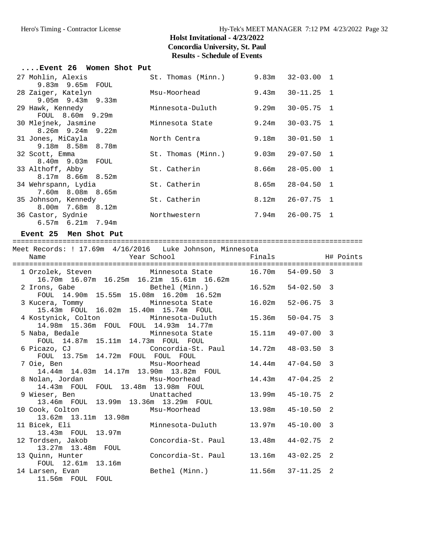#### Hero's Timing - Contractor License Hy-Tek's MEET MANAGER 7:12 PM 4/23/2022 Page 32

#### **Holst Invitational - 4/23/2022 Concordia University, St. Paul Results - Schedule of Events**

| $\ldots$ Event 26 – Women Shot Put. |                    |       |                      |                |
|-------------------------------------|--------------------|-------|----------------------|----------------|
| 27 Mohlin, Alexis                   | St. Thomas (Minn.) |       | $9.83m$ $32-03.00$ 1 |                |
| $9.83m$ $9.65m$ $FOUL$              |                    |       |                      |                |
| 28 Zaiger, Katelyn                  | Msu-Moorhead       | 9.43m | $30 - 11.25$ 1       |                |
| $9.05m$ $9.43m$ $9.33m$             |                    |       |                      |                |
| 29 Hawk, Kennedy                    | Minnesota-Duluth   | 9.29m | $30 - 05.75$ 1       |                |
| FOUL 8.60m 9.29m                    |                    |       |                      |                |
| 30 Mlejnek, Jasmine                 | Minnesota State    | 9.24m | $30 - 03.75$ 1       |                |
| $8.26m$ 9.24m 9.22m                 |                    |       |                      |                |
| 31 Jones, MiCayla                   | North Centra       | 9.18m | $30 - 01.50$         | $\overline{1}$ |
| 9.18m 8.58m 8.78m                   |                    |       |                      |                |
| 32 Scott, Emma                      | St. Thomas (Minn.) | 9.03m | $29 - 07.50$         | $\overline{1}$ |
| 8.40m 9.03m FOUL                    |                    |       |                      |                |
| 33 Althoff, Abby                    | St. Catherin       | 8.66m | $28 - 05.00$         | $\overline{1}$ |
| $8.17m$ $8.66m$ $8.52m$             |                    |       |                      |                |
| 34 Wehrspann, Lydia                 | St. Catherin       | 8.65m | 28-04.50             | $\overline{1}$ |
| 7.60m 8.08m 8.65m                   |                    |       |                      |                |
| 35 Johnson, Kennedy                 | St. Catherin       | 8.12m | $26 - 07.75$ 1       |                |
| 8.00m 7.68m 8.12m                   |                    |       |                      |                |
| 36 Castor, Sydnie                   | Northwestern       |       | $7.94m$ $26-00.75$   | $\overline{1}$ |
| $6.57m$ $6.21m$ $7.94m$             |                    |       |                      |                |

#### **Event 25 Men Shot Put**

==================================================================================== Meet Records: ! 17.69m 4/16/2016 Luke Johnson, Minnesota Name The Year School The Finals H# Points ==================================================================================== 1 Orzolek, Steven Minnesota State 16.70m 54-09.50 3 16.70m 16.07m 16.25m 16.21m 15.61m 16.62m 2 Irons, Gabe Bethel (Minn.) 16.52m 54-02.50 3 FOUL 14.90m 15.55m 15.08m 16.20m 16.52m 3 Kucera, Tommy Minnesota State 16.02m 52-06.75 3 15.43m FOUL 16.02m 15.40m 15.74m FOUL 4 Kostynick, Colton Minnesota-Duluth 15.36m 50-04.75 3 14.98m 15.36m FOUL FOUL 14.93m 14.77m 14.90m 19.90m 2001 2001 2002 11.90m<br>5 Naba, Bedale Minnesota State 15.11m 49-07.00 3 FOUL 14.87m 15.11m 14.73m FOUL FOUL 6 Picazo, CJ Concordia-St. Paul 14.72m 48-03.50 3 FOUL 13.75m 14.72m FOUL FOUL FOUL<br>7 Oie, Ben Msu-Moorhead . FOUL FOUL<br>Msu-Moorhead 14.44m 47-04.50 3 14.44m 14.03m 14.17m 13.90m 13.82m FOUL 8 Nolan, Jordan Msu-Moorhead 14.43m 47-04.25 2 14.43m FOUL FOUL 13.48m 13.98m FOUL 9 Wieser, Ben Unattached 13.99m 45-10.75 2 13.46m FOUL 13.99m 13.36m 13.29m FOUL 10 Cook, Colton Msu-Moorhead 13.98m 45-10.50 2 13.62m 13.11m 13.98m 11 Bicek, Eli Minnesota-Duluth 13.97m 45-10.00 3 13.43m FOUL 13.97m 12 Tordsen, Jakob Concordia-St. Paul 13.48m 44-02.75 2 13.27m 13.48m FOUL<br>13 Quinn, Hunter Concordia-St. Paul 13.16m 43-02.25 2 FOUL 12.61m 13.16m 14 Larsen, Evan Bethel (Minn.) 11.56m 37-11.25 2 11.56m FOUL FOUL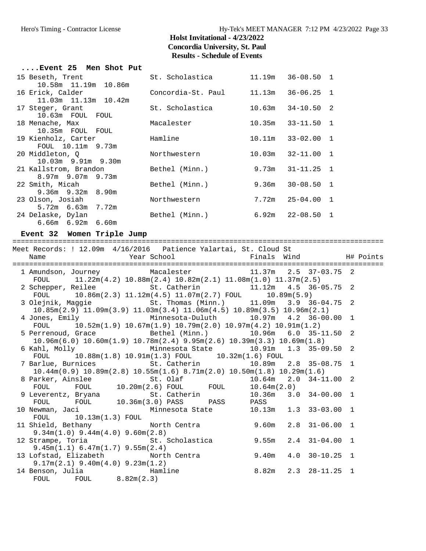#### Hero's Timing - Contractor License Hy-Tek's MEET MANAGER 7:12 PM 4/23/2022 Page 33

### **Holst Invitational - 4/23/2022 Concordia University, St. Paul Results - Schedule of Events**

| Event 25 Men Shot Put                         |                    |        |                      |  |
|-----------------------------------------------|--------------------|--------|----------------------|--|
| 15 Beseth, Trent                              | St. Scholastica    |        | 11.19m 36-08.50 1    |  |
| 10.58m 11.19m 10.86m                          |                    |        |                      |  |
| 16 Erick, Calder                              | Concordia-St. Paul | 11.13m | $36 - 06.25$ 1       |  |
| 11.03m 11.13m 10.42m                          |                    |        |                      |  |
| 17 Steger, Grant                              | St. Scholastica    | 10.63m | $34 - 10.50$ 2       |  |
| 10.63m FOUL FOUL                              |                    |        |                      |  |
| 18 Menache, Max                               | Macalester         | 10.35m | $33 - 11.50$ 1       |  |
| 10.35m FOUL FOUL                              |                    |        |                      |  |
| 19 Kienholz, Carter                           | Hamline            | 10.11m | $33 - 02.00$ 1       |  |
| FOUL 10.11m 9.73m                             |                    |        |                      |  |
| 20 Middleton, O                               | Northwestern       | 10.03m | $32 - 11.00$ 1       |  |
| $10.03m$ 9.91m 9.30m<br>21 Kallstrom, Brandon | Bethel (Minn.)     | 9.73m  | $31 - 11.25$ 1       |  |
| $8.97m$ 9.07m 9.73m                           |                    |        |                      |  |
| 22 Smith, Micah                               | Bethel (Minn.)     | 9.36m  | $30 - 08.50$ 1       |  |
| $9.36m$ $9.32m$ $8.90m$                       |                    |        |                      |  |
| 23 Olson, Josiah                              | Northwestern       | 7.72m  | $25 - 04.00$ 1       |  |
| $5.72m$ 6.63m 7.72m                           |                    |        |                      |  |
| 24 Delaske, Dylan                             | Bethel (Minn.)     |        | $6.92m$ $22-08.50$ 1 |  |
| $6.66m$ $6.92m$ $6.60m$                       |                    |        |                      |  |
|                                               |                    |        |                      |  |

#### **Event 32 Women Triple Jump**

========================================================================================= Meet Records: ! 12.09m 4/16/2016 Patience Yalartai, St. Cloud St Name **The School Communist School** Finals Wind H# Points ========================================================================================= 1 Amundson, Journey Macalester 11.37m 2.5 37-03.75 2 FOUL 11.22m(4.2) 10.88m(2.4) 10.82m(2.1) 11.08m(1.0) 11.37m(2.5) 2 Schepper, Reilee St. Catherin 11.12m 4.5 36-05.75 2 FOUL 10.86m(2.3) 11.12m(4.5) 11.07m(2.7) FOUL 10.89m(5.9) 3 Olejnik, Maggie St. Thomas (Minn.) 11.09m 3.9 36-04.75 2 10.85m(2.9) 11.09m(3.9) 11.03m(3.4) 11.06m(4.5) 10.89m(3.5) 10.96m(2.1) 4 Jones, Emily Minnesota-Duluth 10.97m 4.2 36-00.00 1 FOUL 10.52m(1.9) 10.67m(1.9) 10.79m(2.0) 10.97m(4.2) 10.91m(1.2) 5 Perrenoud, Grace Bethel (Minn.) 10.96m 6.0 35-11.50 2 10.96m(6.0) 10.60m(1.9) 10.78m(2.4) 9.95m(2.6) 10.39m(3.3) 10.69m(1.8) 6 Kahl, Molly Minnesota State 10.91m 1.3 35-09.50 2 FOUL 10.88m(1.8) 10.91m(1.3) FOUL 10.32m(1.6) FOUL 7 Barlue, Burnices St. Catherin 10.89m 2.8 35-08.75 1 10.44m(0.9) 10.89m(2.8) 10.55m(1.6) 8.71m(2.0) 10.50m(1.8) 10.29m(1.6) 8 Parker, Ainslee St. Olaf 10.64m 2.0 34-11.00 2 FOUL FOUL 10.20m(2.6) FOUL FOUL 10.64m(2.0) 9 Leverentz, Bryana St. Catherin 10.36m 3.0 34-00.00 1 FOUL FOUL 10.36m(3.0) PASS PASS PASS 10 Newman, Jaci Minnesota State 10.13m 1.3 33-03.00 1 FOUL 10.13m(1.3) FOUL 11 Shield, Bethany North Centra 9.60m 2.8 31-06.00 1 9.34m(1.0) 9.44m(4.0) 9.60m(2.8) 12 Strampe, Toria St. Scholastica 9.55m 2.4 31-04.00 1 9.45m(1.1) 6.47m(1.7) 9.55m(2.4) 13 Lofstad, Elizabeth North Centra 9.40m 4.0 30-10.25 1 9.17m(2.1) 9.40m(4.0) 9.23m(1.2) 14 Benson, Julia Hamline 8.82m 2.3 28-11.25 1 FOUL FOUL 8.82m(2.3)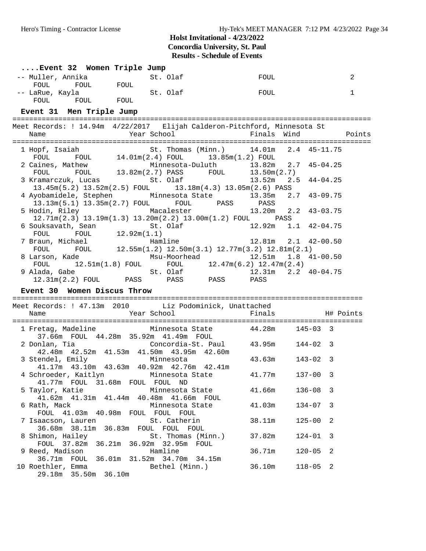| Event 32 Women Triple Jump                                                                                                                                                                                                                     |                                                                                                                     |                           |                            |
|------------------------------------------------------------------------------------------------------------------------------------------------------------------------------------------------------------------------------------------------|---------------------------------------------------------------------------------------------------------------------|---------------------------|----------------------------|
| -- Muller, Annika                                                                                                                                                                                                                              |                                                                                                                     | FOUL                      | 2                          |
| FOUL<br>-- LaRue, Kayla (St. Olaf                                                                                                                                                                                                              | FOUL                                                                                                                |                           | $\mathbf{1}$               |
| FOUL FOUL FOUL                                                                                                                                                                                                                                 |                                                                                                                     |                           |                            |
| Event 31 Men Triple Jump                                                                                                                                                                                                                       |                                                                                                                     |                           |                            |
| Meet Records: ! 14.94m 4/22/2017 Elijah Calderon-Pitchford, Minnesota St                                                                                                                                                                       |                                                                                                                     |                           |                            |
| Name                                                                                                                                                                                                                                           | Year School <a> Finals Wind<br/> <math display="inline">\qquad</math>Points</a>                                     |                           |                            |
| $\begin{tabular}{lllllll} \texttt{1 Hopf, Isaiah} & \texttt{St. Thomas (Minn.)} & \texttt{14.01m} & \texttt{2.4} & \texttt{45-11.75} \\ \texttt{FOUL} & \texttt{FOUL} & \texttt{14.01m(2.4) FOUL} & \texttt{13.85m(1.2) FOUL} & \end{tabular}$ |                                                                                                                     |                           |                            |
| 2 Caines, Mathew Minnesota-Duluth 13.82m 2.7 45-04.25<br>FOUL FOUL 13.82m(2.7) PASS FOUL 13.50m(2.7)<br>3 Kramarczuk, Lucas St. Olaf 13.52m 2.5 44-04.25                                                                                       |                                                                                                                     |                           |                            |
| $13.45m(5.2)$ $13.52m(2.5)$ FOUL $13.18m(4.3)$ $13.05m(2.6)$ PASS                                                                                                                                                                              |                                                                                                                     |                           |                            |
| 4 Ayobamidele, Stephen Minnesota State<br>13.13m(5.1) 13.35m(2.7) FOUL FOUL PASS PASS                                                                                                                                                          |                                                                                                                     | 13.35m  2.7  43-09.75     |                            |
| 5 Hodin, Riley Macalester<br>12.71m(2.3) 13.19m(1.3) 13.20m(2.2) 13.00m(1.2) FOUL PASS                                                                                                                                                         |                                                                                                                     | 13.20m  2.2  43-03.75     |                            |
| 6 Souksavath, Sean <a> St. Olaf<br/>FOUL FOUL <math>12.92m(1.1)</math></a>                                                                                                                                                                     |                                                                                                                     | $12.92m$ $1.1$ $42-04.75$ |                            |
| 3raun, Michael Hamline 12.55m(1.2) 12.50m(3.1) 12.77m(3.2) 12.81m(2.1) FOUL FOUL 12.55m(1.2) 12.50m(3.1) 12.77m(3.2) 12.81m(2.1)<br>7 Braun, Michael                                                                                           |                                                                                                                     |                           |                            |
| 8 Larson, Kade Msu-Moorhead<br>FOUL $12.51m(1.8)$ FOUL FOUL $12.47m(6.2)$ $12.47m(2.4)$                                                                                                                                                        |                                                                                                                     | $12.51m$ $1.8$ $41-00.50$ |                            |
| 9 Alada, Gabe 51.2.31m (2.2) FOUL PASS PASS PASS PASS PASS PASS                                                                                                                                                                                |                                                                                                                     |                           |                            |
| Event 30 Women Discus Throw                                                                                                                                                                                                                    |                                                                                                                     |                           |                            |
| Meet Records: ! 47.13m 2010 Liz Podominick, Unattached                                                                                                                                                                                         |                                                                                                                     |                           |                            |
| Year School<br>Name                                                                                                                                                                                                                            |                                                                                                                     | Finals H# Points          |                            |
| 1 Fretag, Madeline<br>37.66m FOUL 44.28m 35.92m 41.49m FOUL                                                                                                                                                                                    | Minnesota State $44.28m$ 145-03 3                                                                                   |                           |                            |
| 2 Donlan, Tia<br>42.48m  42.52m  41.53m  41.50m  43.95m  42.60m                                                                                                                                                                                | $32\text{m}$ $\frac{11.75\text{m}}{100\text{m}}$ $\frac{100\text{m}}{100\text{m}}$ $\frac{43.95\text{m}}{144-02}$ 3 |                           |                            |
| 3 Stendel, Emily<br>41.17m  43.10m  43.63m  40.92m  42.76m  42.41m                                                                                                                                                                             | Minnesota                                                                                                           | 43.63m<br>143-02 3        |                            |
| 4 Schroeder, Kaitlyn Minnesota State<br>41.77m FOUL 31.68m FOUL FOUL ND                                                                                                                                                                        |                                                                                                                     | 41.77m<br>$137 - 00$      | 3                          |
| 5 Taylor, Katie<br>41.62m  41.31m  41.44m  40.48m  41.66m  FOUL                                                                                                                                                                                | Minnesota State                                                                                                     | 41.66m<br>$136 - 08$ 3    |                            |
| 6 Rath, Mack<br>FOUL 41.03m 40.98m FOUL FOUL FOUL                                                                                                                                                                                              | Minnesota State                                                                                                     | 41.03m<br>$134 - 07$ 3    |                            |
| 7 Isaacson, Lauren<br>36.68m  38.11m  36.83m  FOUL  FOUL  FOUL                                                                                                                                                                                 | St. Catherin                                                                                                        | 38.11m<br>$125 - 00$      | $\overline{\phantom{0}}^2$ |
| 8 Shimon, Hailey<br>FOUL 37.82m 36.21m                                                                                                                                                                                                         | St. Thomas (Minn.)                                                                                                  | 37.82m<br>$124 - 01$      | - 3                        |
| 9 Reed, Madison<br>36.71m FOUL 36.01m 31.52m 34.70m 34.15m                                                                                                                                                                                     | Hamline                                                                                                             | 36.71m<br>$120 - 05$      | 2                          |
| 10 Roethler, Emma<br>29.18m 35.50m 36.10m                                                                                                                                                                                                      | Bethel (Minn.)                                                                                                      | 36.10m<br>$118 - 05$ 2    |                            |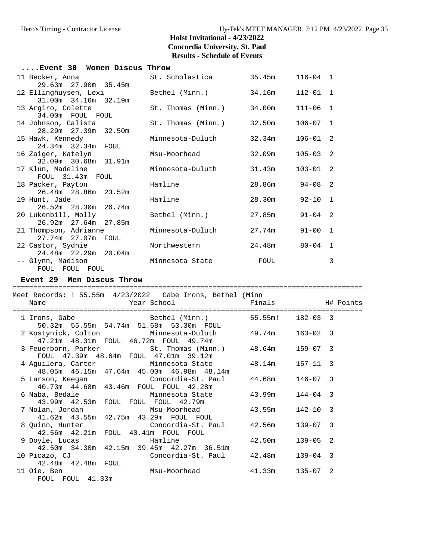| Event 30  Women Discus Throw                                   |                    |        |              |                |
|----------------------------------------------------------------|--------------------|--------|--------------|----------------|
| 11 Becker, Anna                                                | St. Scholastica    | 35.45m | $116 - 04$ 1 |                |
| 29.63m 27.90m 35.45m<br>12 Ellinghuysen, Lexi                  | Bethel (Minn.)     | 34.16m | $112 - 01$ 1 |                |
| 31.00m 34.16m 32.19m<br>13 Argiro, Colette                     | St. Thomas (Minn.) | 34.00m | $111 - 06$   | 1              |
| 34.00m FOUL FOUL<br>14 Johnson, Calista                        | St. Thomas (Minn.) | 32.50m | $106 - 07$   | $\mathbf{1}$   |
| 28.29m 27.39m 32.50m<br>15 Hawk, Kennedy<br>24.34m 32.34m FOUL | Minnesota-Duluth   | 32.34m | $106 - 01$   | -2             |
| 16 Zaiger, Katelyn<br>32.09m 30.68m 31.91m                     | Msu-Moorhead       | 32.09m | $105 - 03$   | 2              |
| 17 Klun, Madeline<br>FOUL 31.43m FOUL                          | Minnesota-Duluth   | 31.43m | $103 - 01$   | -2             |
| 18 Packer, Payton<br>26.48m 28.86m 23.52m                      | Hamline            | 28.86m | $94 - 08$    | 2              |
| 19 Hunt, Jade<br>26.52m 28.30m 26.74m                          | Hamline            | 28.30m | $92 - 10$    | 1              |
| 20 Lukenbill, Molly<br>26.92m 27.64m 27.85m                    | Bethel (Minn.)     | 27.85m | $91 - 04$    | -2             |
| 21 Thompson, Adrianne<br>27.74m 27.07m FOUL                    | Minnesota-Duluth   | 27.74m | $91 - 00$    | $\overline{1}$ |
| 22 Castor, Sydnie<br>24.48m 22.29m 20.04m                      | Northwestern       | 24.48m | $80 - 04$    | $\overline{1}$ |
| -- Glynn, Madison<br>FOUL FOUL FOUL                            | Minnesota State    | FOUL   |              | 3              |

#### **Event 29 Men Discus Throw**

FOUL FOUL 41.33m

#### ==================================================================================== Meet Records: ! 55.55m 4/23/2022 Gabe Irons, Bethel (Minn Name The Year School The Finals H# Points ==================================================================================== 1 Irons, Gabe Bethel (Minn.) 55.55m! 182-03 3 50.32m 55.55m 54.74m 51.68m 53.30m FOUL 2 Kostynick, Colton Minnesota-Duluth 49.74m 163-02 3 47.21m 48.31m FOUL 46.72m FOUL 49.74m 3 Feuerborn, Parker St. Thomas (Minn.) 48.64m 159-07 3 FOUL 47.39m 48.64m FOUL 47.01m 39.12m 4 Aguilera, Carter Minnesota State 48.14m 157-11 3 48.05m 46.15m 47.64m 45.00m 46.98m 48.14m 5 Larson, Keegan Concordia-St. Paul 44.68m 146-07 3 40.73m 44.68m 43.46m FOUL FOUL 42.28m 6 Naba, Bedale Minnesota State 43.99m 144-04 3 43.99m 42.53m FOUL FOUL FOUL 42.79m 7 Nolan, Jordan Msu-Moorhead 43.55m 142-10 3 41.62m 43.55m 42.75m 43.29m FOUL FOUL 8 Quinn, Hunter Concordia-St. Paul 42.56m 139-07 3 42.56m 42.21m FOUL 40.41m FOUL FOUL 9 Doyle, Lucas Hamline 42.50m 139-05 2 42.50m 34.30m 42.15m 39.45m 42.27m 36.51m 10 Picazo, CJ Concordia-St. Paul 42.48m 139-04 3 42.48m 42.48m FOUL

11 Oie, Ben Msu-Moorhead 41.33m 135-07 2